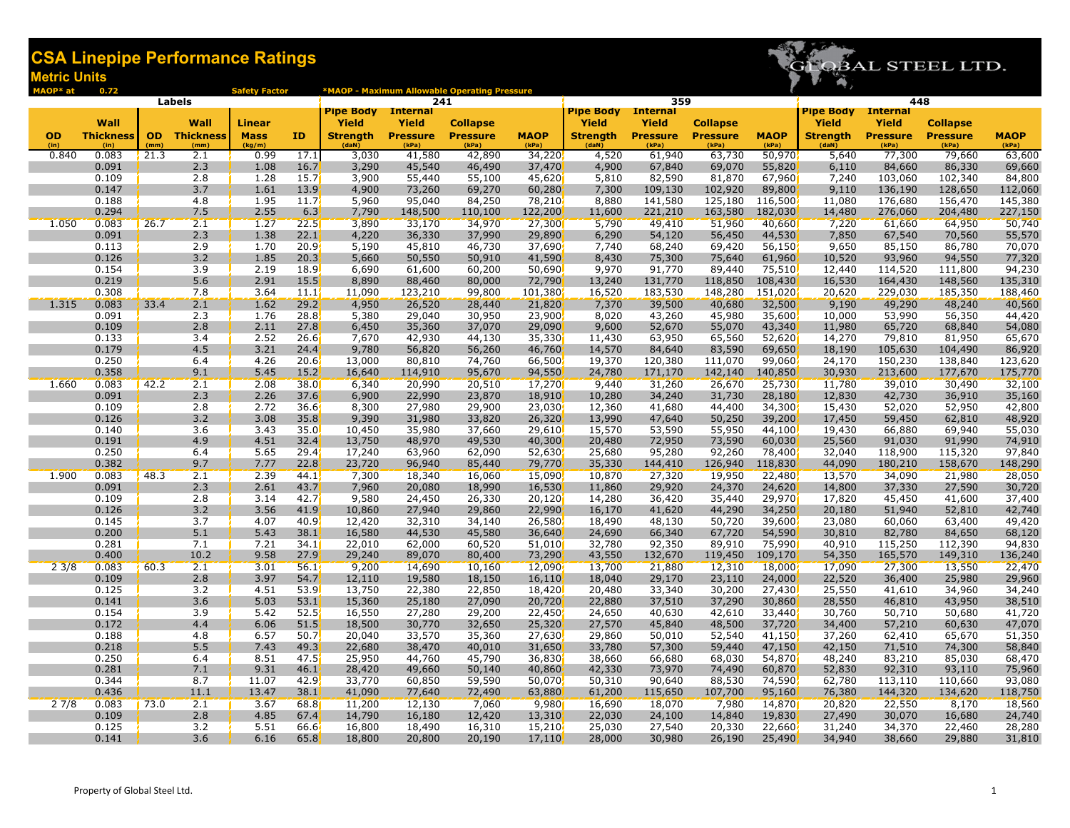

| MAOP* at | 0.72             |      |                     | <b>Safety Factor</b> |                   |                  |                        | *MAOP - Maximum Allowable Operating Pressure |                  |                  |                        |                   |                   |                  |                                 |                                    |                   |
|----------|------------------|------|---------------------|----------------------|-------------------|------------------|------------------------|----------------------------------------------|------------------|------------------|------------------------|-------------------|-------------------|------------------|---------------------------------|------------------------------------|-------------------|
|          |                  |      | Labels              |                      |                   | <b>Pipe Body</b> | 241<br><b>Internal</b> |                                              |                  | <b>Pipe Body</b> | 359<br><b>Internal</b> |                   |                   | <b>Pipe Body</b> |                                 | 448                                |                   |
|          | Wall             |      | Wall                | <b>Linear</b>        |                   | <b>Yield</b>     | <b>Yield</b>           | <b>Collapse</b>                              |                  | <b>Yield</b>     | <b>Yield</b>           | <b>Collapse</b>   |                   | Yield            | <b>Internal</b><br><b>Yield</b> |                                    |                   |
| OD       | <b>Thickness</b> |      | <b>OD</b> Thickness | <b>Mass</b>          | ID                | <b>Strength</b>  | <b>Pressure</b>        | <b>Pressure</b>                              | <b>MAOP</b>      | <b>Strength</b>  | <b>Pressure</b>        | <b>Pressure</b>   | <b>MAOP</b>       | <b>Strength</b>  | <b>Pressure</b>                 | <b>Collapse</b><br><b>Pressure</b> | <b>MAOP</b>       |
| (in)     | (in)             | (mm) | (mm)                | (kg/m)               |                   | (dah)            | (kPa)                  | (kPa)                                        | (kPa)            | (daN)            | (kPa)                  | (kPa)             | (kPa)             | (daN)            | (kPa)                           | (kPa)                              | (kPa)             |
| 0.840    | 0.083            | 21.3 | 2.1                 | 0.99                 | 17.1              | 3,030            | 41,580                 | 42,890                                       | 34,220           | 4,520            | 61,940                 | 63,730            | 50,970            | 5,640            | 77,300                          | 79,660                             | 63,600            |
|          | 0.091            |      | 2.3                 | 1.08                 | 16.7              | 3,290            | 45,540                 | 46,490                                       | 37,470           | 4,900            | 67,840                 | 69,070            | 55,820            | 6,110            | 84,660                          | 86,330                             | 69,660            |
|          | 0.109            |      | 2.8                 | 1.28                 | 15.7 <sup>′</sup> | 3,900            | 55,440                 | 55,100                                       | 45,620           | 5,810            | 82,590                 | 81,870            | 67,960            | 7,240            | 103,060                         | 102,340                            | 84,800            |
|          | 0.147            |      | 3.7                 | 1.61                 | 13.9              | 4,900            | 73,260                 | 69,270                                       | 60,280           | 7,300            | 109,130                | 102,920           | 89,800            | 9,110            | 136,190                         | 128,650                            | 112,060           |
|          | 0.188            |      | 4.8                 | 1.95                 | 11.7              | 5,960            | 95,040                 | 84,250                                       | 78,210           | 8,880            | 141,580                | 125,180           | 116,500           | 11,080           | 176,680                         | 156,470                            | 145,380           |
|          | 0.294            |      | 7.5                 | 2.55                 | 6.3               | 7,790            | 148,500                | 110,100                                      | 122,200          | 11,600           | 221,210                | 163,580           | 182,030           | 14,480           | 276,060                         | 204,480                            | 227,150           |
| 1.050    | 0.083            | 26.7 | 2.1                 | 1.27                 | 22.5              | 3,890            | 33,170                 | 34,970                                       | 27,300           | 5,790            | 49,410                 | 51,960            | 40,660            | 7,220            | 61,660                          | 64,950                             | 50,740            |
|          | 0.091            |      | 2.3                 | 1.38                 | 22.1              | 4,220            | 36,330                 | 37,990                                       | 29,890           | 6,290            | 54,120                 | 56,450            | 44,530            | 7,850            | 67,540                          | 70,560                             | 55,570            |
|          | 0.113            |      | 2.9                 | 1.70                 | 20.9              | 5,190            | 45,810                 | 46,730                                       | 37,690           | 7,740            | 68,240                 | 69,420            | 56,150            | 9,650            | 85,150                          | 86,780                             | 70,070            |
|          | 0.126            |      | 3.2                 | 1.85                 | 20.3              | 5,660            | 50,550                 | 50,910                                       | 41,590           | 8,430            | 75,300                 | 75,640            | 61,960            | 10,520           | 93,960                          | 94,550                             | 77,320            |
|          | 0.154<br>0.219   |      | 3.9<br>5.6          | 2.19<br>2.91         | 18.9<br>15.5      | 6,690<br>8,890   | 61,600                 | 60,200<br>80,000                             | 50,690<br>72,790 | 9,970<br>13,240  | 91,770<br>131,770      | 89,440<br>118,850 | 75,510<br>108,430 | 12,440<br>16,530 | 114,520<br>164,430              | 111,800<br>148,560                 | 94,230<br>135,310 |
|          | 0.308            |      | 7.8                 | 3.64                 | 11.1              | 11,090           | 88,460<br>123,210      | 99,800                                       | 101,380          | 16,520           | 183,530                | 148,280           | 151,020           | 20,620           | 229,030                         | 185,350                            | 188,460           |
| 1.315    | 0.083            | 33.4 | 2.1                 | 1.62                 | 29.2              | 4,950            | 26,520                 | 28,440                                       | 21,820           | 7,370            | 39,500                 | 40,680            | 32,500            | 9,190            | 49,290                          | 48,240                             | 40,560            |
|          | 0.091            |      | 2.3                 | 1.76                 | 28.8              | 5,380            | 29,040                 | 30,950                                       | 23,900           | 8,020            | 43,260                 | 45,980            | 35,600            | 10,000           | 53,990                          | 56,350                             | 44,420            |
|          | 0.109            |      | 2.8                 | 2.11                 | 27.8              | 6,450            | 35,360                 | 37,070                                       | 29,090           | 9,600            | 52,670                 | 55,070            | 43,340            | 11,980           | 65,720                          | 68,840                             | 54,080            |
|          | 0.133            |      | 3.4                 | 2.52                 | 26.6              | 7,670            | 42,930                 | 44,130                                       | 35,330           | 11,430           | 63,950                 | 65,560            | 52,620            | 14,270           | 79,810                          | 81,950                             | 65,670            |
|          | 0.179            |      | 4.5                 | 3.21                 | 24.4              | 9,780            | 56,820                 | 56,260                                       | 46,760           | 14,570           | 84,640                 | 83,590            | 69,650            | 18,190           | 105,630                         | 104,490                            | 86,920            |
|          | 0.250            |      | 6.4                 | 4.26                 | 20.6              | 13,000           | 80,810                 | 74,760                                       | 66,500           | 19,370           | 120,380                | 111,070           | 99,060            | 24,170           | 150,230                         | 138,840                            | 123,620           |
|          | 0.358            |      | 9.1                 | 5.45                 | 15.2              | 16,640           | 114,910                | 95,670                                       | 94,550           | 24,780           | 171,170                | 142,140           | 140,850           | 30,930           | 213,600                         | 177,670                            | 175,770           |
| 1.660    | 0.083            | 42.2 | 2.1                 | 2.08                 | 38.0              | 6,340            | 20,990                 | 20,510                                       | 17,270           | 9,440            | 31,260                 | 26,670            | 25,730            | 11,780           | 39,010                          | 30,490                             | 32,100            |
|          | 0.091            |      | 2.3                 | 2.26                 | 37.6              | 6,900            | 22,990                 | 23,870                                       | 18,910           | 10,280           | 34,240                 | 31,730            | 28,180            | 12,830           | 42,730                          | 36,910                             | 35,160            |
|          | 0.109            |      | 2.8                 | 2.72                 | 36.6              | 8,300            | 27,980                 | 29,900                                       | 23,030           | 12,360           | 41,680                 | 44,400            | 34,300            | 15,430           | 52,020                          | 52,950                             | 42,800            |
|          | 0.126            |      | 3.2                 | 3.08                 | 35.8              | 9,390            | 31,980                 | 33,820                                       | 26,320           | 13,990           | 47,640                 | 50,250            | 39,200            | 17,450           | 59,450                          | 62,810                             | 48,920            |
|          | 0.140            |      | 3.6                 | 3.43                 | 35.0              | 10,450           | 35,980                 | 37,660                                       | 29,610           | 15,570           | 53,590                 | 55,950            | 44,100            | 19,430           | 66,880                          | 69,940                             | 55,030            |
|          | 0.191            |      | 4.9                 | 4.51                 | 32.4              | 13,750           | 48,970                 | 49,530                                       | 40,300           | 20,480           | 72,950                 | 73,590            | 60,030            | 25,560           | 91,030                          | 91,990                             | 74,910            |
|          | 0.250            |      | 6.4                 | 5.65                 | 29.4              | 17,240           | 63,960                 | 62,090                                       | 52,630           | 25,680           | 95,280                 | 92,260            | 78,400            | 32,040           | 118,900                         | 115,320                            | 97,840            |
|          | 0.382            |      | 9.7                 | 7.77                 | 22.8              | 23,720           | 96,940                 | 85,440                                       | 79,770           | 35,330           | 144,410                | 126,940           | 118,830           | 44,090           | 180,210                         | 158,670                            | 148,290           |
| 1.900    | 0.083            | 48.3 | 2.1                 | 2.39                 | 44.1'             | 7,300            | 18,340                 | 16,060                                       | 15,090           | 10,870           | 27,320                 | 19,950            | 22,480            | 13,570           | 34,090                          | 21,980                             | 28,050            |
|          | 0.091            |      | 2.3                 | 2.61                 | 43.7              | 7,960            | 20,080                 | 18,990                                       | 16,530           | 11,860           | 29,920                 | 24,370            | 24,620            | 14,800           | 37,330                          | 27,590                             | 30,720            |
|          | 0.109            |      | 2.8                 | 3.14                 | 42.7              | 9,580            | 24,450                 | 26,330                                       | 20,120           | 14,280           | 36,420                 | 35,440            | 29,970            | 17,820           | 45,450                          | 41,600                             | 37,400            |
|          | 0.126            |      | 3.2<br>3.7          | 3.56                 | 41.9              | 10,860           | 27,940                 | 29,860                                       | 22,990           | 16,170           | 41,620                 | 44,290            | 34,250            | 20,180           | 51,940                          | 52,810                             | 42,740            |
|          | 0.145<br>0.200   |      | 5.1                 | 4.07<br>5.43         | 40.9<br>38.1      | 12,420<br>16,580 | 32,310                 | 34,140<br>45,580                             | 26,580           | 18,490<br>24,690 | 48,130<br>66,340       | 50,720<br>67,720  | 39,600<br>54,590  | 23,080           | 60,060                          | 63,400                             | 49,420<br>68,120  |
|          | 0.281            |      | 7.1                 | 7.21                 | 34.1              | 22,010           | 44,530<br>62,000       | 60,520                                       | 36,640<br>51,010 | 32,780           | 92,350                 | 89,910            | 75,990            | 30,810<br>40,910 | 82,780<br>115,250               | 84,650<br>112,390                  | 94,830            |
|          | 0.400            |      | 10.2                | 9.58                 | 27.9              | 29,240           | 89,070                 | 80,400                                       | 73,290           | 43,550           | 132,670                | 119,450           | 109,170           | 54,350           | 165,570                         | 149,310                            | 136,240           |
| 23/8     | 0.083            | 60.3 | 2.1                 | 3.01                 | 56.1              | 9,200            | 14,690                 | 10,160                                       | 12,090           | 13,700           | 21,880                 | 12,310            | 18,000            | 17,090           | 27,300                          | 13,550                             | 22,470            |
|          | 0.109            |      | 2.8                 | 3.97                 | 54.7              | 12,110           | 19,580                 | 18,150                                       | 16,110           | 18,040           | 29,170                 | 23,110            | 24,000            | 22,520           | 36,400                          | 25,980                             | 29,960            |
|          | 0.125            |      | 3.2                 | 4.51                 | 53.9              | 13,750           | 22,380                 | 22,850                                       | 18,420           | 20,480           | 33,340                 | 30,200            | 27,430            | 25,550           | 41,610                          | 34,960                             | 34,240            |
|          | 0.141            |      | 3.6                 | 5.03                 | 53.1              | 15,360           | 25,180                 | 27,090                                       | 20,720           | 22,880           | 37,510                 | 37,290            | 30,860            | 28,550           | 46,810                          | 43,950                             | 38,510            |
|          | 0.154            |      | 3.9                 | 5.42                 | 52.5              | 16,550           | 27,280                 | 29,200                                       | 22,450           | 24,650           | 40,630                 | 42,610            | 33,440            | 30,760           | 50,710                          | 50,680                             | 41,720            |
|          | 0.172            |      | 4.4                 | 6.06                 | 51.5              | 18,500           | 30,770                 | 32,650                                       | 25,320           | 27,570           | 45,840                 | 48,500            | 37,720            | 34,400           | 57,210                          | 60,630                             | 47,070            |
|          | 0.188            |      | 4.8                 | 6.57                 | 50.7              | 20,040           | 33,570                 | 35,360                                       | 27,630           | 29,860           | 50,010                 | 52,540            | 41,150            | 37,260           | 62,410                          | 65,670                             | 51,350            |
|          | 0.218            |      | 5.5                 | 7.43                 | 49.3              | 22,680           | 38,470                 | 40,010                                       | 31,650           | 33,780           | 57,300                 | 59,440            | 47,150            | 42,150           | 71,510                          | 74,300                             | 58,840            |
|          | 0.250            |      | 6.4                 | 8.51                 | 47.5              | 25,950           | 44,760                 | 45,790                                       | 36,830           | 38,660           | 66,680                 | 68,030            | 54,870            | 48,240           | 83,210                          | 85,030                             | 68,470            |
|          | 0.281            |      | 7.1                 | 9.31                 | 46.1              | 28,420           | 49,660                 | 50,140                                       | 40,860           | 42,330           | 73,970                 | 74,490            | 60,870            | 52,830           | 92,310                          | 93,110                             | 75,960            |
|          | 0.344            |      | 8.7                 | 11.07                | 42.9              | 33,770           | 60,850                 | 59,590                                       | 50,070           | 50,310           | 90,640                 | 88,530            | 74,590            | 62,780           | 113,110                         | 110,660                            | 93,080            |
|          | 0.436            |      | 11.1                | 13.47                | 38.1              | 41,090           | 77,640                 | 72,490                                       | 63,880           | 61,200           | 115,650                | 107,700           | 95,160            | 76,380           | 144,320                         | 134,620                            | 118,750           |
| 27/8     | 0.083            | 73.0 | 2.1                 | 3.67                 | 68.8              | 11,200           | 12,130                 | 7,060                                        | 9,980            | 16,690           | 18,070                 | 7,980             | 14,870            | 20,820           | 22,550                          | 8,170                              | 18,560            |
|          | 0.109            |      | 2.8                 | 4.85                 | 67.4              | 14,790           | 16,180                 | 12,420                                       | 13,310           | 22,030           | 24,100                 | 14,840            | 19,830            | 27,490           | 30,070                          | 16,680                             | 24,740            |
|          | 0.125            |      | 3.2                 | 5.51                 | 66.6              | 16,800           | 18,490                 | 16,310                                       | 15,210           | 25,030           | 27,540                 | 20,330            | 22,660            | 31,240           | 34,370                          | 22,460                             | 28,280            |
|          | 0.141            |      | 3.6                 | 6.16                 | 65.8              | 18,800           | 20,800                 | 20,190                                       | 17,110           | 28,000           | 30,980                 | 26,190            | 25,490            | 34,940           | 38,660                          | 29,880                             | 31,810            |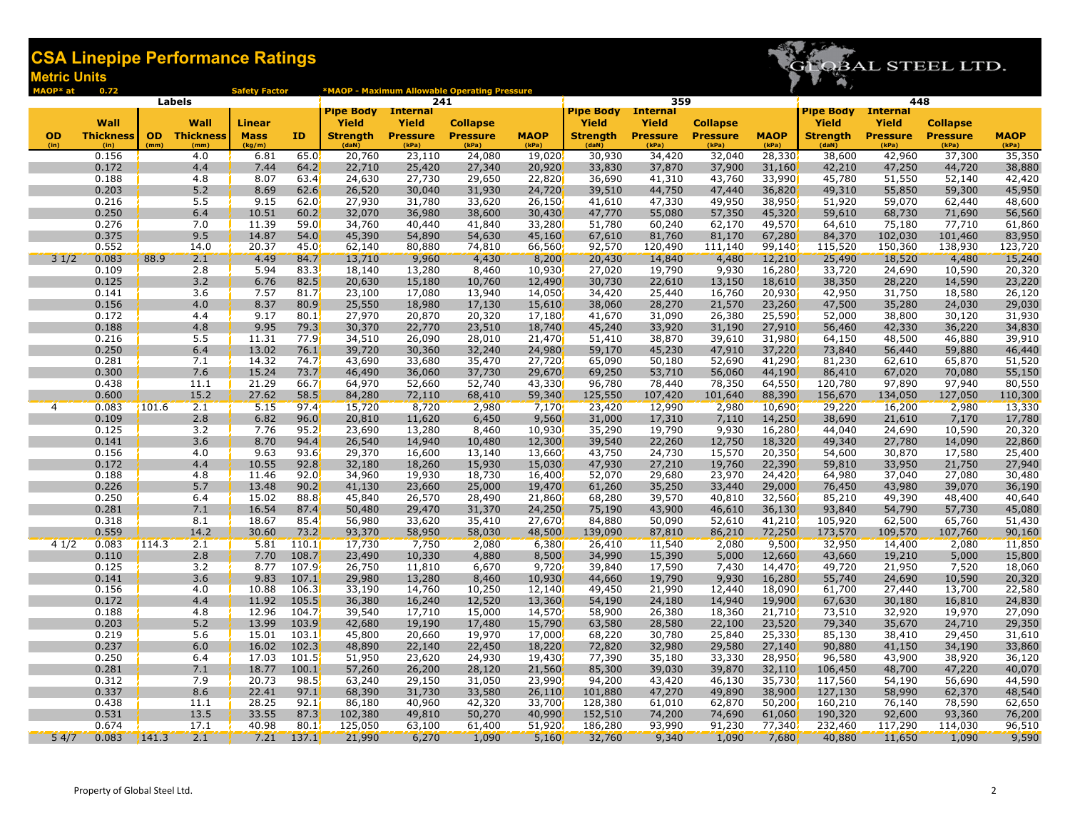

| MAOP* at          | 0.72                     |       |                             | <b>Safety Factor</b>  |                   |                          |                          | *MAOP - Maximum Allowable Operating Pressure |                      |                           |                          |                          |                      |                          |                          |                          |                      |
|-------------------|--------------------------|-------|-----------------------------|-----------------------|-------------------|--------------------------|--------------------------|----------------------------------------------|----------------------|---------------------------|--------------------------|--------------------------|----------------------|--------------------------|--------------------------|--------------------------|----------------------|
|                   |                          |       | <b>Labels</b>               |                       |                   |                          | 241                      |                                              |                      |                           | 359                      |                          |                      |                          |                          | 448                      |                      |
|                   |                          |       |                             |                       |                   | <b>Pipe Body</b>         | <b>Internal</b>          |                                              |                      | <b>Pipe Body</b> Internal |                          |                          |                      | <b>Pipe Body</b>         | <b>Internal</b>          |                          |                      |
|                   | Wall                     |       | Wall                        | <b>Linear</b>         |                   | Yield                    | <b>Yield</b>             | <b>Collapse</b>                              |                      | Yield                     | Yield                    | <b>Collapse</b>          |                      | Yield                    | <b>Yield</b>             | <b>Collapse</b>          |                      |
| <b>OD</b><br>(in) | <b>Thickness</b><br>(in) | (mm)  | <b>OD</b> Thickness<br>(mm) | <b>Mass</b><br>(kg/m) | ID                | <b>Strength</b><br>(daN) | <b>Pressure</b><br>(kPa) | <b>Pressure</b><br>(kPa)                     | <b>MAOP</b><br>(kPa) | <b>Strength</b><br>(daN)  | <b>Pressure</b><br>(kPa) | <b>Pressure</b><br>(kPa) | <b>MAOP</b><br>(kPa) | <b>Strength</b><br>(daN) | <b>Pressure</b><br>(kPa) | <b>Pressure</b><br>(kPa) | <b>MAOP</b><br>(kPa) |
|                   | 0.156                    |       | 4.0                         | 6.81                  | 65.0              | 20,760                   | 23,110                   | 24,080                                       | 19,020               | 30,930                    | 34,420                   | 32,040                   | 28,330               | 38,600                   | 42,960                   | 37,300                   | 35,350<br>38,880     |
|                   | 0.172                    |       | 4.4                         | 7.44                  | 64.2              | 22,710                   | 25,420                   | 27,340                                       | 20,920               | 33,830                    | 37,870                   | 37,900                   | 31,160               | 42,210                   | 47,250                   | 44,720                   |                      |
|                   | 0.188                    |       | 4.8                         | 8.07                  | 63.4              | 24,630                   | 27,730                   | 29,650                                       | 22,820               | 36,690                    | 41,310                   | 43,760                   | 33,990               | 45,780                   | 51,550                   | 52,140                   | 42,420               |
|                   | 0.203                    |       | 5.2                         | 8.69                  | 62.6              | 26,520                   | 30,040                   | 31,930                                       | 24,720               | 39,510                    | 44,750                   | 47,440                   | 36,820               | 49,310                   | 55,850                   | 59,300                   | 45,950               |
|                   | 0.216                    |       | 5.5                         | 9.15                  | 62.0              | 27,930                   | 31,780                   | 33,620                                       | 26,150               | 41,610                    | 47,330                   | 49,950                   | 38,950               | 51,920                   | 59,070                   | 62,440                   | 48,600               |
|                   | 0.250                    |       | 6.4                         | 10.51                 | 60.2              | 32,070                   | 36,980                   | 38,600                                       | 30,430               | 47,770                    | 55,080                   | 57,350                   | 45,320               | 59,610                   | 68,730                   | 71,690                   | 56,560               |
|                   | 0.276                    |       | 7.0                         | 11.39                 | 59.0              | 34,760                   | 40,440                   | 41,840                                       | 33,280               | 51,780                    | 60,240                   | 62,170                   | 49,570               | 64,610                   | 75,180                   | 77,710                   | 61,860               |
|                   | 0.375                    |       | 9.5                         | 14.87                 | 54.0              | 45,390                   | 54,890                   | 54,630                                       | 45,160               | 67,610                    | 81,760                   | 81,170                   | 67,280               | 84,370                   | 102,030                  | 101,460                  | 83,950               |
|                   | 0.552                    |       | 14.0                        | 20.37                 | 45.0 <sub>2</sub> | 62,140                   | 80,880                   | 74,810                                       | 66,560               | 92,570                    | 120,490                  | 111,140                  | 99,140               | 115,520                  | 150,360                  | 138,930                  | 123,720              |
| 31/2              | 0.083                    | 88.9  | 2.1                         | 4.49                  | 84.7              | 13,710                   | 9,960                    | 4,430                                        | 8,200                | 20,430                    | 14,840                   | 4,480                    | 12,210               | 25,490                   | 18,520                   | 4,480                    | 15,240               |
|                   | 0.109                    |       | 2.8                         | 5.94                  | 83.3              | 18,140                   | 13,280                   | 8,460                                        | 10,930               | 27,020                    | 19,790                   | 9,930                    | 16,280               | 33,720                   | 24,690                   | 10,590                   | 20,320               |
|                   | 0.125<br>0.141           |       | 3.2<br>3.6                  | 6.76<br>7.57          | 82.5<br>81.7      | 20,630<br>23,100         | 15,180<br>17,080         | 10,760<br>13,940                             | 12,490<br>14,050     | 30,730<br>34,420          | 22,610<br>25,440         | 13,150<br>16,760         | 18,610<br>20,930     | 38,350<br>42,950         | 28,220<br>31,750         | 14,590<br>18,580         | 23,220<br>26,120     |
|                   | 0.156                    |       | 4.0                         | 8.37                  | 80.9              | 25,550                   | 18,980                   | 17,130                                       | 15,610               | 38,060                    | 28,270                   | 21,570                   | 23,260               | 47,500                   | 35,280                   | 24,030                   | 29,030               |
|                   | 0.172                    |       | 4.4                         | 9.17                  | 80.1              | 27,970                   | 20,870                   | 20,320                                       | 17,180               | 41,670                    | 31,090                   | 26,380                   | 25,590               | 52,000                   | 38,800                   | 30,120                   | 31,930               |
|                   | 0.188                    |       | 4.8                         | 9.95                  | 79.3              | 30,370                   | 22,770                   | 23,510                                       | 18,740               | 45,240                    | 33,920                   | 31,190                   | 27,910               | 56,460                   | 42,330                   | 36,220                   | 34,830               |
|                   | 0.216                    |       | 5.5                         | 11.31                 | 77.9              | 34,510                   | 26,090                   | 28,010                                       | 21,470               | 51,410                    | 38,870                   | 39,610                   | 31,980               | 64,150                   | 48,500                   | 46,880                   | 39,910               |
|                   | 0.250                    |       | 6.4                         | 13.02                 | 76.1              | 39,720                   | 30,360                   | 32,240                                       | 24,980               | 59,170                    | 45,230                   | 47,910                   | 37,220               | 73,840                   | 56,440                   | 59,880                   | 46,440               |
|                   | 0.281                    |       | 7.1                         | 14.32                 | 74.7              | 43,690                   | 33,680                   | 35,470                                       | 27,720               | 65,090                    | 50,180                   | 52,690                   | 41,290               | 81,230                   | 62,610                   | 65,870                   | 51,520               |
|                   | 0.300                    |       | 7.6                         | 15.24                 | 73.7              | 46,490                   | 36,060                   | 37,730                                       | 29,670               | 69,250                    | 53,710                   | 56,060                   | 44,190               | 86,410                   | 67,020                   | 70,080                   | 55,150               |
|                   | 0.438                    |       | 11.1                        | 21.29                 | 66.7              | 64,970                   | 52,660                   | 52,740                                       | 43,330               | 96,780                    | 78,440                   | 78,350                   | 64,550               | 120,780                  | 97,890                   | 97,940                   | 80,550               |
|                   | 0.600                    |       | 15.2                        | 27.62                 | 58.5              | 84,280                   | 72,110                   | 68,410                                       | 59,340               | 125,550                   | 107,420                  | 101,640                  | 88,390               | 156,670                  | 134,050                  | 127,050                  | 110,300              |
| 4                 | 0.083                    | 101.6 | 2.1                         | 5.15                  | 97.4'             | 15,720                   | 8,720                    | 2,980                                        | 7,170                | 23,420                    | 12,990                   | 2,980                    | 10,690               | 29,220                   | 16,200                   | 2,980                    | 13,330               |
|                   | 0.109                    |       | 2.8                         | 6.82                  | 96.0              | 20,810                   | 11,620                   | 6,450                                        | 9,560                | 31,000                    | 17,310                   | 7,110                    | 14,250               | 38,690                   | 21,610                   | 7,170                    | 17,780               |
|                   | 0.125                    |       | 3.2                         | 7.76                  | 95.2              | 23,690                   | 13,280                   | 8,460                                        | 10,930               | 35,290                    | 19,790                   | 9,930                    | 16,280               | 44,040                   | 24,690                   | 10,590                   | 20,320               |
|                   | 0.141                    |       | 3.6                         | 8.70                  | 94.4              | 26,540                   | 14,940                   | 10,480                                       | 12,300               | 39,540                    | 22,260                   | 12,750                   | 18,320               | 49,340                   | 27,780                   | 14,090                   | 22,860               |
|                   | 0.156                    |       | 4.0                         | 9.63                  | 93.6'             | 29,370                   | 16,600                   | 13,140                                       | 13,660               | 43,750                    | 24,730                   | 15,570                   | 20,350               | 54,600                   | 30,870                   | 17,580                   | 25,400               |
|                   | 0.172                    |       | 4.4                         | 10.55                 | 92.8              | 32,180                   | 18,260                   | 15,930                                       | 15,030               | 47,930                    | 27,210                   | 19,760                   | 22,390               | 59,810                   | 33,950                   | 21,750                   | 27,940               |
|                   | 0.188                    |       | 4.8                         | 11.46                 | 92.0              | 34,960                   | 19,930                   | 18,730                                       | 16,400               | 52,070                    | 29,680                   | 23,970                   | 24,420               | 64,980                   | 37,040                   | 27,080                   | 30,480               |
|                   | 0.226                    |       | 5.7                         | 13.48                 | 90.2              | 41,130                   | 23,660                   | 25,000                                       | 19,470               | 61,260                    | 35,250                   | 33,440                   | 29,000               | 76,450                   | 43,980                   | 39,070                   | 36,190               |
|                   | 0.250<br>0.281           |       | 6.4<br>7.1                  | 15.02                 | 88.8<br>87.4      | 45,840<br>50,480         | 26,570<br>29,470         | 28,490<br>31,370                             | 21,860<br>24,250     | 68,280<br>75,190          | 39,570                   | 40,810<br>46,610         | 32,560               | 85,210<br>93,840         | 49,390<br>54,790         | 48,400                   | 40,640               |
|                   | 0.318                    |       | 8.1                         | 16.54<br>18.67        | 85.4              | 56,980                   | 33,620                   | 35,410                                       | 27,670               | 84,880                    | 43,900<br>50,090         | 52,610                   | 36,130<br>41,210     | 105,920                  | 62,500                   | 57,730<br>65,760         | 45,080<br>51,430     |
|                   | 0.559                    |       | 14.2                        | 30.60                 | 73.2              | 93,370                   | 58,950                   | 58,030                                       | 48,500               | 139,090                   | 87,810                   | 86,210                   | 72,250               | 173,570                  | 109,570                  | 107,760                  | 90,160               |
| 41/2              | 0.083                    | 114.3 | 2.1                         | 5.81                  | 110.1             | 17,730                   | 7,750                    | 2,080                                        | 6,380                | 26,410                    | 11,540                   | 2,080                    | 9,500                | 32,950                   | 14,400                   | 2,080                    | 11,850               |
|                   | 0.110                    |       | 2.8                         | 7.70                  | 108.7             | 23,490                   | 10,330                   | 4,880                                        | 8,500                | 34,990                    | 15,390                   | 5,000                    | 12,660               | 43,660                   | 19,210                   | 5,000                    | 15,800               |
|                   | 0.125                    |       | 3.2                         | 8.77                  | 107.9             | 26,750                   | 11,810                   | 6,670                                        | 9,720                | 39,840                    | 17,590                   | 7,430                    | 14,470               | 49,720                   | 21,950                   | 7,520                    | 18,060               |
|                   | 0.141                    |       | 3.6                         | 9.83                  | 107.1             | 29,980                   | 13,280                   | 8,460                                        | 10,930               | 44,660                    | 19,790                   | 9,930                    | 16,280               | 55,740                   | 24,690                   | 10,590                   | 20,320               |
|                   | 0.156                    |       | 4.0                         | 10.88                 | 106.3             | 33,190                   | 14,760                   | 10,250                                       | 12,140               | 49,450                    | 21,990                   | 12,440                   | 18,090               | 61,700                   | 27,440                   | 13,700                   | 22,580               |
|                   | 0.172                    |       | 4.4                         | 11.92                 | 105.5             | 36,380                   | 16,240                   | 12,520                                       | 13,360               | 54,190                    | 24,180                   | 14,940                   | 19,900               | 67,630                   | 30,180                   | 16,810                   | 24,830               |
|                   | 0.188                    |       | 4.8                         | 12.96                 | 104.7             | 39,540                   | 17,710                   | 15,000                                       | 14,570               | 58,900                    | 26,380                   | 18,360                   | 21,710               | 73,510                   | 32,920                   | 19,970                   | 27,090               |
|                   | 0.203                    |       | 5.2                         | 13.99                 | 103.9             | 42,680                   | 19,190                   | 17,480                                       | 15,790               | 63,580                    | 28,580                   | 22,100                   | 23,520               | 79,340                   | 35,670                   | 24,710                   | 29,350               |
|                   | 0.219                    |       | 5.6                         | 15.01                 | 103.1             | 45,800                   | 20,660                   | 19,970                                       | 17,000               | 68,220                    | 30,780                   | 25,840                   | 25,330               | 85,130                   | 38,410                   | 29,450                   | 31,610               |
|                   | 0.237                    |       | 6.0                         | 16.02                 | 102.3             | 48,890                   | 22,140                   | 22,450                                       | 18,220               | 72,820                    | 32,980                   | 29,580                   | 27,140               | 90,880                   | 41,150                   | 34,190                   | 33,860               |
|                   | 0.250                    |       | 6.4                         | 17.03                 | 101.5             | 51,950                   | 23,620                   | 24,930                                       | 19,430               | 77,390                    | 35,180                   | 33,330                   | 28,950               | 96,580                   | 43,900                   | 38,920                   | 36,120               |
|                   | 0.281                    |       | 7.1                         | 18.77                 | 100.1             | 57,260                   | 26,200                   | 28,120                                       | 21,560               | 85,300                    | 39,030                   | 39,870                   | 32,110               | 106,450                  | 48,700                   | 47,220                   | 40,070               |
|                   | 0.312                    |       | 7.9                         | 20.73                 | 98.5              | 63,240                   | 29,150                   | 31,050                                       | 23,990               | 94,200                    | 43,420                   | 46,130                   | 35,730               | 117,560                  | 54,190                   | 56,690                   | 44,590               |
|                   | 0.337<br>0.438           |       | 8.6<br>11.1                 | 22.41                 | 97.1<br>92.1      | 68,390<br>86,180         | 31,730                   | 33,580                                       | 26,110               | 101,880                   | 47,270                   | 49,890<br>62,870         | 38,900<br>50,200     | 127,130<br>160,210       | 58,990                   | 62,370<br>78,590         | 48,540               |
|                   | 0.531                    |       | 13.5                        | 28.25<br>33.55        | 87.3              | 102,380                  | 40,960<br>49,810         | 42,320<br>50,270                             | 33,700<br>40,990     | 128,380<br>152,510        | 61,010<br>74,200         | 74,690                   | 61,060               | 190,320                  | 76,140<br>92,600         | 93,360                   | 62,650<br>76,200     |
|                   | 0.674                    |       | 17.1                        | 40.98                 | 80.1              | 125,050                  | 63,100                   | 61,400                                       | 51,920               | 186,280                   | 93,990                   | 91,230                   | 77,340               | 232,460                  | 117,290                  | 114,030                  | 96,510               |
| 54/7              | 0.083                    | 141.3 | 2.1                         | 7.21                  | 137.1             | 21,990                   | 6,270                    | 1,090                                        | 5,160                | 32,760                    | 9,340                    | 1,090                    | 7,680                | 40,880                   | 11,650                   | 1,090                    | 9,590                |
|                   |                          |       |                             |                       |                   |                          |                          |                                              |                      |                           |                          |                          |                      |                          |                          |                          |                      |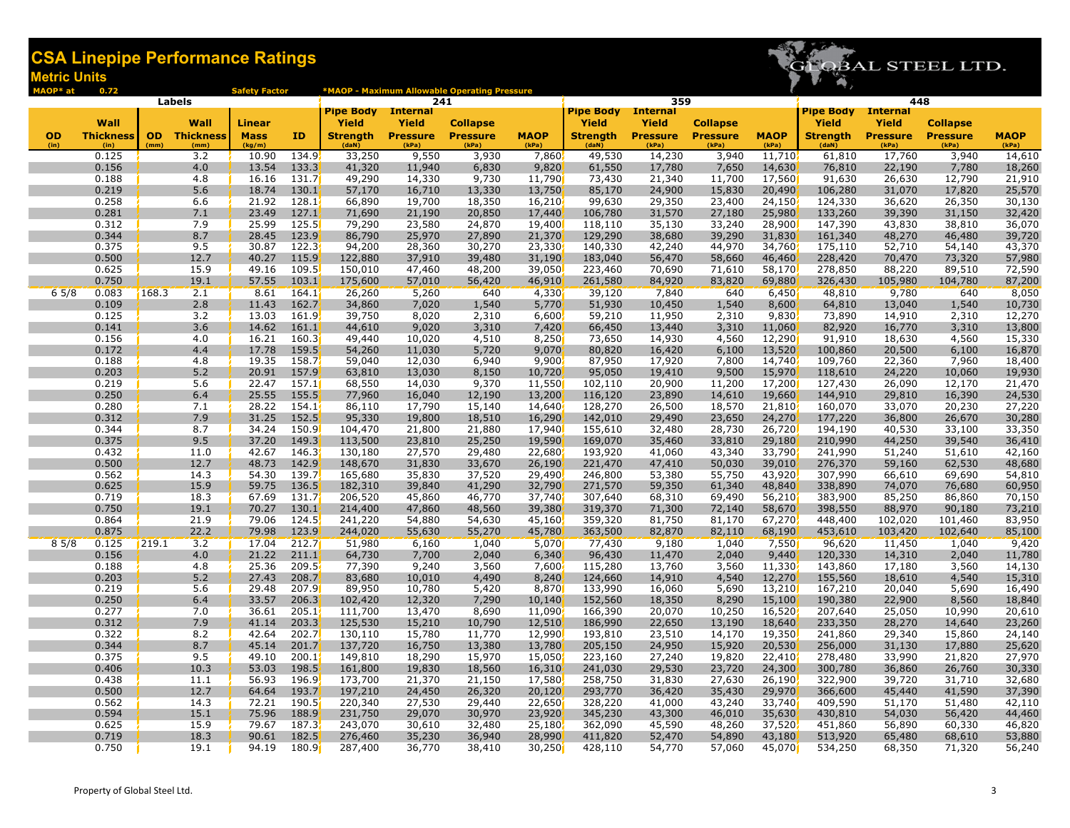

| MAOP* at          | 0.72                     |       |                             | <b>Safety Factor</b>  |                |                          |                          | *MAOP - Maximum Allowable Operating Pressure |                      |                           |                          |                          |                      |                          |                          |                          |                      |
|-------------------|--------------------------|-------|-----------------------------|-----------------------|----------------|--------------------------|--------------------------|----------------------------------------------|----------------------|---------------------------|--------------------------|--------------------------|----------------------|--------------------------|--------------------------|--------------------------|----------------------|
|                   |                          |       | Labels                      |                       |                |                          | 241                      |                                              |                      |                           | 359                      |                          |                      |                          | 448                      |                          |                      |
|                   |                          |       |                             |                       |                | <b>Pipe Body</b>         | <b>Internal</b>          |                                              |                      | <b>Pipe Body</b> Internal |                          |                          |                      | <b>Pipe Body</b>         | <b>Internal</b>          |                          |                      |
|                   | Wall                     |       | Wall                        | <b>Linear</b>         |                | Yield                    | Yield                    | <b>Collapse</b>                              |                      | <b>Yield</b>              | Yield                    | <b>Collapse</b>          |                      | Yield                    | Yield                    | <b>Collapse</b>          |                      |
| <b>OD</b><br>(in) | <b>Thickness</b><br>(in) | (mm)  | <b>OD</b> Thickness<br>(mm) | <b>Mass</b><br>(kg/m) | ID             | <b>Strength</b><br>(daN) | <b>Pressure</b><br>(kPa) | <b>Pressure</b><br>(kPa)                     | <b>MAOP</b><br>(kPa) | <b>Strength</b><br>(daN)  | <b>Pressure</b><br>(kPa) | <b>Pressure</b><br>(kPa) | <b>MAOP</b><br>(kPa) | <b>Strength</b><br>(daN) | <b>Pressure</b><br>(kPa) | <b>Pressure</b><br>(kPa) | <b>MAOP</b><br>(kPa) |
|                   | 0.125                    |       | 3.2                         | 10.90                 | 134.9          | 33,250                   | 9,550                    | 3,930                                        | 7,860                | 49,530                    | 14,230                   | 3,940                    | 11,710               | 61,810                   | 17,760                   | 3,940                    | 14,610               |
|                   | 0.156                    |       | 4.0                         | 13.54                 | 133.3          | 41,320                   | 11,940                   | 6,830                                        | 9,820                | 61,550                    | 17,780                   | 7,650                    | 14,630               | 76,810                   | 22,190                   | 7,780                    | 18,260               |
|                   | 0.188                    |       | 4.8                         | 16.16                 | 131.7          | 49,290                   | 14,330                   | 9,730                                        | 11,790               | 73,430                    | 21,340                   | 11,700                   | 17,560               | 91,630                   | 26,630                   | 12,790                   | 21,910               |
|                   | 0.219                    |       | 5.6                         | 18.74                 | 130.1          | 57,170                   | 16,710                   | 13,330                                       | 13,750               | 85,170                    | 24,900                   | 15,830                   | 20,490               | 106,280                  | 31,070                   | 17,820                   | 25,570               |
|                   | 0.258                    |       | 6.6                         | 21.92                 | 128.1          | 66,890                   | 19,700                   | 18,350                                       | 16,210               | 99,630                    | 29,350                   | 23,400                   | 24,150               | 124,330                  | 36,620                   | 26,350                   | 30,130               |
|                   | 0.281                    |       | 7.1                         | 23.49                 | 127.1          | 71,690                   | 21,190                   | 20,850                                       | 17,440               | 106,780                   | 31,570                   | 27,180                   | 25,980               | 133,260                  | 39,390                   | 31,150                   | 32,420               |
|                   | 0.312                    |       | 7.9                         | 25.99                 | 125.5          | 79,290                   | 23,580                   | 24,870                                       | 19,400               | 118,110                   | 35,130                   | 33,240                   | 28,900               | 147,390                  | 43,830                   | 38,810                   | 36,070               |
|                   | 0.344                    |       | 8.7                         | 28.45                 | 123.9          | 86,790                   | 25,970                   | 27,890                                       | 21,370               | 129,290                   | 38,680                   | 39,290                   | 31,830               | 161,340                  | 48,270                   | 46,480                   | 39,720               |
|                   | 0.375                    |       | 9.5                         | 30.87                 | 122.3          | 94,200                   | 28,360                   | 30,270                                       | 23,330               | 140,330                   | 42,240                   | 44,970                   | 34,760               | 175,110                  | 52,710                   | 54,140                   | 43,370               |
|                   | 0.500                    |       | 12.7                        | 40.27                 | 115.9          | 122,880                  | 37,910                   | 39,480                                       | 31,190               | 183,040                   | 56,470                   | 58,660                   | 46,460               | 228,420                  | 70,470                   | 73,320                   | 57,980               |
|                   | 0.625<br>0.750           |       | 15.9<br>19.1                | 49.16<br>57.55        | 109.5<br>103.1 | 150,010                  | 47,460                   | 48,200                                       | 39,050               | 223,460                   | 70,690                   | 71,610                   | 58,170               | 278,850<br>326,430       | 88,220                   | 89,510                   | 72,590               |
| $6\frac{5}{8}$    |                          | 168.3 | 2.1                         |                       |                | 175,600                  | 57,010                   | 56,420<br>640                                | 46,910               | 261,580                   | 84,920<br>7,840          | 83,820<br>640            | 69,880               | 48,810                   | 105,980<br>9,780         | 104,780<br>640           | 87,200               |
|                   | 0.083<br>0.109           |       | 2.8                         | 8.61<br>11.43         | 164.1<br>162.7 | 26,260<br>34,860         | 5,260<br>7,020           | 1,540                                        | 4,330<br>5,770       | 39,120<br>51,930          | 10,450                   | 1,540                    | 6,450<br>8,600       | 64,810                   | 13,040                   | 1,540                    | 8,050<br>10,730      |
|                   | 0.125                    |       | 3.2                         | 13.03                 | 161.9          | 39,750                   | 8,020                    | 2,310                                        | 6,600                | 59,210                    | 11,950                   | 2,310                    | 9,830                | 73,890                   | 14,910                   | 2,310                    | 12,270               |
|                   | 0.141                    |       | 3.6                         | 14.62                 | 161.1          | 44,610                   | 9,020                    | 3,310                                        | 7,420                | 66,450                    | 13,440                   | 3,310                    | 11,060               | 82,920                   | 16,770                   | 3,310                    | 13,800               |
|                   | 0.156                    |       | 4.0                         | 16.21                 | 160.3          | 49,440                   | 10,020                   | 4,510                                        | 8,250                | 73,650                    | 14,930                   | 4,560                    | 12,290               | 91,910                   | 18,630                   | 4,560                    | 15,330               |
|                   | 0.172                    |       | 4.4                         | 17.78                 | 159.5          | 54,260                   | 11,030                   | 5,720                                        | 9,070                | 80,820                    | 16,420                   | 6,100                    | 13,520               | 100,860                  | 20,500                   | 6,100                    | 16,870               |
|                   | 0.188                    |       | 4.8                         | 19.35                 | 158.7          | 59,040                   | 12,030                   | 6,940                                        | 9,900                | 87,950                    | 17,920                   | 7,800                    | 14,740               | 109,760                  | 22,360                   | 7,960                    | 18,400               |
|                   | 0.203                    |       | 5.2                         | 20.91                 | 157.9          | 63,810                   | 13,030                   | 8,150                                        | 10,720               | 95,050                    | 19,410                   | 9,500                    | 15,970               | 118,610                  | 24,220                   | 10,060                   | 19,930               |
|                   | 0.219                    |       | 5.6                         | 22.47                 | 157.1          | 68,550                   | 14,030                   | 9,370                                        | 11,550               | 102,110                   | 20,900                   | 11,200                   | 17,200               | 127,430                  | 26,090                   | 12,170                   | 21,470               |
|                   | 0.250                    |       | 6.4                         | 25.55                 | 155.5          | 77,960                   | 16,040                   | 12,190                                       | 13,200               | 116,120                   | 23,890                   | 14,610                   | 19,660               | 144,910                  | 29,810                   | 16,390                   | 24,530               |
|                   | 0.280                    |       | 7.1                         | 28.22                 | 154.1          | 86,110                   | 17,790                   | 15,140                                       | 14,640               | 128,270                   | 26,500                   | 18,570                   | 21,810               | 160,070                  | 33,070                   | 20,230                   | 27,220               |
|                   | 0.312                    |       | 7.9                         | 31.25                 | 152.5          | 95,330                   | 19,800                   | 18,510                                       | 16,290               | 142,010                   | 29,490                   | 23,650                   | 24,270               | 177,220                  | 36,800                   | 26,670                   | 30,280               |
|                   | 0.344                    |       | 8.7                         | 34.24                 | 150.9          | 104,470                  | 21,800                   | 21,880                                       | 17,940               | 155,610                   | 32,480                   | 28,730                   | 26,720               | 194,190                  | 40,530                   | 33,100                   | 33,350               |
|                   | 0.375                    |       | 9.5                         | 37.20                 | 149.3          | 113,500                  | 23,810                   | 25,250                                       | 19,590               | 169,070                   | 35,460                   | 33,810                   | 29,180               | 210,990                  | 44,250                   | 39,540                   | 36,410               |
|                   | 0.432                    |       | 11.0                        | 42.67                 | 146.3          | 130,180                  | 27,570                   | 29,480                                       | 22,680               | 193,920                   | 41,060                   | 43,340                   | 33,790               | 241,990                  | 51,240                   | 51,610                   | 42,160               |
|                   | 0.500                    |       | 12.7                        | 48.73                 | 142.9          | 148,670                  | 31,830                   | 33,670                                       | 26,190               | 221,470                   | 47,410                   | 50,030                   | 39,010               | 276,370                  | 59,160                   | 62,530                   | 48,680               |
|                   | 0.562                    |       | 14.3                        | 54.30                 | 139.7          | 165,680                  | 35,830                   | 37,520                                       | 29,490               | 246,800                   | 53,380                   | 55,750                   | 43,920               | 307,990                  | 66,610                   | 69,690                   | 54,810               |
|                   | 0.625<br>0.719           |       | 15.9<br>18.3                | 59.75<br>67.69        | 136.5<br>131.7 | 182,310<br>206,520       | 39,840<br>45,860         | 41,290<br>46,770                             | 32,790<br>37,740     | 271,570<br>307,640        | 59,350<br>68,310         | 61,340<br>69,490         | 48,840<br>56,210     | 338,890<br>383,900       | 74,070<br>85,250         | 76,680<br>86,860         | 60,950<br>70,150     |
|                   | 0.750                    |       | 19.1                        | 70.27                 | 130.1          | 214,400                  | 47,860                   | 48,560                                       | 39,380               | 319,370                   | 71,300                   | 72,140                   | 58,670               | 398,550                  | 88,970                   | 90,180                   | 73,210               |
|                   | 0.864                    |       | 21.9                        | 79.06                 | 124.5          | 241,220                  | 54,880                   | 54,630                                       | 45,160               | 359,320                   | 81,750                   | 81,170                   | 67,270               | 448,400                  | 102,020                  | 101,460                  | 83,950               |
|                   | 0.875                    |       | 22.2                        | 79.98                 | 123.9          | 244,020                  | 55,630                   | 55,270                                       | 45,780               | 363,500                   | 82,870                   | 82,110                   | 68,190               | 453,610                  | 103,420                  | 102,640                  | 85,100               |
| 85/8              | 0.125                    | 219.1 | 3.2                         | 17.04                 | 212.7          | 51,980                   | 6,160                    | 1,040                                        | 5,070                | 77,430                    | 9,180                    | 1,040                    | 7,550                | 96,620                   | 11,450                   | 1,040                    | 9,420                |
|                   | 0.156                    |       | 4.0                         | 21.22                 | 211.1          | 64,730                   | 7,700                    | 2,040                                        | 6,340                | 96,430                    | 11,470                   | 2,040                    | 9,440                | 120,330                  | 14,310                   | 2,040                    | 11,780               |
|                   | 0.188                    |       | 4.8                         | 25.36                 | 209.5          | 77,390                   | 9,240                    | 3,560                                        | 7,600                | 115,280                   | 13,760                   | 3,560                    | 11,330               | 143,860                  | 17,180                   | 3,560                    | 14,130               |
|                   | 0.203                    |       | 5.2                         | 27.43                 | 208.7          | 83,680                   | 10,010                   | 4,490                                        | 8,240                | 124,660                   | 14,910                   | 4,540                    | 12,270               | 155,560                  | 18,610                   | 4,540                    | 15,310               |
|                   | 0.219                    |       | 5.6                         | 29.48                 | 207.9          | 89,950                   | 10,780                   | 5,420                                        | 8,870                | 133,990                   | 16,060                   | 5,690                    | 13,210               | 167,210                  | 20,040                   | 5,690                    | 16,490               |
|                   | 0.250                    |       | 6.4                         | 33.57                 | 206.3          | 102,420                  | 12,320                   | 7,290                                        | 10,140               | 152,560                   | 18,350                   | 8,290                    | 15,100               | 190,380                  | 22,900                   | 8,560                    | 18,840               |
|                   | 0.277                    |       | 7.0                         | 36.61                 | 205.1          | 111,700                  | 13,470                   | 8,690                                        | 11,090               | 166,390                   | 20,070                   | 10,250                   | 16,520               | 207,640                  | 25,050                   | 10,990                   | 20,610               |
|                   | 0.312                    |       | 7.9                         | 41.14                 | 203.3          | 125,530                  | 15,210                   | 10,790                                       | 12,510               | 186,990                   | 22,650                   | 13,190                   | 18,640               | 233,350                  | 28,270                   | 14,640                   | 23,260               |
|                   | 0.322                    |       | 8.2                         | 42.64                 | 202.7          | 130,110                  | 15,780                   | 11,770                                       | 12,990               | 193,810                   | 23,510                   | 14,170                   | 19,350               | 241,860                  | 29,340                   | 15,860                   | 24,140               |
|                   | 0.344                    |       | 8.7                         | 45.14                 | 201.7          | 137,720                  | 16,750                   | 13,380                                       | 13,780               | 205,150                   | 24,950                   | 15,920                   | 20,530               | 256,000                  | 31,130                   | 17,880                   | 25,620               |
|                   | 0.375                    |       | 9.5                         | 49.10                 | 200.1          | 149,810                  | 18,290                   | 15,970                                       | 15,050               | 223,160                   | 27,240                   | 19,820                   | 22,410               | 278,480                  | 33,990                   | 21,820                   | 27,970               |
|                   | 0.406                    |       | 10.3                        | 53.03                 | 198.5          | 161,800                  | 19,830                   | 18,560                                       | 16,310               | 241,030                   | 29,530                   | 23,720                   | 24,300               | 300,780                  | 36,860                   | 26,760                   | 30,330               |
|                   | 0.438                    |       | 11.1                        | 56.93                 | 196.9          | 173,700                  | 21,370                   | 21,150                                       | 17,580               | 258,750                   | 31,830                   | 27,630                   | 26,190               | 322,900                  | 39,720                   | 31,710                   | 32,680               |
|                   | 0.500                    |       | 12.7                        | 64.64                 | 193.7<br>190.5 | 197,210                  | 24,450                   | 26,320                                       | 20,120               | 293,770                   | 36,420                   | 35,430                   | 29,970               | 366,600                  | 45,440                   | 41,590                   | 37,390               |
|                   | 0.562<br>0.594           |       | 14.3<br>15.1                | 72.21<br>75.96        | 188.9          | 220,340<br>231,750       | 27,530<br>29,070         | 29,440<br>30,970                             | 22,650<br>23,920     | 328,220<br>345,230        | 41,000<br>43,300         | 43,240<br>46,010         | 33,740<br>35,630     | 409,590<br>430,810       | 51,170<br>54,030         | 51,480<br>56,420         | 42,110<br>44,460     |
|                   | 0.625                    |       | 15.9                        | 79.67                 | 187.3          | 243,070                  | 30,610                   | 32,480                                       | 25,180               | 362,090                   | 45,590                   | 48,260                   | 37,520               | 451,860                  | 56,890                   | 60,330                   | 46,820               |
|                   | 0.719                    |       | 18.3                        | 90.61                 | 182.5          | 276,460                  | 35,230                   | 36,940                                       | 28,990               | 411,820                   | 52,470                   | 54,890                   | 43,180               | 513,920                  | 65,480                   | 68,610                   | 53,880               |
|                   | 0.750                    |       | 19.1                        | 94.19                 | 180.9          | 287,400                  | 36,770                   | 38,410                                       | 30,250               | 428,110                   | 54,770                   | 57,060                   | 45,070               | 534,250                  | 68,350                   | 71,320                   | 56,240               |
|                   |                          |       |                             |                       |                |                          |                          |                                              |                      |                           |                          |                          |                      |                          |                          |                          |                      |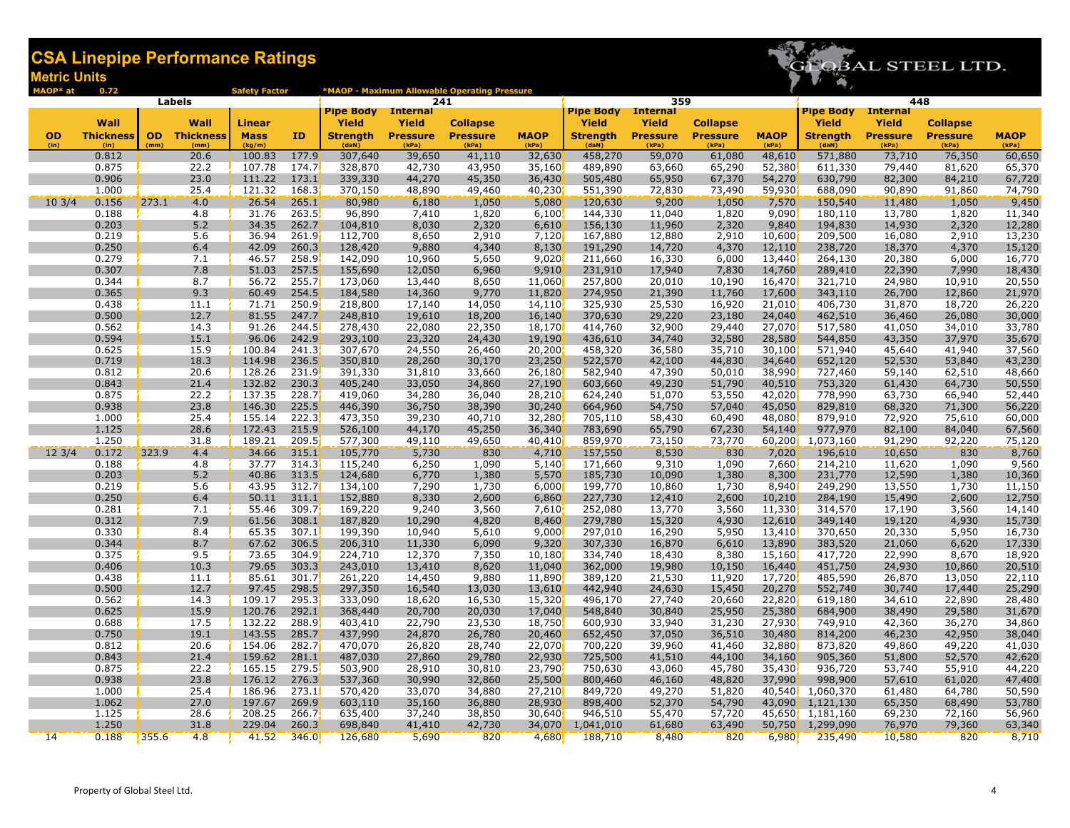

| MAOP* at          | 0.72                     |       |                             | <b>Safety Factor</b>  |                |                          |                          | *MAOP - Maximum Allowable Operating Pressure |                      |                          |                          |                          |                      |                          |                          |                          |                      |
|-------------------|--------------------------|-------|-----------------------------|-----------------------|----------------|--------------------------|--------------------------|----------------------------------------------|----------------------|--------------------------|--------------------------|--------------------------|----------------------|--------------------------|--------------------------|--------------------------|----------------------|
|                   |                          |       | Labels                      |                       |                |                          | 241                      |                                              |                      |                          | 359                      |                          |                      |                          | 448                      |                          |                      |
|                   |                          |       |                             |                       |                | <b>Pipe Body</b>         | <b>Internal</b>          |                                              |                      | <b>Pipe Body</b>         | <b>Internal</b>          |                          |                      | <b>Pipe Body</b>         | <b>Internal</b>          |                          |                      |
|                   | Wall                     |       | Wall                        | <b>Linear</b>         |                | Yield                    | Yield                    | <b>Collapse</b>                              |                      | Yield                    | <b>Yield</b>             | <b>Collapse</b>          |                      | Yield                    | <b>Yield</b>             | <b>Collapse</b>          |                      |
| <b>OD</b><br>(in) | <b>Thickness</b><br>(in) | (mm)  | <b>OD</b> Thickness<br>(mm) | <b>Mass</b><br>(kg/m) | ID             | <b>Strength</b><br>(daN) | <b>Pressure</b><br>(kPa) | <b>Pressure</b><br>(kPa)                     | <b>MAOP</b><br>(kPa) | <b>Strength</b><br>(daN) | <b>Pressure</b><br>(kPa) | <b>Pressure</b><br>(kPa) | <b>MAOP</b><br>(kPa) | <b>Strength</b><br>(daN) | <b>Pressure</b><br>(kPa) | <b>Pressure</b><br>(kPa) | <b>MAOP</b><br>(kPa) |
|                   | 0.812                    |       | 20.6                        | 100.83                | 177.9          | 307,640                  | 39,650                   | 41,110                                       | 32,630               | 458,270                  | 59,070                   | 61,080                   | 48,610               | 571,880                  | 73,710                   | 76,350                   | 60,650               |
|                   | 0.875                    |       | 22.2                        | 107.78                | 174.7          | 328,870                  | 42,730                   | 43,950                                       | 35,160               | 489,890                  | 63,660                   | 65,290                   | 52,380               | 611,330                  | 79,440                   | 81,620                   | 65,370               |
|                   | 0.906                    |       | 23.0                        | 111.22                | 173.1          | 339,330                  | 44,270                   | 45,350                                       | 36,430               | 505,480                  | 65,950                   | 67,370                   | 54,270               | 630,790                  | 82,300                   | 84,210                   | 67,720               |
|                   | 1.000                    |       | 25.4                        | 121.32                | 168.3          | 370,150                  | 48,890                   | 49,460                                       | 40,230               | 551,390                  | 72,830                   | 73,490                   | 59,930               | 688,090                  | 90,890                   | 91,860                   | 74,790               |
| $10 \frac{3}{4}$  | 0.156                    | 273.1 | 4.0                         | 26.54                 | 265.1          | 80,980                   | 6,180                    | 1,050                                        | 5,080                | 120,630                  | 9,200                    | 1,050                    | 7,570                | 150,540                  | 11,480                   | 1,050                    | 9,450                |
|                   | 0.188                    |       | 4.8                         | 31.76                 | 263.5          | 96,890                   | 7,410                    | 1,820                                        | 6,100                | 144,330                  | 11,040                   | 1,820                    | 9,090                | 180,110                  | 13,780                   | 1,820                    | 11,340               |
|                   | 0.203                    |       | 5.2                         | 34.35                 | 262.7          | 104,810                  | 8,030                    | 2,320                                        | 6,610                | 156,130                  | 11,960                   | 2,320                    | 9,840                | 194,830                  | 14,930                   | 2,320                    | 12,280               |
|                   | 0.219                    |       | 5.6                         | 36.94                 | 261.9          | 112,700                  | 8,650                    | 2,910                                        | 7,120                | 167,880                  | 12,880                   | 2,910                    | 10,600               | 209,500                  | 16,080                   | 2,910                    | 13,230               |
|                   | 0.250                    |       | 6.4                         | 42.09                 | 260.3          | 128,420                  | 9,880                    | 4,340                                        | 8,130                | 191,290                  | 14,720                   | 4,370                    | 12,110               | 238,720                  | 18,370                   | 4,370                    | 15,120               |
|                   | 0.279                    |       | 7.1                         | 46.57                 | 258.9          | 142,090                  | 10,960                   | 5,650                                        | 9,020                | 211,660                  | 16,330                   | 6,000                    | 13,440               | 264,130                  | 20,380                   | 6,000                    | 16,770               |
|                   | 0.307                    |       | 7.8                         | 51.03                 | 257.5          | 155,690                  | 12,050                   | 6,960                                        | 9,910                | 231,910                  | 17,940                   | 7,830                    | 14,760               | 289,410                  | 22,390                   | 7,990                    | 18,430               |
|                   | 0.344                    |       | 8.7                         | 56.72                 | 255.7          | 173,060                  | 13,440                   | 8,650                                        | 11,060               | 257,800                  | 20,010                   | 10,190                   | 16,470               | 321,710                  | 24,980                   | 10,910                   | 20,550               |
|                   | 0.365<br>0.438           |       | 9.3<br>11.1                 | 60.49<br>71.71        | 254.5<br>250.9 | 184,580<br>218,800       | 14,360<br>17,140         | 9,770<br>14,050                              | 11,820<br>14,110     | 274,950<br>325,930       | 21,390<br>25,530         | 11,760<br>16,920         | 17,600<br>21,010     | 343,110<br>406,730       | 26,700<br>31,870         | 12,860<br>18,720         | 21,970<br>26,220     |
|                   | 0.500                    |       | 12.7                        | 81.55                 | 247.7          | 248,810                  | 19,610                   | 18,200                                       | 16,140               | 370,630                  | 29,220                   | 23,180                   | 24,040               | 462,510                  | 36,460                   | 26,080                   | 30,000               |
|                   | 0.562                    |       | 14.3                        | 91.26                 | 244.5          | 278,430                  | 22,080                   | 22,350                                       | 18,170               | 414,760                  | 32,900                   | 29,440                   | 27,070               | 517,580                  | 41,050                   | 34,010                   | 33,780               |
|                   | 0.594                    |       | 15.1                        | 96.06                 | 242.9          | 293,100                  | 23,320                   | 24,430                                       | 19,190               | 436,610                  | 34,740                   | 32,580                   | 28,580               | 544,850                  | 43,350                   | 37,970                   | 35,670               |
|                   | 0.625                    |       | 15.9                        | 100.84                | 241.3          | 307,670                  | 24,550                   | 26,460                                       | 20,200               | 458,320                  | 36,580                   | 35,710                   | 30,100               | 571,940                  | 45,640                   | 41,940                   | 37,560               |
|                   | 0.719                    |       | 18.3                        | 114.98                | 236.5          | 350,810                  | 28,260                   | 30,170                                       | 23,250               | 522,570                  | 42,100                   | 44,830                   | 34,640               | 652,120                  | 52,530                   | 53,840                   | 43,230               |
|                   | 0.812                    |       | 20.6                        | 128.26                | 231.9          | 391,330                  | 31,810                   | 33,660                                       | 26,180               | 582,940                  | 47,390                   | 50,010                   | 38,990               | 727,460                  | 59,140                   | 62,510                   | 48,660               |
|                   | 0.843                    |       | 21.4                        | 132.82                | 230.3          | 405,240                  | 33,050                   | 34,860                                       | 27,190               | 603,660                  | 49,230                   | 51,790                   | 40,510               | 753,320                  | 61,430                   | 64,730                   | 50,550               |
|                   | 0.875                    |       | 22.2                        | 137.35                | 228.7          | 419,060                  | 34,280                   | 36,040                                       | 28,210               | 624,240                  | 51,070                   | 53,550                   | 42,020               | 778,990                  | 63,730                   | 66,940                   | 52,440               |
|                   | 0.938                    |       | 23.8                        | 146.30                | 225.5          | 446,390                  | 36,750                   | 38,390                                       | 30,240               | 664,960                  | 54,750                   | 57,040                   | 45,050               | 829,810                  | 68,320                   | 71,300                   | 56,220               |
|                   | 1.000                    |       | 25.4                        | 155.14                | 222.3          | 473,350                  | 39,230                   | 40,710                                       | 32,280               | 705,110                  | 58,430                   | 60,490                   | 48,080               | 879,910                  | 72,920                   | 75,610                   | 60,000               |
|                   | 1.125                    |       | 28.6                        | 172.43                | 215.9          | 526,100                  | 44,170                   | 45,250                                       | 36,340               | 783,690                  | 65,790                   | 67,230                   | 54,140               | 977,970                  | 82,100                   | 84,040                   | 67,560               |
|                   | 1.250                    |       | 31.8                        | 189.21                | 209.5          | 577,300                  | 49,110                   | 49,650                                       | 40,410               | 859,970                  | 73,150                   | 73,770                   | 60,200               | 1,073,160                | 91,290                   | 92,220                   | 75,120               |
| $12 \frac{3}{4}$  | 0.172                    | 323.9 | 4.4                         | 34.66                 | 315.1          | 105,770                  | 5,730                    | 830                                          | 4,710                | 157,550                  | 8,530                    | 830                      | 7,020                | 196,610                  | 10,650                   | 830                      | 8,760                |
|                   | 0.188                    |       | 4.8                         | 37.77                 | 314.3          | 115,240                  | 6,250                    | 1,090                                        | 5,140                | 171,660                  | 9,310                    | 1,090                    | 7,660                | 214,210                  | 11,620                   | 1,090                    | 9,560                |
|                   | 0.203<br>0.219           |       | 5.2<br>5.6                  | 40.86<br>43.95        | 313.5<br>312.7 | 124,680                  | 6,770                    | 1,380                                        | 5,570                | 185,730<br>199,770       | 10,090                   | 1,380<br>1,730           | 8,300<br>8,940       | 231,770<br>249,290       | 12,590<br>13,550         | 1,380<br>1,730           | 10,360               |
|                   | 0.250                    |       | 6.4                         | 50.11                 | 311.1          | 134,100<br>152,880       | 7,290<br>8,330           | 1,730<br>2,600                               | 6,000<br>6,860       | 227,730                  | 10,860<br>12,410         | 2,600                    | 10,210               | 284,190                  | 15,490                   | 2,600                    | 11,150<br>12,750     |
|                   | 0.281                    |       | 7.1                         | 55.46                 | 309.7          | 169,220                  | 9,240                    | 3,560                                        | 7,610                | 252,080                  | 13,770                   | 3,560                    | 11,330               | 314,570                  | 17,190                   | 3,560                    | 14,140               |
|                   | 0.312                    |       | 7.9                         | 61.56                 | 308.1          | 187,820                  | 10,290                   | 4,820                                        | 8,460                | 279,780                  | 15,320                   | 4,930                    | 12,610               | 349,140                  | 19,120                   | 4,930                    | 15,730               |
|                   | 0.330                    |       | 8.4                         | 65.35                 | 307.1          | 199,390                  | 10,940                   | 5,610                                        | 9,000                | 297,010                  | 16,290                   | 5,950                    | 13,410               | 370,650                  | 20,330                   | 5,950                    | 16,730               |
|                   | 0.344                    |       | 8.7                         | 67.62                 | 306.5          | 206,310                  | 11,330                   | 6,090                                        | 9,320                | 307,330                  | 16,870                   | 6,610                    | 13,890               | 383,520                  | 21,060                   | 6,620                    | 17,330               |
|                   | 0.375                    |       | 9.5                         | 73.65                 | 304.9          | 224,710                  | 12,370                   | 7,350                                        | 10,180               | 334,740                  | 18,430                   | 8,380                    | 15,160               | 417,720                  | 22,990                   | 8,670                    | 18,920               |
|                   | 0.406                    |       | 10.3                        | 79.65                 | 303.3          | 243,010                  | 13,410                   | 8,620                                        | 11,040               | 362,000                  | 19,980                   | 10,150                   | 16,440               | 451,750                  | 24,930                   | 10,860                   | 20,510               |
|                   | 0.438                    |       | 11.1                        | 85.61                 | 301.7          | 261,220                  | 14,450                   | 9,880                                        | 11,890               | 389,120                  | 21,530                   | 11,920                   | 17,720               | 485,590                  | 26,870                   | 13,050                   | 22,110               |
|                   | 0.500                    |       | 12.7                        | 97.45                 | 298.5          | 297,350                  | 16,540                   | 13,030                                       | 13,610               | 442,940                  | 24,630                   | 15,450                   | 20,270               | 552,740                  | 30,740                   | 17,440                   | 25,290               |
|                   | 0.562                    |       | 14.3                        | 109.17                | 295.3          | 333,090                  | 18,620                   | 16,530                                       | 15,320               | 496,170                  | 27,740                   | 20,660                   | 22,820               | 619,180                  | 34,610                   | 22,890                   | 28,480               |
|                   | 0.625                    |       | 15.9                        | 120.76                | 292.1          | 368,440                  | 20,700                   | 20,030                                       | 17,040               | 548,840                  | 30,840                   | 25,950                   | 25,380               | 684,900                  | 38,490                   | 29,580                   | 31,670               |
|                   | 0.688                    |       | 17.5                        | 132.22                | 288.9          | 403,410                  | 22,790                   | 23,530                                       | 18,750               | 600,930                  | 33,940                   | 31,230                   | 27,930               | 749,910                  | 42,360                   | 36,270                   | 34,860               |
|                   | 0.750                    |       | 19.1                        | 143.55                | 285.7          | 437,990                  | 24,870                   | 26,780                                       | 20,460               | 652,450                  | 37,050                   | 36,510                   | 30,480               | 814,200                  | 46,230                   | 42,950                   | 38,040               |
|                   | 0.812<br>0.843           |       | 20.6<br>21.4                | 154.06<br>159.62      | 282.7<br>281.1 | 470,070                  | 26,820<br>27,860         | 28,740<br>29,780                             | 22,070<br>22,930     | 700,220<br>725,500       | 39,960<br>41,510         | 41,460<br>44,100         | 32,880<br>34,160     | 873,820<br>905,360       | 49,860                   | 49,220<br>52,570         | 41,030<br>42,620     |
|                   | 0.875                    |       | 22.2                        | 165.15                | 279.5          | 487,030<br>503,900       | 28,910                   | 30,810                                       | 23,790               | 750,630                  | 43,060                   | 45,780                   | 35,430               | 936,720                  | 51,800<br>53,740         | 55,910                   | 44,220               |
|                   | 0.938                    |       | 23.8                        | 176.12                | 276.3          | 537,360                  | 30,990                   | 32,860                                       | 25,500               | 800,460                  | 46,160                   | 48,820                   | 37,990               | 998,900                  | 57,610                   | 61,020                   | 47,400               |
|                   | 1.000                    |       | 25.4                        | 186.96                | 273.1          | 570,420                  | 33,070                   | 34,880                                       | 27,210               | 849,720                  | 49,270                   | 51,820                   | 40,540               | 1,060,370                | 61,480                   | 64,780                   | 50,590               |
|                   | 1.062                    |       | 27.0                        | 197.67                | 269.9          | 603,110                  | 35,160                   | 36,880                                       | 28,930               | 898,400                  | 52,370                   | 54,790                   | 43,090               | 1,121,130                | 65,350                   | 68,490                   | 53,780               |
|                   | 1.125                    |       | 28.6                        | 208.25                | 266.7          | 635,400                  | 37,240                   | 38,850                                       | 30,640               | 946,510                  | 55,470                   | 57,720                   | 45,650               | 1,181,160                | 69,230                   | 72,160                   | 56,960               |
|                   | 1.250                    |       | 31.8                        | 229.04                | 260.3          | 698,840                  | 41,410                   | 42,730                                       | 34,070               | 1,041,010                | 61,680                   | 63,490                   | 50,750               | 1,299,090                | 76,970                   | 79,360                   | 63,340               |
| 14                | 0.188                    | 355.6 | 4.8                         | 41.52                 | 346.0          | 126,680                  | 5,690                    | 820                                          | 4,680                | 188,710                  | 8,480                    | 820                      | 6,980                | 235,490                  | 10,580                   | 820                      | 8,710                |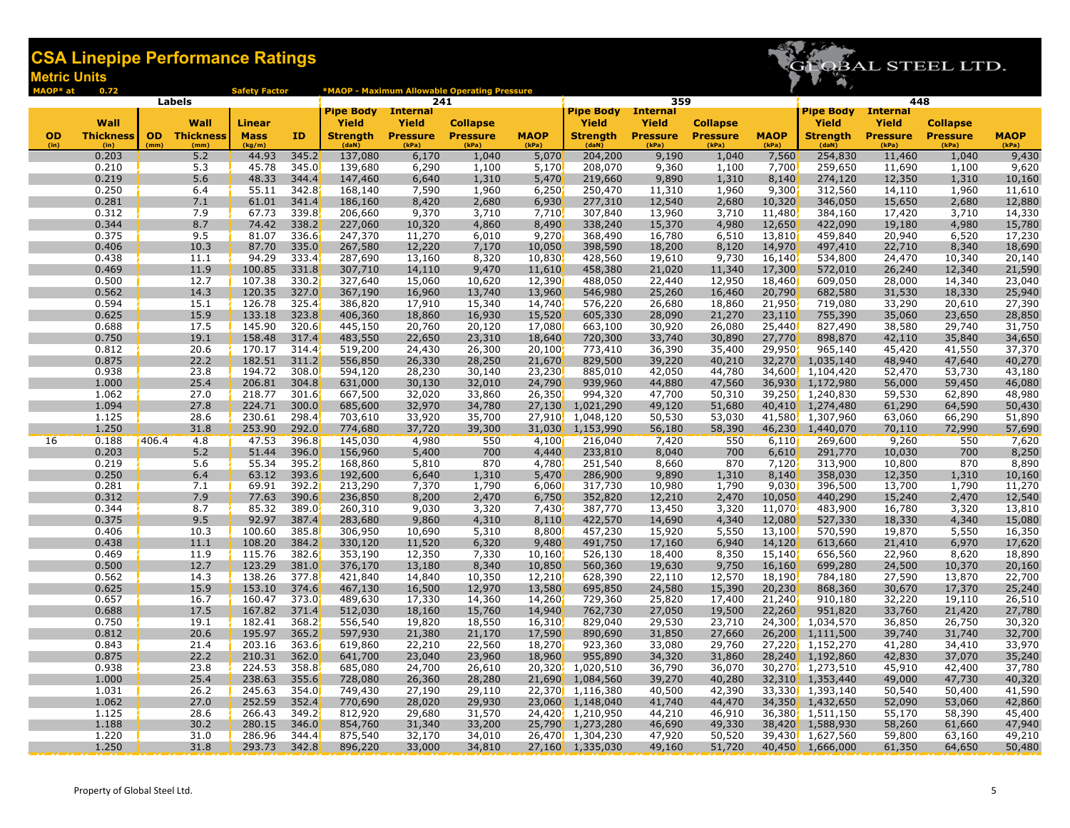

|           | 0.72             | Labels              | <b>Safety Factor</b> |                |                    | 241              | *MAOP - Maximum Allowable Operating Pressure |                                 |                           | 359              |                  |                  |                        | 448              |                  |                         |
|-----------|------------------|---------------------|----------------------|----------------|--------------------|------------------|----------------------------------------------|---------------------------------|---------------------------|------------------|------------------|------------------|------------------------|------------------|------------------|-------------------------|
|           |                  |                     |                      |                | <b>Pipe Body</b>   | <b>Internal</b>  |                                              |                                 | <b>Pipe Body Internal</b> |                  |                  |                  | <b>Pipe Body</b>       | <b>Internal</b>  |                  |                         |
|           | Wall             | Wall                | <b>Linear</b>        |                | Yield              | Yield            | <b>Collapse</b>                              |                                 | <b>Yield</b>              | Yield            | <b>Collapse</b>  |                  | Yield                  | <b>Yield</b>     | <b>Collapse</b>  |                         |
| <b>OD</b> | <b>Thickness</b> | <b>OD</b> Thickness | <b>Mass</b>          | ID             | Strength           | <b>Pressure</b>  | <b>Pressure</b>                              | <b>MAOP</b>                     | <b>Strength</b>           | <b>Pressure</b>  | <b>Pressure</b>  | <b>MAOP</b>      | Strength               | <b>Pressure</b>  | <b>Pressure</b>  | <b>MAOP</b>             |
| (in)      | (in)<br>0.203    | (mm)<br>(mm)<br>5.2 | (kg/m)<br>44.93      | 345.2          | (daN)<br>137,080   | (kPa)<br>6,170   | (kPa)<br>1,040                               | (kPa)<br>5,070                  | (daN)<br>204,200          | (kPa)<br>9,190   | (kPa)<br>1,040   | (kPa)<br>7,560   | (daN)<br>254,830       | (kPa)<br>11,460  | (kPa)<br>1,040   | (kPa)<br>9,430          |
|           | 0.210            | 5.3                 | 45.78                | 345.0          | 139,680            | 6,290            | 1,100                                        | 5,170                           | 208,070                   | 9,360            | 1,100            | 7,700            | 259,650                | 11,690           | 1,100            | 9,620                   |
|           | 0.219            | 5.6                 | 48.33                | 344.4          | 147,460            | 6,640            | 1,310                                        | 5,470                           | 219,660                   | 9,890            | 1,310            | 8,140            | 274,120                | 12,350           | 1,310            |                         |
|           | 0.250            | 6.4                 | 55.11                | 342.8          | 168,140            | 7,590            | 1,960                                        | 6,250                           | 250,470                   | 11,310           | 1,960            | 9,300            | 312,560                | 14,110           | 1,960            | $\frac{10,160}{11,610}$ |
|           | 0.281            | 7.1                 | 61.01                | 341.4          | 186,160            | 8,420            | 2,680                                        | 6,930                           | 277,310                   | 12,540           | 2,680            | 10,320           | 346,050                | 15,650           | 2,680            | 12,880                  |
|           | 0.312            | 7.9                 | 67.73                | 339.8          | 206,660            | 9,370            | 3,710                                        | 7,710                           | 307,840                   | 13,960           | 3,710            | 11,480           | 384,160                | 17,420           | 3,710            | 14,330                  |
|           | 0.344            | 8.7                 | 74.42                | 338.2          | 227,060            | 10,320           | 4,860                                        | 8,490                           | 338,240                   | 15,370           | 4,980            | 12,650           | 422,090                | 19,180           | 4,980            | 15,780                  |
|           | 0.375            | 9.5                 | 81.07                | 336.6          | 247,370            | 11,270           | 6,010                                        | 9,270                           | 368,490                   | 16,780           | 6,510            | 13,810           | 459,840                | 20,940           | 6,520            | 17,230                  |
|           | 0.406<br>0.438   | 10.3<br>11.1        | 87.70<br>94.29       | 335.0<br>333.4 | 267,580<br>287,690 | 12,220<br>13,160 | 7,170<br>8,320                               | 10,050<br>10,830                | 398,590<br>428,560        | 18,200<br>19,610 | 8,120<br>9,730   | 14,970<br>16,140 | 497,410<br>534,800     | 22,710<br>24,470 | 8,340<br>10,340  | 18,690                  |
|           | 0.469            | 11.9                | 100.85               | 331.8          | 307,710            | 14,110           | 9,470                                        | 11,610                          | 458,380                   | 21,020           | 11,340           | 17,300           | 572,010                | 26,240           | 12,340           | 20,140<br>21,590        |
|           | 0.500            | 12.7                | 107.38               | 330.2          | 327,640            | 15,060           | 10,620                                       | 12,390                          | 488,050                   | 22,440           | 12,950           | 18,460           | 609,050                | 28,000           | 14,340           | 23,040                  |
|           | 0.562            | 14.3                | 120.35               | 327.0          | 367,190            | 16,960           | 13,740                                       | 13,960                          | 546,980                   | 25,260           | 16,460           | 20,790           | 682,580                | 31,530           | 18,330           | 25,940                  |
|           | 0.594            | 15.1                | 126.78               | 325.4          | 386,820            | 17,910           | 15,340                                       | 14,740                          | 576,220                   | 26,680           | 18,860           | 21,950           | 719,080                | 33,290           | 20,610           | 27,390                  |
|           | 0.625            | 15.9                | 133.18               | 323.8          | 406,360            | 18,860           | 16,930                                       | 15,520                          | 605,330                   | 28,090           | 21,270           | 23,110           | 755,390                | 35,060           | 23,650           | 28,850                  |
|           | 0.688            | 17.5                | 145.90               | 320.6          | 445,150            | 20,760           | 20,120                                       | 17,080                          | 663,100                   | 30,920           | 26,080           | 25,440           | 827,490                | 38,580           | 29,740           | 31,750                  |
|           | 0.750            | 19.1                | 158.48               | 317.4          | 483,550            | 22,650           | 23,310                                       | 18,640                          | 720,300                   | 33,740           | 30,890           | 27,770           | 898,870                | 42,110           | 35,840           | 34,650                  |
|           | 0.812            | 20.6                | 170.17               | 314.4          | 519,200            | 24,430           | 26,300                                       | 20,100                          | 773,410                   | 36,390<br>39,220 | 35,400           | 29,950           | 965,140                | 45,420           | 41,550           | 37,370                  |
|           | 0.875            | 22.2                | 182.51               | 311.2          | 556,850            | 26,330           | 28,250                                       | 21,670                          | 829,500                   |                  | 40,210           | 32,270           | 1,035,140              | 48,940           | 47,640           | 40,270                  |
|           | 0.938            | 23.8                | 194.72               | 308.0          | 594,120            | 28,230           | 30,140                                       | 23,230                          | 885,010                   | 42,050           | 44,780           | 34,600           | 1,104,420              | 52,470           | 53,730           | 43,180                  |
|           | 1.000            | 25.4                | 206.81               | 304.8          | 631,000            | 30,130           | 32,010                                       | 24,790                          | 939,960                   | 44,880           | 47,560           | 36,930           | 1,172,980              | 56,000           | 59,450           | 46,080                  |
|           | 1.062            | 27.0                | 218.77               | 301.6          | 667,500            | 32,020           | 33,860                                       | 26,350                          | 994,320                   | 47,700           | 50,310           | 39,250           | 1,240,830              | 59,530           | 62,890           | 48,980                  |
|           | 1.094<br>1.125   | 27.8<br>28.6        | 224.71<br>230.61     | 300.0<br>298.4 | 685,600<br>703,610 | 32,970<br>33,920 | 34,780<br>35,700                             | 27,130                          | 1,021,290<br>1,048,120    | 49,120<br>50,530 | 51,680<br>53,030 | 40,410<br>41,580 | 1,274,480<br>1,307,960 | 61,290           | 64,590<br>66,290 | 50,430<br>51,890        |
|           | 1.250            | 31.8                | 253.90               | 292.0          | 774,680            | 37,720           | 39,300                                       | 27,910<br>31,030 <mark>,</mark> | 1,153,990                 | 56,180           | 58,390           | 46,230           | 1,440,070              | 63,060<br>70,110 | 72,990           | 57,690                  |
| 16        | 0.188            | 406.4<br>4.8        | 47.53                | 396.8          | 145,030            | 4,980            | 550                                          | 4,100                           | 216,040                   | 7,420            | 550              | 6,110            | 269,600                | 9,260            | 550              | 7,620                   |
|           | 0.203            | 5.2                 | 51.44                | 396.0          | 156,960            | 5,400            | 700                                          | 4,440                           | 233,810                   | 8,040            | 700              | 6,610            | 291,770                | 10,030           | 700              | 8,250                   |
|           | 0.219            | 5.6                 | 55.34                | 395.2          | 168,860            | 5,810            | 870                                          | 4,780                           | 251,540                   | 8,660            | 870              | 7,120            | 313,900                | 10,800           | 870              | 8,890                   |
|           | 0.250            | 6.4                 | 63.12                | 393.6          | 192,600            | 6,640            | 1,310                                        | 5,470                           | 286,900                   | 9,890            | 1,310            | 8,140            | 358,030                | 12,350           | 1,310            | 10,160                  |
|           | 0.281            | 7.1                 | 69.91                | 392.2          | 213,290            | 7,370            | 1,790                                        | 6,060                           | 317,730                   | 10,980           | 1,790            | 9,030            | 396,500                | 13,700           | 1,790            | 11,270                  |
|           | 0.312            | 7.9                 | 77.63                | 390.6          | 236,850            | 8,200            | 2,470                                        | 6,750                           | 352,820                   | 12,210           | 2,470            | 10,050           | 440,290                | 15,240           | 2,470            | 12,540                  |
|           | 0.344            | 8.7                 | 85.32                | 389.0          | 260,310            | 9,030            | 3,320                                        | 7,430                           | 387,770                   | 13,450           | 3,320            | 11,070           | 483,900                | 16,780           | 3,320            | 13,810                  |
|           | 0.375            | 9.5                 | 92.97                | 387.4          | 283,680            | 9,860            | 4,310                                        | 8,110                           | 422,570                   | 14,690           | 4,340            | 12,080           | 527,330                | 18,330           | 4,340            | 15,080                  |
|           | 0.406            | 10.3                | 100.60               | 385.8          | 306,950            | 10,690           | 5,310                                        | 8,800                           | 457,230                   | 15,920           | 5,550            | 13,100           | 570,590                | 19,870           | 5,550            | 16,350                  |
|           | 0.438            | 11.1                | 108.20               | 384.2          | 330,120            | 11,520           | 6,320                                        | 9,480                           | 491,750                   | 17,160           | 6,940            | 14,120           | 613,660                | 21,410           | 6,970            | 17,620                  |
|           | 0.469            | 11.9                | 115.76               | 382.6          | 353,190            | 12,350           | 7,330                                        | 10,160                          | 526,130                   | 18,400           | 8,350            | 15,140           | 656,560                | 22,960           | 8,620            | 18,890                  |
|           | 0.500            | 12.7                | 123.29               | 381.0          | 376,170            | 13,180           | 8,340                                        | 10,850                          | 560,360                   | 19,630           | 9,750            | 16,160           | 699,280                | 24,500           | 10,370           | 20,160                  |
|           | 0.562<br>0.625   | 14.3<br>15.9        | 138.26<br>153.10     | 377.8<br>374.6 | 421,840<br>467,130 | 14,840<br>16,500 | 10,350<br>12,970                             | 12,210<br>13,580                | 628,390<br>695,850        | 22,110<br>24,580 | 12,570<br>15,390 | 18,190<br>20,230 | 784,180<br>868,360     | 27,590           | 13,870<br>17,370 | 22,700<br>25,240        |
|           | 0.657            | 16.7                | 160.47               | 373.0          | 489,630            | 17,330           | 14,360                                       | 14,260                          | 729,360                   | 25,820           | 17,400           | 21,240           | 910,180                | 30,670<br>32,220 | 19,110           | 26,510                  |
|           | 0.688            | 17.5                | 167.82               | 371.4          | 512,030            | 18,160           | 15,760                                       | 14,940                          | 762,730                   | 27,050           | 19,500           | 22,260           | 951,820                | 33,760           | 21,420           | 27,780                  |
|           | 0.750            | 19.1                | 182.41               | 368.2          | 556,540            | 19,820           | 18,550                                       | 16,310                          | 829,040                   | 29,530           | 23,710           | 24,300           | 1,034,570              | 36,850           | 26,750           | 30,320                  |
|           | 0.812            | 20.6                | 195.97               | 365.2          | 597,930            | 21,380           | 21,170                                       | 17,590                          | 890,690                   | 31,850           | 27,660           | 26,200           | 1,111,500              | 39,740           | 31,740           | 32,700                  |
|           | 0.843            | 21.4                | 203.16               | 363.6          | 619,860            | 22,210           | 22,560                                       | 18,270                          | 923,360                   | 33,080           | 29,760           | 27,2201          | 1,152,270              | 41,280           | 34,410           | 33,970                  |
|           | 0.875            | 22.2                | 210.31               | 362.0          | 641,700            | 23,040           | 23,960                                       | 18,960                          | 955,890                   | 34,320           | 31,860           | 28,240           | 1,192,860              | 42,830           | 37,070           | 35,240                  |
|           | 0.938            | 23.8                | 224.53               | 358.8          | 685,080            | 24,700           | 26,610                                       | 20,320                          | 1,020,510                 | 36,790           | 36,070           | 30,270           | 1,273,510              | 45,910           | 42,400           | 37,780                  |
|           | 1.000            | 25.4                | 238.63               | 355.6          | 728,080            | 26,360           | 28,280                                       | 21,690                          | 1,084,560                 | 39,270           | 40,280           | 32,310           | 1,353,440              | 49,000           | 47,730           | 40,320                  |
|           | 1.031            | 26.2                | 245.63               | 354.0          | 749,430            | 27,190           | 29,110                                       |                                 | 22,370 1,116,380          | 40,500           | 42,390           |                  | 33,330 1,393,140       | 50,540           | 50,400           | 41,590                  |
|           | 1.062            | 27.0                | 252.59               | 352.4          | 770,690            | 28,020           | 29,930                                       |                                 | 23,060 1,148,040          | 41,740           | 44,470           | 34,350           | 1,432,650              | 52,090           | 53,060           | 42,860                  |
|           | 1.125            | 28.6                | 266.43               | 349.2          | 812,920            | 29,680           | 31,570                                       |                                 | 24,420, 1,210,950         | 44,210           | 46,910           | 36,380           | 1,511,150              | 55,170           | 58,390           | 45,400                  |
|           | 1.188            | 30.2                | 280.15               | 346.0          | 854,760            | 31,340           | 33,200                                       |                                 | 25,790 1,273,280          | 46,690           | 49,330           | 38,420           | 1,588,930              | 58,260           | 61,660           | 47,940                  |
|           | 1.220            | 31.0                | 286.96               | 344.4          | 875,540            | 32,170           | 34,010                                       |                                 | 26,470, 1,304,230         | 47,920           | 50,520           |                  | 39,430, 1,627,560      | 59,800           | 63,160           | 49,210                  |
|           | 1.250            | 31.8                | 293.73               | 342.8          | 896,220            | 33,000           | 34,810                                       |                                 | 27,160 1,335,030          | 49,160           | 51,720           |                  | 40,450 1,666,000       | 61,350           | 64,650           | 50,480                  |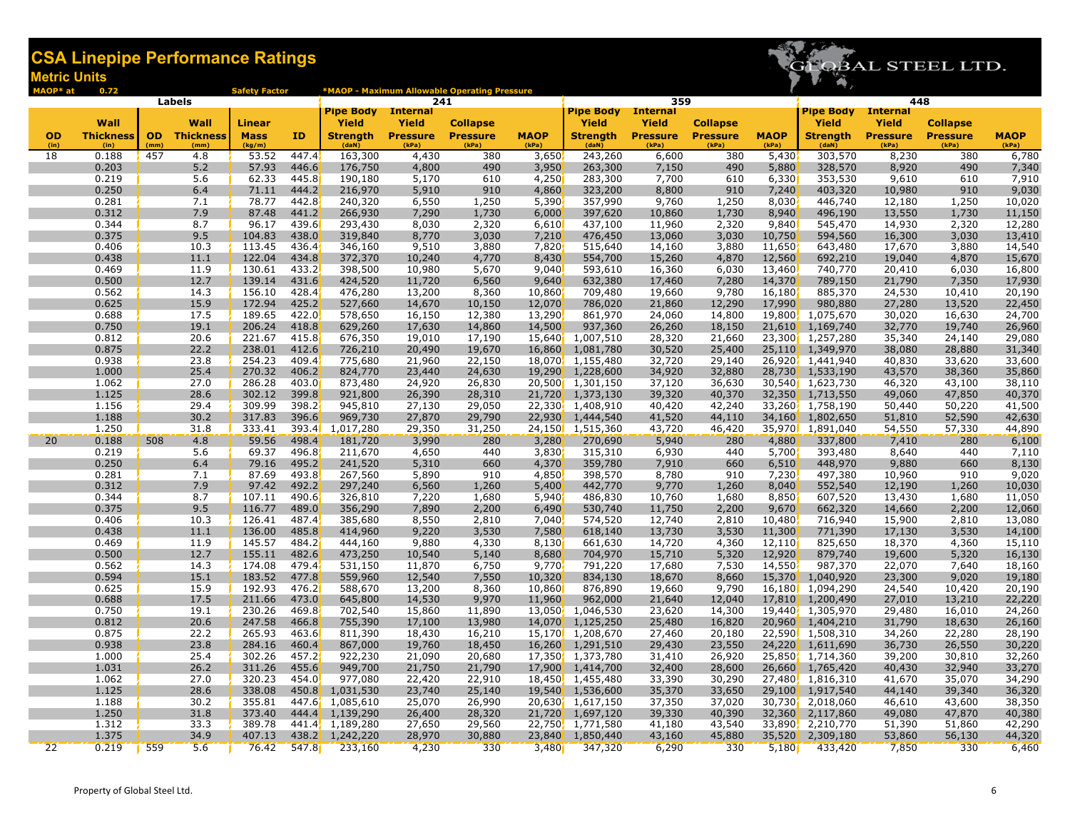

| MAOP* at        | 0.72             |      |                     | <b>Safety Factor</b> |                |                      |                        | *MAOP - Maximum Allowable Operating Pressure |                  |                                      |                  |                  |                  |                        |                        |                  |                  |
|-----------------|------------------|------|---------------------|----------------------|----------------|----------------------|------------------------|----------------------------------------------|------------------|--------------------------------------|------------------|------------------|------------------|------------------------|------------------------|------------------|------------------|
|                 |                  |      | <b>Labels</b>       |                      |                | <b>Pipe Body</b>     | 241<br><b>Internal</b> |                                              |                  | <b>Pipe Body</b> Internal            | 359              |                  |                  | <b>Pipe Body</b>       | 448<br><b>Internal</b> |                  |                  |
|                 | Wall             |      | Wall                | Linear               |                | <b>Yield</b>         | Yield                  | <b>Collapse</b>                              |                  | <b>Yield</b>                         | <b>Yield</b>     | <b>Collapse</b>  |                  | Yield                  | Yield                  | <b>Collapse</b>  |                  |
| <b>OD</b>       | <b>Thickness</b> |      | <b>OD</b> Thickness | <b>Mass</b>          | ID             | <b>Strength</b>      | <b>Pressure</b>        | <b>Pressure</b>                              | <b>MAOP</b>      | <b>Strength</b>                      | <b>Pressure</b>  | <b>Pressure</b>  | <b>MAOP</b>      | <b>Strength</b>        | <b>Pressure</b>        | <b>Pressure</b>  | <b>MAOP</b>      |
| (in)            | (in)             | (mm) | (mm)                | (kg/m)               |                | (daN)                | (kPa)                  | (kPa)                                        | (kPa)            | (daN)                                | (kPa)            | (kPa)            | (kPa)            | (daN)                  | (kPa)                  | (kPa)            | (kPa)            |
| 18              | 0.188            | 457  | 4.8                 | 53.52                | 447.4          | 163,300              | 4,430                  | 380                                          | 3,650            | 243,260                              | 6,600            | 380              | 5,430            | 303,570                | 8,230                  | 380              | 6,780            |
|                 | 0.203            |      | 5.2                 | 57.93                | 446.6          | 176,750              | 4,800                  | 490                                          | 3,950            | 263,300                              | 7,150            | 490              | 5,880            | 328,570                | 8,920                  | 490              | 7,340            |
|                 | 0.219            |      | 5.6                 | 62.33                | 445.8          | 190,180              | 5,170                  | 610                                          | 4,250            | 283,300                              | 7,700            | 610              | 6,330            | 353,530                | 9,610                  | 610              | 7,910            |
|                 | 0.250<br>0.281   |      | 6.4<br>7.1          | 71.11<br>78.77       | 444.2<br>442.8 | 216,970<br>240,320   | 5,910                  | 910<br>1,250                                 | 4,860<br>5,390   | 323,200<br>357,990                   | 8,800<br>9,760   | 910<br>1,250     | 7,240<br>8,030   | 403,320<br>446,740     | 10,980<br>12,180       | 910<br>1,250     | 9,030<br>10,020  |
|                 | 0.312            |      | 7.9                 | 87.48                | 441.2          | 266,930              | 6,550<br>7,290         | 1,730                                        | 6,000            | 397,620                              | 10,860           | 1,730            | 8,940            | 496,190                | 13,550                 | 1,730            | 11,150           |
|                 | 0.344            |      | 8.7                 | 96.17                | 439.6          | 293,430              | 8,030                  | 2,320                                        | 6,610            | 437,100                              | 11,960           | 2,320            | 9,840            | 545,470                | 14,930                 | 2,320            | 12,280           |
|                 | 0.375            |      | 9.5                 | 104.83               | 438.0          | 319,840              | 8,770                  | 3,030                                        | 7,210            | 476,450                              | 13,060           | 3,030            | 10,750           | 594,560                | 16,300                 | 3,030            | 13,410           |
|                 | 0.406            |      | 10.3                | 113.45               | 436.4          | 346,160              | 9,510                  | 3,880                                        | 7,820            | 515,640                              | 14,160           | 3,880            | 11,650           | 643,480                | 17,670                 | 3,880            | 14,540           |
|                 | 0.438            |      | 11.1                | 122.04               | 434.8          | 372,370              | 10,240                 | 4,770                                        | 8,430            | 554,700                              | 15,260           | 4,870            | 12,560           | 692,210                | 19,040                 | 4,870            | 15,670           |
|                 | 0.469            |      | 11.9                | 130.61               | 433.2          | 398,500              | 10,980                 | 5,670                                        | 9,040            | 593,610                              | 16,360           | 6,030            | 13,460           | 740,770                | 20,410                 | 6,030            | 16,800           |
|                 | 0.500            |      | 12.7                | 139.14               | 431.6          | 424,520              | 11,720                 | 6,560                                        | 9,640            | 632,380                              | 17,460           | 7,280            | 14,370           | 789,150                | 21,790                 | 7,350            | 17,930           |
|                 | 0.562            |      | 14.3                | 156.10               | 428.4          | 476,280              | 13,200                 | 8,360                                        | 10,860           | 709,480                              | 19,660           | 9,780            | 16,180           | 885,370                | 24,530                 | 10,410           | 20,190           |
|                 | 0.625<br>0.688   |      | 15.9<br>17.5        | 172.94<br>189.65     | 425.2<br>422.0 | 527,660<br>578,650   | 14,670<br>16,150       | 10,150<br>12,380                             | 12,070<br>13,290 | 786,020                              | 21,860<br>24,060 | 12,290<br>14,800 | 17,990<br>19,800 | 980,880<br>1,075,670   | 27,280<br>30,020       | 13,520           | 22,450<br>24,700 |
|                 | 0.750            |      | 19.1                | 206.24               | 418.8          | 629,260              | 17,630                 | 14,860                                       | 14,500           | 861,970<br>937,360                   | 26,260           | 18,150           | 21,610           | 1,169,740              | 32,770                 | 16,630<br>19,740 | 26,960           |
|                 | 0.812            |      | 20.6                | 221.67               | 415.8          | 676,350              | 19,010                 | 17,190                                       | 15,640           | 1,007,510                            | 28,320           | 21,660           | 23,300           | 1,257,280              | 35,340                 | 24,140           | 29,080           |
|                 | 0.875            |      | 22.2                | 238.01               | 412.6          | 726,210              | 20,490                 | 19,670                                       | 16,860           | 1,081,780                            | 30,520           | 25,400           | 25,110           | 1,349,970              | 38,080                 | 28,880           | 31,340           |
|                 | 0.938            |      | 23.8                | 254.23               | 409.4          | 775,680              | 21,960                 | 22,150                                       | 18,070           | 1,155,480                            | 32,720           | 29,140           | 26,920           | 1,441,940              | 40,830                 | 33,620           | 33,600           |
|                 | 1.000            |      | 25.4                | 270.32               | 406.2          | 824,770              | 23,440                 | 24,630                                       | 19,290           | 1,228,600                            | 34,920           | 32,880           | 28,730           | 1,533,190              | 43,570                 | 38,360           | 35,860           |
|                 | 1.062            |      | 27.0                | 286.28               | 403.0          | 873,480              | 24,920                 | 26,830                                       |                  | 20,500 1,301,150                     | 37,120           | 36,630           | 30,540           | 1,623,730              | 46,320                 | 43,100           | 38,110           |
|                 | 1.125            |      | 28.6                | 302.12               | 399.8          | 921,800              | 26,390                 | 28,310                                       |                  | 21,720 1,373,130                     | 39,320           | 40,370           | 32,350           | 1,713,550              | 49,060                 | 47,850           | 40,370           |
|                 | 1.156            |      | 29.4                | 309.99               | 398.2          | 945,810              | 27,130                 | 29,050                                       |                  | 22,330, 1,408,910                    | 40,420           | 42,240           | 33,260           | 1,758,190              | 50,440                 | 50,220           | 41,500           |
|                 | 1.188            |      | 30.2                | 317.83               | 396.6          | 969,730              | 27,870                 | 29,790                                       | 22,930           | 1,444,540                            | 41,520           | 44,110           | 34,160           | 1,802,650              | 51,810                 | 52,590           | 42,630           |
|                 | 1.250<br>0.188   |      | 31.8                | 333.41<br>59.56      | 393.4<br>498.4 | 1,017,280            | 29,350                 | 31,250<br>280                                |                  | 24,150 1,515,360                     | 43,720           | 46,420           | 35,970           | 1,891,040              | 54,550                 | 57,330<br>280    | 44,890           |
| 20              | 0.219            | 508  | 4.8<br>5.6          | 69.37                | 496.8          | 181,720<br>211,670   | 3,990<br>4,650         | 440                                          | 3,280<br>3,830   | 270,690<br>315,310                   | 5,940<br>6,930   | 280<br>440       | 4,880<br>5,700   | 337,800<br>393,480     | 7,410<br>8,640         | 440              | 6,100<br>7,110   |
|                 | 0.250            |      | 6.4                 | 79.16                | 495.2          | 241,520              | 5,310                  | 660                                          | 4,370            | 359,780                              | 7,910            | 660              | 6,510            | 448,970                | 9,880                  | 660              | 8,130            |
|                 | 0.281            |      | 7.1                 | 87.69                | 493.8          | 267,560              | 5,890                  | 910                                          | 4,850            | 398,570                              | 8,780            | 910              | 7,230            | 497,380                | 10,960                 | 910              | 9,020            |
|                 | 0.312            |      | 7.9                 | 97.42                | 492.2          | 297,240              | 6,560                  | 1,260                                        | 5,400            | 442,770                              | 9,770            | 1,260            | 8,040            | 552,540                | 12,190                 | 1,260            | 10,030           |
|                 | 0.344            |      | 8.7                 | 107.11               | 490.6          | 326,810              | 7,220                  | 1,680                                        | 5,940            | 486,830                              | 10,760           | 1,680            | 8,850            | 607,520                | 13,430                 | 1,680            | 11,050           |
|                 | 0.375            |      | 9.5                 | 116.77               | 489.0          | 356,290              | 7,890                  | 2,200                                        | 6,490            | 530,740                              | 11,750           | 2,200            | 9,670            | 662,320                | 14,660                 | 2,200            | 12,060           |
|                 | 0.406            |      | 10.3                | 126.41               | 487.4          | 385,680              | 8,550                  | 2,810                                        | 7,040            | 574,520                              | 12,740           | 2,810            | 10,480           | 716,940                | 15,900                 | 2,810            | 13,080           |
|                 | 0.438            |      | 11.1                | 136.00               | 485.8          | 414,960              | 9,220                  | 3,530                                        | 7,580            | 618,140                              | 13,730           | 3,530            | 11,300           | 771,390                | 17,130                 | 3,530            | 14,100           |
|                 | 0.469<br>0.500   |      | 11.9                | 145.57<br>155.11     | 484.2          | 444,160              | 9,880                  | 4,330                                        | 8,130            | 661,630                              | 14,720<br>15,710 | 4,360            | 12,110           | 825,650<br>879,740     | 18,370                 | 4,360            | 15,110           |
|                 | 0.562            |      | 12.7<br>14.3        | 174.08               | 482.6<br>479.4 | 473,250<br>531,150   | 10,540<br>11,870       | 5,140<br>6,750                               | 8,680<br>9,770   | 704,970<br>791,220                   | 17,680           | 5,320<br>7,530   | 12,920<br>14,550 | 987,370                | 19,600<br>22,070       | 5,320<br>7,640   | 16,130<br>18,160 |
|                 | 0.594            |      | 15.1                | 183.52               | 477.8          | 559,960              | 12,540                 | 7,550                                        | 10,320           | 834,130                              | 18,670           | 8,660            | 15,370           | 1,040,920              | 23,300                 | 9,020            | 19,180           |
|                 | 0.625            |      | 15.9                | 192.93               | 476.2          | 588,670              | 13,200                 | 8,360                                        | 10,860           | 876,890                              | 19,660           | 9,790            | 16,180           | 1,094,290              | 24,540                 | 10,420           | 20,190           |
|                 | 0.688            |      | 17.5                | 211.66               | 473.0          | 645,800              | 14,530                 | 9,970                                        | 11,960           | 962,000                              | 21,640           | 12,040           | 17,810           | 1,200,490              | 27,010                 | 13,210           | 22,220           |
|                 | 0.750            |      | 19.1                | 230.26               | 469.8          | 702,540              | 15,860                 | 11,890                                       | 13,050           | 1,046,530                            | 23,620           | 14,300           | 19,440           | 1,305,970              | 29,480                 | 16,010           | 24,260           |
|                 | 0.812            |      | 20.6                | 247.58               | 466.8          | 755,390              | 17,100                 | 13,980                                       | 14,070           | 1,125,250                            | 25,480           | 16,820           | 20,960           | 1,404,210              | 31,790                 | 18,630           | 26,160           |
|                 | 0.875            |      | 22.2                | 265.93               | 463.6          | 811,390              | 18,430                 | 16,210                                       |                  | 15,170 1,208,670                     | 27,460           | 20,180           | 22,590           | 1,508,310              | 34,260                 | 22,280           | 28,190           |
|                 | 0.938            |      | 23.8                | 284.16               | 460.4          | 867,000              | 19,760                 | 18,450                                       |                  | 16,260 1,291,510                     | 29,430           | 23,550           | 24,220           | 1,611,690              | 36,730                 | 26,550           | 30,220           |
|                 | 1.000            |      | 25.4                | 302.26               | 457.2          | 922,230              | 21,090                 | 20,680                                       |                  | 17,350 1,373,780                     | 31,410           | 26,920           |                  | 25,850 1,714,360       | 39,200                 | 30,810           | 32,260           |
|                 | 1.031            |      | 26.2                | 311.26               | 455.6<br>454.0 | 949,700              | 21,750                 | 21,790                                       |                  | 17,900, 1,414,700                    | 32,400           | 28,600           | 26,660           | 1,765,420              | 40,430                 | 32,940           | 33,270           |
|                 | 1.062<br>1.125   |      | 27.0<br>28.6        | 320.23<br>338.08     | 450.8          | 977,080<br>1,031,530 | 22,420<br>23,740       | 22,910<br>25,140                             |                  | 18,450 1,455,480<br>19,540 1,536,600 | 33,390<br>35,370 | 30,290<br>33,650 | 27,480<br>29,100 | 1,816,310<br>1,917,540 | 41,670<br>44,140       | 35,070<br>39,340 | 34,290<br>36,320 |
|                 | 1.188            |      | 30.2                | 355.81               |                | 447.6 1,085,610      | 25,070                 | 26,990                                       |                  | 20,630 1,617,150                     | 37,350           | 37,020           | 30,730           | 2,018,060              | 46,610                 | 43,600           | 38,350           |
|                 | 1.250            |      | 31.8                | 373.40               |                | 444.4 1,139,290      | 26,400                 | 28,320                                       |                  | 21,720 1,697,120                     | 39,330           | 40,390           | 32,360           | 2,117,860              | 49,080                 | 47,870           | 40,380           |
|                 | 1.312            |      | 33.3                | 389.78               |                | 441.4 1,189,280      | 27,650                 | 29,560                                       |                  | 22,750, 1,771,580                    | 41,180           | 43,540           | 33,890           | 2,210,770              | 51,390                 | 51,860           | 42,290           |
|                 | 1.375            |      | 34.9                | 407.13               |                | 438.2, 1,242,220     | 28,970                 | 30,880                                       |                  | 23,840, 1,850,440                    | 43,160           | 45,880           | 35,520           | 2,309,180              | 53,860                 | 56,130           | 44,320           |
| $\overline{22}$ | 0.219            | 559  | 5.6                 | 76.42                | 547.8          | 233,160              | 4,230                  | 330                                          | 3,480            | 347,320                              | 6,290            | 330              | 5,180            | 433,420                | 7,850                  | 330              | 6,460            |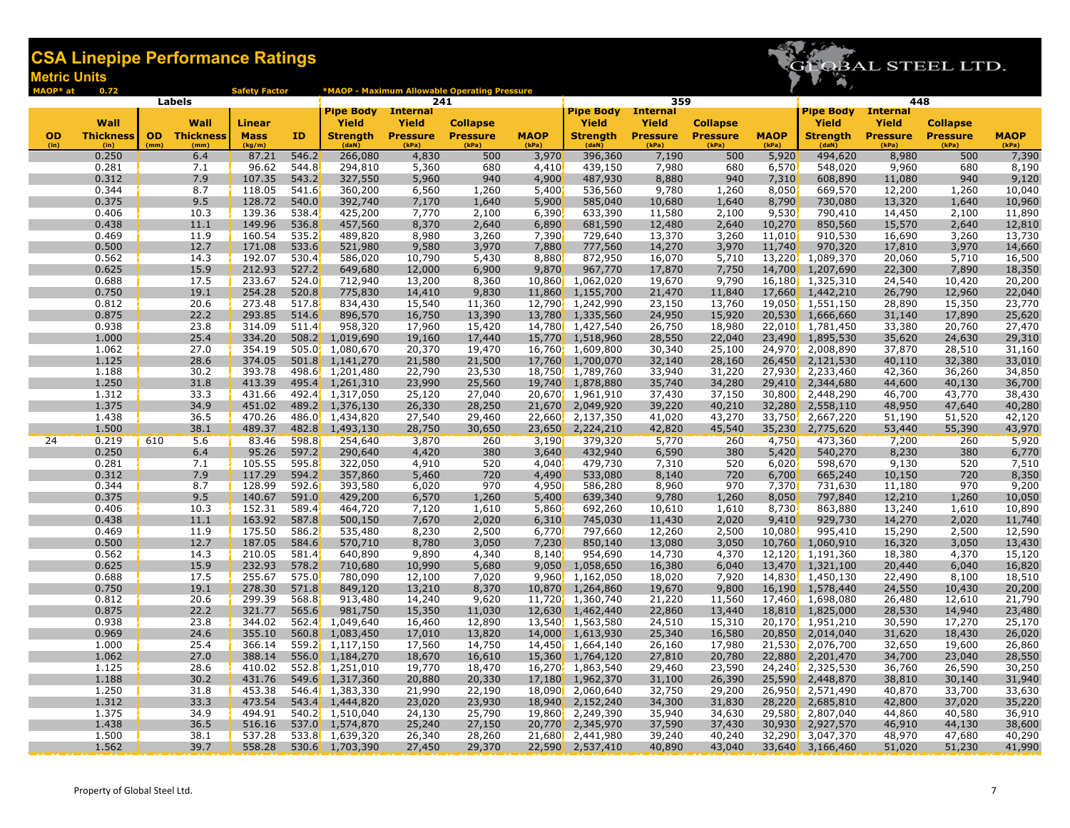

| MAOP* at  | 0.72             |      |                     | <b>Safety Factor</b> |                    |                              |                  | *MAOP - Maximum Allowable Operating Pressure |                |                                       |                  |                  |                  |                        |                        |                  |                  |
|-----------|------------------|------|---------------------|----------------------|--------------------|------------------------------|------------------|----------------------------------------------|----------------|---------------------------------------|------------------|------------------|------------------|------------------------|------------------------|------------------|------------------|
|           |                  |      | <b>Labels</b>       |                      |                    | <b>Pipe Body</b>             | <b>Internal</b>  | 241                                          |                | <b>Pipe Body</b> Internal             | 359              |                  |                  | <b>Pipe Body</b>       | 448<br><b>Internal</b> |                  |                  |
|           | Wall             |      | Wall                | Linear               |                    | Yield                        | Yield            | <b>Collapse</b>                              |                | Yield                                 | Yield            | <b>Collapse</b>  |                  | Yield                  | <b>Yield</b>           | <b>Collapse</b>  |                  |
| <b>OD</b> | <b>Thickness</b> |      | <b>OD</b> Thickness | <b>Mass</b>          | ID                 | <b>Strength</b>              | <b>Pressure</b>  | <b>Pressure</b>                              | <b>MAOP</b>    | <b>Strength</b>                       | <b>Pressure</b>  | <b>Pressure</b>  | <b>MAOP</b>      | <b>Strength</b>        | <b>Pressure</b>        | <b>Pressure</b>  | <b>MAOP</b>      |
| (in)      | (in)             | (mm) | (mm)                | (kg/m)               |                    | (dan)                        | (kPa)            | (kPa)                                        | (kPa)          | (daN)                                 | (kPa)            | (kPa)            | (kPa)            | (daN)                  | (kPa)                  | (kPa)            | (kPa)            |
|           | 0.250            |      | 6.4                 | 87.21                | 546.2              | 266,080                      | 4,830            | 500                                          | 3,970          | 396,360                               | 7,190            | 500              | 5,920            | 494,620                | 8,980                  | 500              | 7,390            |
|           | 0.281            |      | 7.1                 | 96.62                | 544.8              | 294,810                      | 5,360            | 680                                          | 4,410          | 439,150                               | 7,980            | 680              | 6,570            | 548,020                | 9,960                  | 680              | 8,190            |
|           | 0.312            |      | 7.9                 | 107.35               | 543.2              | 327,550                      | 5,960            | 940                                          | 4,900          | 487,930                               | 8,880            | 940              | 7,310            | 608,890                | 11,080                 | 940              | 9,120            |
|           | 0.344            |      | 8.7                 | 118.05               | 541.6              | 360,200                      | 6,560            | 1,260                                        | 5,400          | 536,560                               | 9,780            | 1,260            | 8,050            | 669,570                | 12,200                 | 1,260            | 10,040           |
|           | 0.375            |      | 9.5                 | 128.72               | 540.0              | 392,740                      | 7,170            | 1,640                                        | 5,900          | 585,040                               | 10,680           | 1,640            | 8,790            | 730,080                | 13,320                 | 1,640            | 10,960           |
|           | 0.406            |      | 10.3                | 139.36               | 538.4              | 425,200                      | 7,770            | 2,100                                        | 6,390          | 633,390                               | 11,580           | 2,100            | 9,530            | 790,410                | 14,450                 | 2,100            | 11,890           |
|           | 0.438            |      | 11.1                | 149.96               | 536.8<br>535.2     | 457,560                      | 8,370            | 2,640                                        | 6,890          | 681,590                               | 12,480           | 2,640            | 10,270<br>11,010 | 850,560                | 15,570                 | 2,640            | 12,810           |
|           | 0.469<br>0.500   |      | 11.9<br>12.7        | 160.54<br>171.08     | 533.6              | 489,820<br>521,980           | 8,980<br>9,580   | 3,260<br>3,970                               | 7,390<br>7,880 | 729,640<br>777,560                    | 13,370<br>14,270 | 3,260<br>3,970   | 11,740           | 910,530<br>970,320     | 16,690<br>17,810       | 3,260<br>3,970   | 13,730<br>14,660 |
|           | 0.562            |      | 14.3                | 192.07               | 530.4              | 586,020                      | 10,790           | 5,430                                        | 8,880          | 872,950                               | 16,070           | 5,710            | 13,220           | 1,089,370              | 20,060                 | 5,710            | 16,500           |
|           | 0.625            |      | 15.9                | 212.93               | 527.2              | 649,680                      | 12,000           | 6,900                                        | 9,870          | 967,770                               | 17,870           | 7,750            | 14,700           | 1,207,690              | 22,300                 | 7,890            | 18,350           |
|           | 0.688            |      | 17.5                | 233.67               | 524.0              | 712,940                      | 13,200           | 8,360                                        | 10,860         | 1,062,020                             | 19,670           | 9,790            | 16,180           | 1,325,310              | 24,540                 | 10,420           | 20,200           |
|           | 0.750            |      | 19.1                | 254.28               | 520.8              | 775,830                      | 14,410           | 9,830                                        | 11,860         | 1,155,700                             | 21,470           | 11,840           | 17,660           | 1,442,210              | 26,790                 | 12,960           | 22,040           |
|           | 0.812            |      | 20.6                | 273.48               | 517.8              | 834,430                      | 15,540           | 11,360                                       |                | 12,790 1,242,990                      | 23,150           | 13,760           | 19,050           | 1,551,150              | 28,890                 | 15,350           | 23,770           |
|           | 0.875            |      | 22.2                | 293.85               | 514.6              | 896,570                      | 16,750           | 13,390                                       |                | 13,780, 1,335,560                     | 24,950           | 15,920           | 20,530           | 1,666,660              | 31,140                 | 17,890           | 25,620           |
|           | 0.938            |      | 23.8                | 314.09               | 511.4              | 958,320                      | 17,960           | 15,420                                       |                | 14,780 1,427,540                      | 26,750           | 18,980           | 22,010           | 1,781,450              | 33,380                 | 20,760           | 27,470           |
|           | 1.000            |      | 25.4                | 334.20               | 508.2 <sup>2</sup> | 1,019,690                    | 19,160           | 17,440                                       |                | 15,770 1,518,960                      | 28,550           | 22,040           | 23,490           | 1,895,530              | 35,620                 | 24,630           | 29,310           |
|           | 1.062            |      | 27.0                | 354.19               |                    | 505.0 1,080,670              | 20,370           | 19,470                                       |                | 16,760 1,609,800                      | 30,340           | 25,100           | 24,970           | 2,008,890              | 37,870                 | 28,510           | 31,160           |
|           | 1.125            |      | 28.6                | 374.05               |                    | 501.8, 1,141,270             | 21,580           | 21,500                                       |                | 17,760, 1,700,070                     | 32,140           | 28,160           | 26,450           | 2,121,530              | 40,110                 | 32,380           | 33,010           |
|           | 1.188            |      | 30.2                | 393.78               |                    | 498.6 1,201,480              | 22,790           | 23,530                                       |                | 18,750 1,789,760                      | 33,940           | 31,220           | 27,930           | 2,233,460              | 42,360                 | 36,260           | 34,850           |
|           | 1.250            |      | 31.8                | 413.39               |                    | 495.4 1,261,310              | 23,990           | 25,560                                       |                | 19,740 1,878,880                      | 35,740           | 34,280           | 29,410           | 2,344,680              | 44,600                 | 40,130           | 36,700           |
|           | 1.312            |      | 33.3                | 431.66               |                    | 492.4 1,317,050              | 25,120           | 27,040                                       |                | 20,670 1,961,910                      | 37,430           | 37,150           | 30,800           | 2,448,290              | 46,700                 | 43,770           | 38,430           |
|           | 1.375<br>1.438   |      | 34.9<br>36.5        | 451.02<br>470.26     | 489.2              | 1,376,130<br>486.0 1,434,820 | 26,330<br>27,540 | 28,250<br>29,460                             |                | 21,670, 2,049,920<br>22,660 2,137,350 | 39,220<br>41,020 | 40,210<br>43,270 | 32,280<br>33,750 | 2,558,110<br>2,667,220 | 48,950<br>51,190       | 47,640<br>51,520 | 40,280<br>42,120 |
|           | 1.500            |      | 38.1                | 489.37               | 482.8              | 1,493,130                    | 28,750           | 30,650                                       | 23,650         | 2,224,210                             | 42,820           | 45,540           | 35,230           | 2,775,620              | 53,440                 | 55,390           | 43,970           |
| 24        | 0.219            | 610  | 5.6                 | 83.46                | 598.8              | 254,640                      | 3,870            | 260                                          | 3,190          | 379,320                               | 5,770            | 260              | 4,750            | 473,360                | 7,200                  | 260              | 5,920            |
|           | 0.250            |      | 6.4                 | 95.26                | 597.2              | 290,640                      | 4,420            | 380                                          | 3,640          | 432,940                               | 6,590            | 380              | 5,420            | 540,270                | 8,230                  | 380              | 6,770            |
|           | 0.281            |      | 7.1                 | 105.55               | 595.8              | 322,050                      | 4,910            | 520                                          | 4,040          | 479,730                               | 7,310            | 520              | 6,020            | 598,670                | 9,130                  | 520              | 7,510            |
|           | 0.312            |      | 7.9                 | 117.29               | 594.2              | 357,860                      | 5,460            | 720                                          | 4,490          | 533,080                               | 8,140            | 720              | 6,700            | 665,240                | 10,150                 | 720              | 8,350            |
|           | 0.344            |      | 8.7                 | 128.99               | 592.6              | 393,580                      | 6,020            | 970                                          | 4,950          | 586,280                               | 8,960            | 970              | 7,370            | 731,630                | 11,180                 | 970              | 9,200            |
|           | 0.375            |      | 9.5                 | 140.67               | 591.0              | 429,200                      | 6,570            | 1,260                                        | 5,400          | 639,340                               | 9,780            | 1,260            | 8,050            | 797,840                | 12,210                 | 1,260            | 10,050           |
|           | 0.406            |      | 10.3                | 152.31               | 589.4              | 464,720                      | 7,120            | 1,610                                        | 5,860          | 692,260                               | 10,610           | 1,610            | 8,730            | 863,880                | 13,240                 | 1,610            | 10,890           |
|           | 0.438            |      | 11.1                | 163.92               | 587.8              | 500,150                      | 7,670            | 2,020                                        | 6,310          | 745,030                               | 11,430           | 2,020            | 9,410            | 929,730                | 14,270                 | 2,020            | 11,740           |
|           | 0.469            |      | 11.9                | 175.50               | 586.2              | 535,480                      | 8,230            | 2,500                                        | 6,770          | 797,660                               | 12,260           | 2,500            | 10,080           | 995,410                | 15,290                 | 2,500            | 12,590           |
|           | 0.500            |      | 12.7                | 187.05               | 584.6              | 570,710                      | 8,780            | 3,050                                        | 7,230          | 850,140                               | 13,080           | 3,050            | 10,760           | 1,060,910              | 16,320                 | 3,050            | 13,430           |
|           | 0.562            |      | 14.3                | 210.05               | 581.4              | 640,890                      | 9,890            | 4,340                                        | 8,140          | 954,690                               | 14,730           | 4,370            | 12,120           | 1,191,360              | 18,380                 | 4,370            | 15,120           |
|           | 0.625            |      | 15.9                | 232.93               | 578.2              | 710,680                      | 10,990           | 5,680                                        | 9,050          | 1,058,650                             | 16,380           | 6,040            | 13,470           | 1,321,100              | 20,440                 | 6,040            | 16,820           |
|           | 0.688<br>0.750   |      | 17.5<br>19.1        | 255.67<br>278.30     | 575.0<br>571.8     | 780,090<br>849,120           | 12,100<br>13,210 | 7,020<br>8,370                               | 10,870         | $9,960$ , $1,162,050$<br>1,264,860    | 18,020<br>19,670 | 7,920<br>9,800   | 14,830<br>16,190 | 1,450,130<br>1,578,440 | 22,490<br>24,550       | 8,100<br>10,430  | 18,510<br>20,200 |
|           | 0.812            |      | 20.6                | 299.39               | 568.8              | 913,480                      | 14,240           | 9,620                                        |                | 11,720 1,360,740                      | 21,220           | 11,560           |                  | 17,460 1,698,080       | 26,480                 | 12,610           | 21,790           |
|           | 0.875            |      | 22.2                | 321.77               | 565.6              | 981,750                      | 15,350           | 11,030                                       |                | 12,630, 1,462,440                     | 22,860           | 13,440           | 18,810           | 1,825,000              | 28,530                 | 14,940           | 23,480           |
|           | 0.938            |      | 23.8                | 344.02               |                    | 562.4, 1,049,640             | 16,460           | 12,890                                       |                | 13,540, 1,563,580                     | 24,510           | 15,310           |                  | 20,170, 1,951,210      | 30,590                 | 17,270           | 25,170           |
|           | 0.969            |      | 24.6                | 355.10               |                    | 560.8 1,083,450              | 17,010           | 13,820                                       |                | 14,000 1,613,930                      | 25,340           | 16,580           | 20,850           | 2,014,040              | 31,620                 | 18,430           | 26,020           |
|           | 1.000            |      | 25.4                | 366.14               |                    | 559.2 1,117,150              | 17,560           | 14,750                                       |                | 14,450 1,664,140                      | 26,160           | 17,980           | 21,530           | 2,076,700              | 32,650                 | 19,600           | 26,860           |
|           | 1.062            |      | 27.0                | 388.14               |                    | 556.0 1,184,270              | 18,670           | 16,610                                       |                | 15,360 1,764,120                      | 27,810           | 20,780           | 22,880           | 2,201,470              | 34,700                 | 23,040           | 28,550           |
|           | 1.125            |      | 28.6                | 410.02               |                    | 552.8, 1,251,010             | 19,770           | 18,470                                       |                | 16,270, 1,863,540                     | 29,460           | 23,590           | 24,240           | 2,325,530              | 36,760                 | 26,590           | 30,250           |
|           | 1.188            |      | 30.2                | 431.76               |                    | 549.6 1,317,360              | 20,880           | 20,330                                       | 17,180         | 1,962,370                             | 31,100           | 26,390           | 25,590           | 2,448,870              | 38,810                 | 30,140           | 31,940           |
|           | 1.250            |      | 31.8                | 453.38               |                    | 546.4 1,383,330              | 21,990           | 22,190                                       |                | 18,090 2,060,640                      | 32,750           | 29,200           | 26,950           | 2,571,490              | 40,870                 | 33,700           | 33,630           |
|           | 1.312            |      | 33.3                | 473.54               |                    | 543.4 1,444,820              | 23,020           | 23,930                                       |                | 18,940 2,152,240                      | 34,300           | 31,830           | 28,220           | 2,685,810              | 42,800                 | 37,020           | 35,220           |
|           | 1.375            |      | 34.9                | 494.91               |                    | 540.2, 1,510,040             | 24,130           | 25,790                                       | 19,860         | 2,249,390                             | 35,940           | 34,630           | 29,580           | 2,807,040              | 44,860                 | 40,580           | 36,910           |
|           | 1.438            |      | 36.5                | 516.16               |                    | 537.0 1,574,870              | 25,240           | 27,150                                       | 20,770         | 2,345,970                             | 37,590           | 37,430           | 30,930           | 2,927,570              | 46,910                 | 44,130           | 38,600           |
|           | 1.500            |      | 38.1                | 537.28               |                    | 533.8 1,639,320              | 26,340           | 28,260                                       |                | 21,680 2,441,980                      | 39,240           | 40,240           | 32,290           | 3,047,370              | 48,970                 | 47,680           | 40,290           |
|           | 1.562            |      | 39.7                | 558.28               |                    | 530.6 1,703,390              | 27,450           | 29,370                                       |                | 22,590 2,537,410                      | 40,890           | 43,040           |                  | 33,640 3,166,460       | 51,020                 | 51,230           | 41,990           |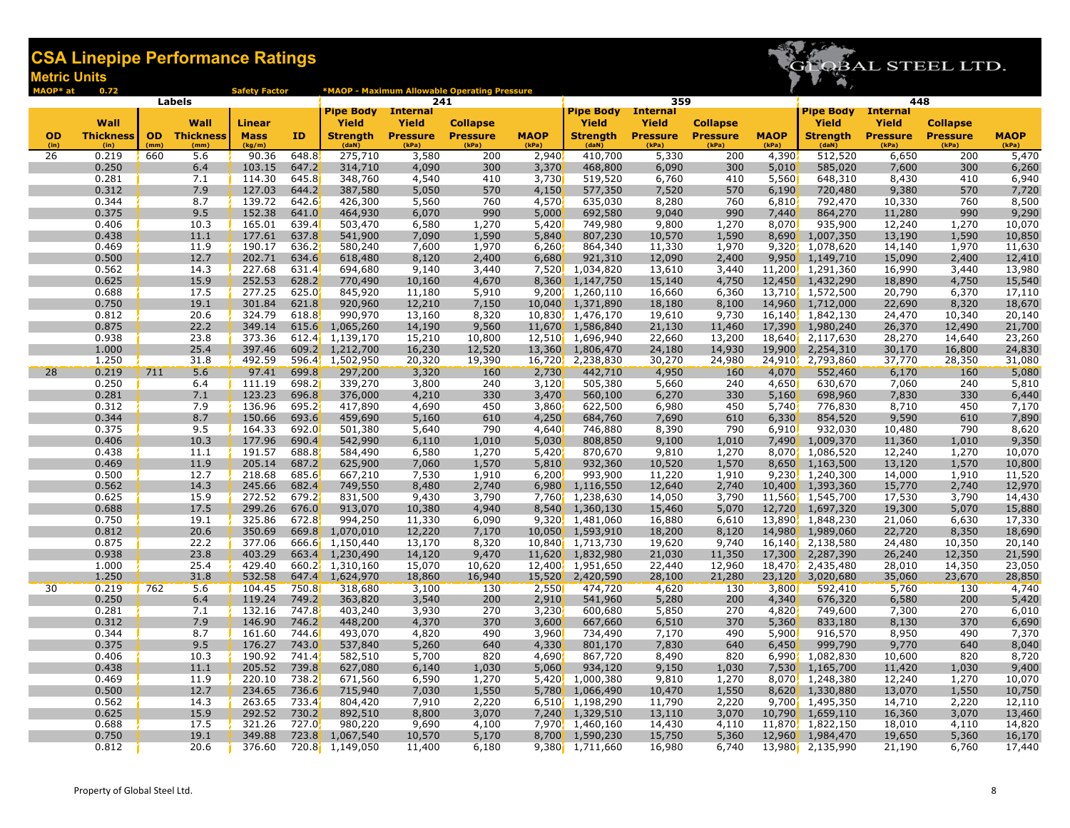

| MAOP* at        | 0.72                     |           |                          | <b>Safety Factor</b>         |                |                           |                          | *MAOP - Maximum Allowable Operating Pressure |                |                                      |                          |                                    |                       |                          |                          |                                    |                  |
|-----------------|--------------------------|-----------|--------------------------|------------------------------|----------------|---------------------------|--------------------------|----------------------------------------------|----------------|--------------------------------------|--------------------------|------------------------------------|-----------------------|--------------------------|--------------------------|------------------------------------|------------------|
|                 |                          |           | Labels                   |                              |                |                           | 241                      |                                              |                |                                      | 359                      |                                    |                       |                          | 448                      |                                    |                  |
|                 |                          |           |                          |                              |                | <b>Pipe Body</b> Internal |                          |                                              |                | <b>Pipe Body</b> Internal            |                          |                                    |                       | <b>Pipe Body</b>         | <b>Internal</b>          |                                    |                  |
| <b>OD</b>       | Wall<br><b>Thickness</b> | <b>OD</b> | Wall                     | <b>Linear</b><br><b>Mass</b> | <b>ID</b>      | Yield<br><b>Strenath</b>  | Yield<br><b>Pressure</b> | <b>Collapse</b><br><b>Pressure</b>           | <b>MAOP</b>    | <b>Yield</b><br><b>Strength</b>      | Yield<br><b>Pressure</b> | <b>Collapse</b><br><b>Pressure</b> | <b>MAOP</b>           | Yield<br><b>Strenath</b> | Yield                    | <b>Collapse</b><br><b>Pressure</b> | <b>MAOP</b>      |
| (in)            | (in)                     | (mm)      | <b>Thickness</b><br>(mm) | (kg/m)                       |                | (daN)                     | (kPa)                    | (kPa)                                        | (kPa)          | (daN)                                | (kPa)                    | (kPa)                              | (kPa)                 | (daN)                    | <b>Pressure</b><br>(kPa) | (kPa)                              | (kPa)            |
| 26              | 0.219                    | 660       | 5.6                      | 90.36                        | 648.8          | 275,710                   | 3,580                    | 200                                          | 2,940          | 410,700                              | 5,330                    | 200                                | 4,390                 | 512,520                  | 6,650                    | 200                                | 5,470            |
|                 | 0.250                    |           | 6.4                      | 103.15                       | 647.2          | 314,710                   | 4,090                    | 300                                          | 3,370          | 468,800                              | 6,090                    | 300                                | 5,010                 | 585,020                  | 7,600                    | 300                                | 6,260            |
|                 | 0.281                    |           | 7.1                      | 114.30                       | 645.8          | 348,760                   | 4,540                    | 410                                          | 3,730          | 519,520                              | 6,760                    | 410                                | 5,560                 | 648,310                  | 8,430                    | 410                                | 6,940            |
|                 | 0.312                    |           | 7.9                      | 127.03                       | 644.2          | 387,580                   | 5,050                    | 570                                          | 4,150          | 577,350                              | 7,520                    | 570                                | 6,190                 | 720,480                  | 9,380                    | 570                                | 7,720            |
|                 | 0.344                    |           | 8.7                      | 139.72                       | 642.6          | 426,300                   | 5,560                    | 760                                          | 4,570          | 635,030                              | 8,280                    | 760                                | 6,810                 | 792,470                  | 10,330                   | 760                                | 8,500            |
|                 | 0.375                    |           | 9.5                      | 152.38                       | 641.0          | 464,930                   | 6,070                    | 990                                          | 5,000          | 692,580                              | 9,040                    | 990                                | 7,440                 | 864,270                  | 11,280                   | 990                                | 9,290            |
|                 | 0.406                    |           | 10.3                     | 165.01                       | 639.4          | 503,470                   | 6,580                    | 1,270                                        | 5,420          | 749,980                              | 9,800                    | 1,270                              | 8,070                 | 935,900                  | 12,240                   | 1,270                              | 10,070           |
|                 | 0.438                    |           | 11.1                     | 177.61                       | 637.8          | 541,900                   | 7,090                    | 1,590                                        | 5,840          | 807,230                              | 10,570                   | 1,590                              | 8,690                 | 1,007,350                | 13,190                   | 1,590                              | 10,850           |
|                 | 0.469                    |           | 11.9                     | 190.17                       | 636.2          | 580,240                   | 7,600                    | 1,970                                        | 6,260          | 864,340                              | 11,330                   | 1,970                              | 9,320                 | 1,078,620                | 14,140                   | 1,970                              | 11,630           |
|                 | 0.500                    |           | 12.7                     | 202.71                       | 634.6          | 618,480                   | 8,120                    | 2,400                                        | 6,680          | 921,310                              | 12,090                   | 2,400                              | 9,950                 | 1,149,710                | 15,090                   | 2,400<br>3,440                     | 12,410           |
|                 | 0.562<br>0.625           |           | 14.3<br>15.9             | 227.68<br>252.53             | 631.4<br>628.2 | 694,680<br>770,490        | 9,140<br>10,160          | 3,440<br>4,670                               | 7,520<br>8,360 | 1,034,820<br>1,147,750               | 13,610<br>15,140         | 3,440<br>4,750                     | 11,200<br>12,450      | 1,291,360<br>1,432,290   | 16,990<br>18,890         | 4,750                              | 13,980<br>15,540 |
|                 | 0.688                    |           | 17.5                     | 277.25                       | 625.0          | 845,920                   | 11,180                   | 5,910                                        |                | $9,200$ , 1,260,110                  | 16,660                   | 6,360                              |                       | 13,710 1,572,500         | 20,790                   | 6,370                              | 17,110           |
|                 | 0.750                    |           | 19.1                     | 301.84                       | 621.8          | 920,960                   | 12,210                   | 7,150                                        | 10,040         | 1,371,890                            | 18,180                   | 8,100                              | 14,960                | 1,712,000                | 22,690                   | 8,320                              | 18,670           |
|                 | 0.812                    |           | 20.6                     | 324.79                       | 618.8          | 990,970                   | 13,160                   | 8,320                                        | 10,830         | 1,476,170                            | 19,610                   | 9,730                              | 16,140                | 1,842,130                | 24,470                   | 10,340                             | 20,140           |
|                 | 0.875                    |           | 22.2                     | 349.14                       | 615.6          | 1,065,260                 | 14,190                   | 9,560                                        | 11,670         | 1,586,840                            | 21,130                   | 11,460                             | 17,390                | 1,980,240                | 26,370                   | 12,490                             | 21,700           |
|                 | 0.938                    |           | 23.8                     | 373.36                       | 612.4'         | 1,139,170                 | 15,210                   | 10,800                                       |                | 12,510 1,696,940                     | 22,660                   | 13,200                             | 18,640                | 2,117,630                | 28,270                   | 14,640                             | 23,260           |
|                 | 1.000                    |           | 25.4                     | 397.46                       |                | 609.2 1,212,700           | 16,230                   | 12,520                                       | 13,360         | 1,806,470                            | 24,180                   | 14,930                             | 19,900                | 2,254,310                | 30,170                   | 16,800                             | 24,830           |
|                 | 1.250                    |           | 31.8                     | 492.59                       | 596.4          | 1,502,950                 | 20,320                   | 19,390                                       | 16,720         | 2,238,830                            | 30,270                   | 24,980                             | 24,910 <mark>/</mark> | 2,793,860                | 37,770                   | 28,350                             | 31,080           |
| 28              | 0.219                    | 711       | 5.6                      | 97.41                        | 699.8          | 297,200                   | 3,320                    | <b>160</b>                                   | 2,730          | 442,710                              | 4,950                    | <b>160</b>                         | 4,070                 | 552,460                  | 6,170                    | <b>160</b>                         | 5,080            |
|                 | 0.250                    |           | 6.4                      | 111.19                       | 698.2          | 339,270                   | 3,800                    | 240                                          | 3,120          | 505,380                              | 5,660                    | 240                                | 4,650                 | 630,670                  | 7,060                    | 240                                | 5,810            |
|                 | 0.281                    |           | 7.1                      | 123.23                       | 696.8          | 376,000                   | 4,210                    | 330                                          | 3,470          | 560,100                              | 6,270                    | 330                                | 5,160                 | 698,960                  | 7,830                    | 330                                | 6,440            |
|                 | 0.312                    |           | 7.9                      | 136.96                       | 695.2          | 417,890                   | 4,690                    | 450                                          | 3,860          | 622,500                              | 6,980                    | 450                                | 5,740                 | 776,830                  | 8,710                    | 450                                | 7,170            |
|                 | 0.344                    |           | 8.7                      | 150.66                       | 693.6          | 459,690                   | 5,160                    | 610                                          | 4,250          | 684,760                              | 7,690                    | 610                                | 6,330                 | 854,520                  | 9,590                    | 610                                | 7,890            |
|                 | 0.375                    |           | 9.5                      | 164.33                       | 692.0          | 501,380                   | 5,640                    | 790                                          | 4,640          | 746,880                              | 8,390                    | 790                                | 6,910                 | 932,030                  | 10,480                   | 790                                | 8,620            |
|                 | 0.406                    |           | 10.3                     | 177.96                       | 690.4          | 542,990                   | 6,110                    | 1,010                                        | 5,030          | 808,850                              | 9,100                    | 1,010                              | 7,490                 | 1,009,370                | 11,360                   | 1,010                              | 9,350            |
|                 | 0.438                    |           | 11.1                     | 191.57                       | 688.8          | 584,490                   | 6,580                    | 1,270                                        | 5,420          | 870,670                              | 9,810                    | 1,270                              | 8,070                 | 1,086,520                | 12,240                   | 1,270                              | 10,070           |
|                 | 0.469                    |           | 11.9                     | 205.14                       | 687.2          | 625,900                   | 7,060                    | 1,570                                        | 5,810          | 932,360                              | 10,520                   | 1,570                              | 8,650                 | 1,163,500                | 13,120                   | 1,570                              | 10,800           |
|                 | 0.500                    |           | 12.7                     | 218.68                       | 685.6          | 667,210                   | 7,530                    | 1,910                                        | 6,200          | 993,900                              | 11,220                   | 1,910                              |                       | $9,230$ , 1,240,300      | 14,000                   | 1,910                              | 11,520           |
|                 | 0.562<br>0.625           |           | 14.3<br>15.9             | 245.66<br>272.52             | 682.4<br>679.2 | 749,550<br>831,500        | 8,480<br>9,430           | 2,740<br>3,790                               | 6,980<br>7,760 | 1,116,550<br>1,238,630               | 12,640<br>14,050         | 2,740<br>3,790                     | 10,400<br>11,560      | 1,393,360<br>1,545,700   | 15,770<br>17,530         | 2,740<br>3,790                     | 12,970<br>14,430 |
|                 | 0.688                    |           | 17.5                     | 299.26                       | 676.0          | 913,070                   | 10,380                   | 4,940                                        | 8,540          | 1,360,130                            | 15,460                   | 5,070                              | 12,720                | 1,697,320                | 19,300                   | 5,070                              | 15,880           |
|                 | 0.750                    |           | 19.1                     | 325.86                       | 672.8          | 994,250                   | 11,330                   | 6,090                                        | 9,320          | 1,481,060                            | 16,880                   | 6,610                              | 13,890                | 1,848,230                | 21,060                   | 6,630                              | 17,330           |
|                 | 0.812                    |           | 20.6                     | 350.69                       | 669.8          | 1,070,010                 | 12,220                   | 7,170                                        | 10,050         | 1,593,910                            | 18,200                   | 8,120                              | 14,980                | 1,989,060                | 22,720                   | 8,350                              | 18,690           |
|                 | 0.875                    |           | 22.2                     | 377.06                       | 666.6          | 1,150,440                 | 13,170                   | 8,320                                        |                | 10,840 1,713,730                     | 19,620                   | 9,740                              | 16,140                | 2,138,580                | 24,480                   | 10,350                             | 20,140           |
|                 | 0.938                    |           | 23.8                     | 403.29                       |                | 663.4 1,230,490           | 14,120                   | 9,470                                        |                | 11,620 1,832,980                     | 21,030                   | 11,350                             | 17,300                | 2,287,390                | 26,240                   | 12,350                             | 21,590           |
|                 | 1.000                    |           | 25.4                     | 429.40                       | 660.27         | 1,310,160                 | 15,070                   | 10,620                                       | 12,400         | 1,951,650                            | 22,440                   | 12,960                             | 18,470                | 2,435,480                | 28,010                   | 14,350                             | 23,050           |
|                 | 1.250                    |           | 31.8                     | 532.58                       | 647.4          | 1,624,970                 | 18,860                   | 16,940                                       | 15,520         | 2,420,590                            | 28,100                   | 21,280                             | 23,120                | 3,020,680                | 35,060                   | 23,670                             | 28,850           |
| 30 <sup>°</sup> | 0.219                    | 762       | 5.6                      | 104.45                       | 750.8          | 318,680                   | 3,100                    | 130                                          | 2,550          | 474,720                              | 4,620                    | 130                                | 3,800                 | 592,410                  | 5,760                    | 130                                | 4,740            |
|                 | 0.250                    |           | 6.4                      | 119.24                       | 749.2          | 363,820                   | 3,540                    | 200                                          | 2,910          | 541,960                              | 5,280                    | 200                                | 4,340                 | 676,320                  | 6,580                    | 200                                | 5,420            |
|                 | 0.281                    |           | 7.1                      | 132.16                       | 747.8          | 403,240                   | 3,930                    | 270                                          | 3,230          | 600,680                              | 5,850                    | 270                                | 4,820                 | 749,600                  | 7,300                    | 270                                | 6,010            |
|                 | 0.312                    |           | 7.9                      | 146.90                       | 746.2          | 448,200                   | 4,370                    | 370                                          | 3,600          | 667,660                              | 6,510                    | 370                                | 5,360                 | 833,180                  | 8,130                    | 370                                | 6,690            |
|                 | 0.344                    |           | 8.7                      | 161.60                       | 744.6          | 493,070                   | 4,820                    | 490                                          | 3,960          | 734,490                              | 7,170                    | 490                                | 5,900                 | 916,570                  | 8,950                    | 490                                | 7,370            |
|                 | 0.375                    |           | 9.5                      | 176.27                       | 743.0          | 537,840                   | 5,260                    | 640                                          | 4,330          | 801,170                              | 7,830                    | 640                                | 6,450                 | 999,790                  | 9,770                    | 640                                | 8,040            |
|                 | 0.406                    |           | 10.3                     | 190.92                       | 741.4          | 582,510                   | 5,700                    | 820                                          | 4,690          | 867,720                              | 8,490                    | 820                                | 6,990                 | 1,082,830                | 10,600                   | 820                                | 8,720            |
|                 | 0.438                    |           | 11.1                     | 205.52                       | 739.8          | 627,080                   | 6,140                    | 1,030                                        | 5,060          | 934,120                              | 9,150                    | 1,030                              | 7,530                 | 1,165,700                | 11,420                   | 1,030                              | 9,400            |
|                 | 0.469                    |           | 11.9                     | 220.10                       | 738.2          | 671,560                   | 6,590                    | 1,270                                        | 5,420          | 1,000,380                            | 9,810                    | 1,270                              | 8,070                 | 1,248,380                | 12,240                   | 1,270                              | 10,070           |
|                 | 0.500                    |           | 12.7                     | 234.65                       | 736.6          | 715,940                   | 7,030                    | 1,550                                        | 5,780          | 1,066,490                            | 10,470                   | 1,550                              | 8,620                 | 1,330,880                | 13,070                   | 1,550                              | 10,750           |
|                 | 0.562                    |           | 14.3                     | 263.65                       | 733.4          | 804,420                   | 7,910                    | 2,220                                        |                | 6,510 1,198,290                      | 11,790                   | 2,220                              |                       | 9,700 1,495,350          | 14,710                   | 2,220                              | 12,110           |
|                 | 0.625<br>0.688           |           | 15.9<br>17.5             | 292.52<br>321.26             | 730.2<br>727.0 | 892,510                   | 8,800<br>9,690           | 3,070<br>4,100                               | 7,240          | 1,329,510                            | 13,110                   | 3,070                              | 10,790                | 1,659,110                | 16,360                   | 3,070<br>4,110                     | 13,460           |
|                 | 0.750                    |           | 19.1                     | 349.88                       | 723.8          | 980,220<br>1,067,540      | 10,570                   | 5,170                                        |                | 7,970, 1,460,160<br>8,700, 1,590,230 | 14,430<br>15,750         | 4,110<br>5,360                     | 11,870<br>12,960      | 1,822,150<br>1,984,470   | 18,010<br>19,650         | 5,360                              | 14,820<br>16,170 |
|                 | 0.812                    |           | 20.6                     | 376.60                       | 720.8          | 1,149,050                 | 11,400                   | 6,180                                        |                | 9,380 1,711,660                      | 16,980                   | 6,740                              | 13,980                | 2,135,990                | 21,190                   | 6,760                              | 17,440           |
|                 |                          |           |                          |                              |                |                           |                          |                                              |                |                                      |                          |                                    |                       |                          |                          |                                    |                  |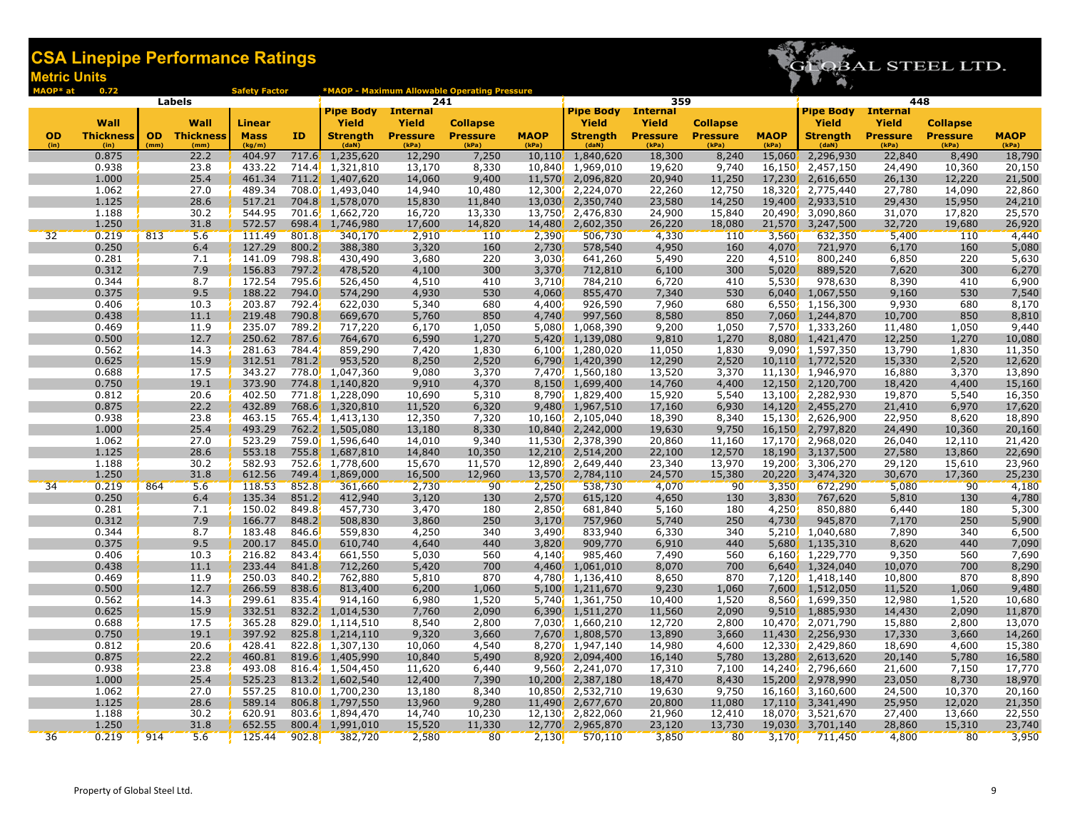

| MAOP* at          | 0.72                     |                   |                          | <b>Safety Factor</b>  |                |                                     |                          | *MAOP - Maximum Allowable Operating Pressure |                      |                                       |                          |                          |                      |                          |                          |                          |                      |
|-------------------|--------------------------|-------------------|--------------------------|-----------------------|----------------|-------------------------------------|--------------------------|----------------------------------------------|----------------------|---------------------------------------|--------------------------|--------------------------|----------------------|--------------------------|--------------------------|--------------------------|----------------------|
|                   |                          |                   | Labels                   |                       |                |                                     | 241                      |                                              |                      |                                       | 359                      |                          |                      |                          | 448                      |                          |                      |
|                   |                          |                   |                          |                       |                | <b>Pipe Body</b>                    | <b>Internal</b>          |                                              |                      | <b>Pipe Body</b> Internal             |                          |                          |                      | <b>Pipe Body</b>         | <b>Internal</b>          |                          |                      |
|                   | Wall                     |                   | Wall                     | <b>Linear</b>         |                | Yield                               | Yield                    | <b>Collapse</b>                              |                      | <b>Yield</b>                          | <b>Yield</b>             | <b>Collapse</b>          |                      | Yield                    | Yield                    | <b>Collapse</b>          |                      |
| <b>OD</b><br>(in) | <b>Thickness</b><br>(in) | <b>OD</b><br>(mm) | <b>Thickness</b><br>(mm) | <b>Mass</b><br>(kg/m) | ID             | <b>Strength</b><br>(daN)            | <b>Pressure</b><br>(kPa) | <b>Pressure</b><br>(kPa)                     | <b>MAOP</b><br>(kPa) | <b>Strength</b><br>(daN)              | <b>Pressure</b><br>(kPa) | <b>Pressure</b><br>(kPa) | <b>MAOP</b><br>(kPa) | <b>Strength</b><br>(daN) | <b>Pressure</b><br>(kPa) | <b>Pressure</b><br>(kPa) | <b>MAOP</b><br>(kPa) |
|                   | 0.875                    |                   | 22.2                     | 404.97                | 717.6          | 1,235,620                           | 12,290                   | 7,250                                        | 10,110               | 1,840,620                             | 18,300                   | 8,240                    | 15,060               | 2,296,930                | 22,840                   | 8,490                    | 18,790               |
|                   | 0.938                    |                   | 23.8                     | 433.22                |                | 714.4 1,321,810                     | 13,170                   | 8,330                                        |                      | 10,840 1,969,010                      | 19,620                   | 9,740                    | 16,150               | 2,457,150                | 24,490                   | 10,360                   | 20,150               |
|                   | 1.000                    |                   | 25.4                     | 461.34                |                | 711.2 1,407,620                     | 14,060                   | 9,400                                        | 11,570               | 2,096,820                             | 20,940                   | 11,250                   | 17,230               | 2,616,650                | 26,130                   | 12,220                   | 21,500               |
|                   | 1.062                    |                   | 27.0                     | 489.34                |                | 708.0 1,493,040                     | 14,940                   | 10,480                                       | 12,300               | 2,224,070                             | 22,260                   | 12,750                   | 18,320               | 2,775,440                | 27,780                   | 14,090                   | 22,860               |
|                   | 1.125                    |                   | 28.6                     | 517.21                |                | 704.8 1,578,070                     | 15,830                   | 11,840                                       | 13,030               | 2,350,740                             | 23,580                   | 14,250                   | 19,400               | 2,933,510                | 29,430                   | 15,950                   | 24,210               |
|                   | 1.188                    |                   | 30.2                     | 544.95                |                | 701.6 1,662,720                     | 16,720                   | 13,330                                       |                      | 13,750 2,476,830                      | 24,900                   | 15,840                   | 20,490               | 3,090,860                | 31,070                   | 17,820                   | 25,570               |
|                   | 1.250                    |                   | 31.8                     | 572.57                | 698.4          | 1,746,980                           | 17,600                   | 14,820                                       | 14,480               | 2,602,350                             | 26,220                   | 18,080                   | 21,570               | 3,247,500                | 32,720                   | 19,680                   | 26,920               |
| 32                | 0.219                    | 813               | 5.6                      | 111.49                | 801.8          | 340,170                             | 2,910                    | 110                                          | 2,390                | 506,730                               | 4,330                    | 110                      | 3,560                | 632,350                  | 5,400                    | 110                      | 4,440                |
|                   | 0.250                    |                   | 6.4                      | 127.29                | 800.2          | 388,380                             | 3,320                    | 160                                          | 2,730                | 578,540                               | 4,950                    | 160                      | 4,070                | 721,970                  | 6,170                    | 160                      | 5,080                |
|                   | 0.281                    |                   | 7.1                      | 141.09                | 798.8          | 430,490                             | 3,680                    | 220                                          | 3,030'               | 641,260                               | 5,490                    | 220                      | 4,510                | 800,240                  | 6,850                    | 220                      | 5,630                |
|                   | 0.312                    |                   | 7.9                      | 156.83                | 797.2          | 478,520                             | 4,100                    | 300                                          | 3,370                | 712,810                               | 6,100                    | 300                      | 5,020                | 889,520                  | 7,620                    | 300                      | 6,270                |
|                   | 0.344                    |                   | 8.7                      | 172.54                | 795.6          | 526,450                             | 4,510                    | 410                                          | 3,710                | 784,210                               | 6,720                    | 410                      | 5,530                | 978,630                  | 8,390                    | 410                      | 6,900                |
|                   | 0.375                    |                   | 9.5                      | 188.22                | 794.0          | 574,290                             | 4,930                    | 530                                          | 4,060                | 855,470                               | 7,340                    | 530                      | 6,040                | 1,067,550                | 9,160                    | 530                      | 7,540                |
|                   | 0.406                    |                   | 10.3                     | 203.87<br>219.48      | 792.4<br>790.8 | 622,030<br>669,670                  | 5,340                    | 680<br>850                                   | 4,400                | 926,590<br>997,560                    | 7,960<br>8,580           | 680<br>850               | 6,550                | 1,156,300<br>1,244,870   | 9,930                    | 680<br>850               | 8,170                |
|                   | 0.438<br>0.469           |                   | 11.1<br>11.9             | 235.07                | 789.2          | 717,220                             | 5,760<br>6,170           | 1,050                                        | 4,740                | 5,080 1,068,390                       | 9,200                    | 1,050                    | 7,060                | 7,570 1,333,260          | 10,700<br>11,480         | 1,050                    | 8,810<br>9,440       |
|                   | 0.500                    |                   | 12.7                     | 250.62                | 787.6          | 764,670                             | 6,590                    | 1,270                                        |                      | 5,420 1,139,080                       | 9,810                    | 1,270                    | 8,080                | 1,421,470                | 12,250                   | 1,270                    | 10,080               |
|                   | 0.562                    |                   | 14.3                     | 281.63                | 784.4          | 859,290                             | 7,420                    | 1,830                                        |                      | 6,100 1,280,020                       | 11,050                   | 1,830                    |                      | 9,090 1,597,350          | 13,790                   | 1,830                    | 11,350               |
|                   | 0.625                    |                   | 15.9                     | 312.51                | 781.2          | 953,520                             | 8,250                    | 2,520                                        |                      | 6,790, 1,420,390                      | 12,290                   | 2,520                    | 10,110'              | 1,772,520                | 15,330                   | 2,520                    | 12,620               |
|                   | 0.688                    |                   | 17.5                     | 343.27                |                | 778.0 1,047,360                     | 9,080                    | 3,370                                        |                      | 7,470, 1,560,180                      | 13,520                   | 3,370                    | 11,130               | 1,946,970                | 16,880                   | 3,370                    | 13,890               |
|                   | 0.750                    |                   | 19.1                     | 373.90                | 774.8          | 1,140,820                           | 9,910                    | 4,370                                        |                      | 8,150 1,699,400                       | 14,760                   | 4,400                    | 12,150               | 2,120,700                | 18,420                   | 4,400                    | 15,160               |
|                   | 0.812                    |                   | 20.6                     | 402.50                |                | 771.8 1,228,090                     | 10,690                   | 5,310                                        |                      | 8,790 1,829,400                       | 15,920                   | 5,540                    | 13,100               | 2,282,930                | 19,870                   | 5,540                    | 16,350               |
|                   | 0.875                    |                   | 22.2                     | 432.89                |                | 768.6 1,320,810                     | 11,520                   | 6,320                                        |                      | 9,480 1,967,510                       | 17,160                   | 6,930                    | 14,120               | 2,455,270                | 21,410                   | 6,970                    | 17,620               |
|                   | 0.938                    |                   | 23.8                     | 463.15                |                | 765.4, 1,413,130                    | 12,350                   | 7,320                                        |                      | 10,160 2,105,040                      | 18,390                   | 8,340                    | 15,130               | 2,626,900                | 22,950                   | 8,620                    | 18,890               |
|                   | 1.000                    |                   | 25.4                     | 493.29                |                | 762.2 1,505,080                     | 13,180                   | 8,330                                        | 10,840               | 2,242,000                             | 19,630                   | 9,750                    | 16,150               | 2,797,820                | 24,490                   | 10,360                   | 20,160               |
|                   | 1.062                    |                   | 27.0                     | 523.29                |                | 759.0 1,596,640                     | 14,010                   | 9,340                                        |                      | 11,530 2,378,390                      | 20,860                   | 11,160                   | 17,170               | 2,968,020                | 26,040                   | 12,110                   | 21,420               |
|                   | 1.125                    |                   | 28.6                     | 553.18                |                | 755.8 1,687,810                     | 14,840                   | 10,350                                       |                      | 12,210 2,514,200                      | 22,100                   | 12,570                   | 18,190               | 3,137,500                | 27,580                   | 13,860                   | 22,690               |
|                   | 1.188                    |                   | 30.2                     | 582.93                |                | 752.6, 1,778,600                    | 15,670                   | 11,570                                       |                      | 12,890 2,649,440                      | 23,340                   | 13,970                   | 19,200               | 3,306,270                | 29,120                   | 15,610                   | 23,960               |
|                   | 1.250                    |                   | 31.8                     | 612.56                | 749.4          | 1,869,000                           | 16,500                   | 12,960                                       | 13,570               | 2,784,110                             | 24,570                   | 15,380                   | 20,220               | 3,474,320                | 30,670                   | 17,360                   | 25,230               |
| 34                | 0.219                    | 864               | 5.6                      | 118.53                | 852.8          | 361,660                             | 2,730                    | 90                                           | 2,250                | 538,730                               | 4,070                    | 90                       | 3,350                | 672,290                  | 5,080                    | 90                       | 4,180                |
|                   | 0.250                    |                   | 6.4                      | 135.34                | 851.2          | 412,940                             | 3,120                    | 130                                          | 2,570                | 615,120                               | 4,650                    | 130                      | 3,830                | 767,620                  | 5,810                    | 130                      | 4,780                |
|                   | 0.281<br>0.312           |                   | 7.1<br>7.9               | 150.02<br>166.77      | 849.8<br>848.2 | 457,730<br>508,830                  | 3,470                    | 180<br>250                                   | 2,850                | 681,840<br>757,960                    | 5,160                    | 180<br>250               | 4,250                | 850,880<br>945,870       | 6,440                    | 180<br>250               | 5,300                |
|                   | 0.344                    |                   | 8.7                      | 183.48                | 846.6          | 559,830                             | 3,860<br>4,250           | 340                                          | 3,170<br>3,490       | 833,940                               | 5,740<br>6,330           | 340                      | 4,730<br>5,210       | 1,040,680                | 7,170<br>7,890           | 340                      | 5,900<br>6,500       |
|                   | 0.375                    |                   | 9.5                      | 200.17                | 845.0          | 610,740                             | 4,640                    | 440                                          | 3,820                | 909,770                               | 6,910                    | 440                      | 5,680                | 1,135,310                | 8,620                    | 440                      | 7,090                |
|                   | 0.406                    |                   | 10.3                     | 216.82                | 843.4          | 661,550                             | 5,030                    | 560                                          | 4,140                | 985,460                               | 7,490                    | 560                      | 6,160                | 1,229,770                | 9,350                    | 560                      | 7,690                |
|                   | 0.438                    |                   | 11.1                     | 233.44                | 841.8          | 712,260                             | 5,420                    | 700                                          | 4,460                | 1,061,010                             | 8,070                    | 700                      | 6,640                | 1,324,040                | 10,070                   | 700                      | 8,290                |
|                   | 0.469                    |                   | 11.9                     | 250.03                | 840.2          | 762,880                             | 5,810                    | 870                                          | 4,780                | 1,136,410                             | 8,650                    | 870                      | 7,120                | 1,418,140                | 10,800                   | 870                      | 8,890                |
|                   | 0.500                    |                   | 12.7                     | 266.59                | 838.6          | 813,400                             | 6,200                    | 1,060                                        | 5,100                | 1,211,670                             | 9,230                    | 1,060                    | 7,600                | 1,512,050                | 11,520                   | 1,060                    | 9,480                |
|                   | 0.562                    |                   | 14.3                     | 299.61                | 835.4          | 914,160                             | 6,980                    | 1,520                                        |                      | 5,740 <sup>'</sup> 1,361,750          | 10,400                   | 1,520                    | 8,560                | 1,699,350                | 12,980                   | 1,520                    | 10,680               |
|                   | 0.625                    |                   | 15.9                     | 332.51                | 832.2          | 1,014,530                           | 7,760                    | 2,090                                        |                      | 6,390 1,511,270                       | 11,560                   | 2,090                    | 9,510                | 1,885,930                | 14,430                   | 2,090                    | 11,870               |
|                   | 0.688                    |                   | 17.5                     | 365.28                |                | 829.0 1,114,510                     | 8,540                    | 2,800                                        |                      | $7.030$ , 1.660.210                   | 12,720                   | 2,800                    |                      | 10,470, 2,071,790        | 15,880                   | 2,800                    | 13,070               |
|                   | 0.750                    |                   | 19.1                     | 397.92                |                | 825.8 1,214,110                     | 9,320                    | 3,660                                        |                      | 7,670 1,808,570                       | 13,890                   | 3,660                    | 11,430               | 2,256,930                | 17,330                   | 3,660                    | 14,260               |
|                   | 0.812                    |                   | 20.6                     | 428.41                |                | 822.8 1,307,130                     | 10,060                   | 4,540                                        |                      | 8,270 1,947,140                       | 14,980                   | 4,600                    | 12,330               | 2,429,860                | 18,690                   | 4,600                    | 15,380               |
|                   | 0.875                    |                   | 22.2                     | 460.81                |                | 819.6 1,405,990                     | 10,840                   | 5,490                                        | 8,920                | 2,094,400                             | 16,140                   | 5,780                    | 13,280               | 2,613,620                | 20,140                   | 5,780                    | 16,580               |
|                   | 0.938                    |                   | 23.8                     | 493.08                |                | 816.4, 1,504,450                    | 11,620                   | 6,440                                        |                      | $9,560$ , $2,241,070$                 | 17,310                   | 7,100                    | 14,240               | 2,796,660                | 21,600                   | 7,150                    | 17,770               |
|                   | 1.000                    |                   | 25.4                     | 525.23                |                | 813.2 1,602,540                     | 12,400                   | 7,390                                        |                      | 10,200, 2,387,180                     | 18,470                   | 8,430                    | 15,200               | 2,978,990                | 23,050                   | 8,730                    | 18,970               |
|                   | 1.062                    |                   | 27.0                     | 557.25                |                | 810.0 1,700,230                     | 13,180                   | 8,340                                        |                      | 10,850 2,532,710                      | 19,630                   | 9,750                    | 16,160               | 3,160,600                | 24,500                   | 10,370                   | 20,160               |
|                   | 1.125                    |                   | 28.6<br>30.2             | 589.14<br>620.91      |                | 806.8 1,797,550                     | 13,960                   | 9,280                                        | 11,490 <sup>1</sup>  | 2,677,670                             | 20,800                   | 11,080                   | 17,110               | 3,341,490                | 25,950                   | 12,020                   | 21,350               |
|                   | 1.188<br>1.250           |                   | 31.8                     | 652.55                |                | 803.6 1,894,470<br>800.4, 1,991,010 | 14,740<br>15,520         | 10,230<br>11,330                             |                      | 12,130 2,822,060<br>12,770, 2,965,870 | 21,960<br>23,120         | 12,410<br>13,730         | 18,070<br>19,030     | 3,521,670<br>3,701,140   | 27,400<br>28,860         | 13,660<br>15,310         | 22,550<br>23,740     |
| 36                | 0.219                    | 914               | 5.6                      | 125.44                | 902.8          | 382,720                             | 2,580                    | 80                                           | 2,130                | 570,110                               | 3,850                    | 80                       | 3,170                | 711,450                  | 4,800                    | 80                       | 3,950                |
|                   |                          |                   |                          |                       |                |                                     |                          |                                              |                      |                                       |                          |                          |                      |                          |                          |                          |                      |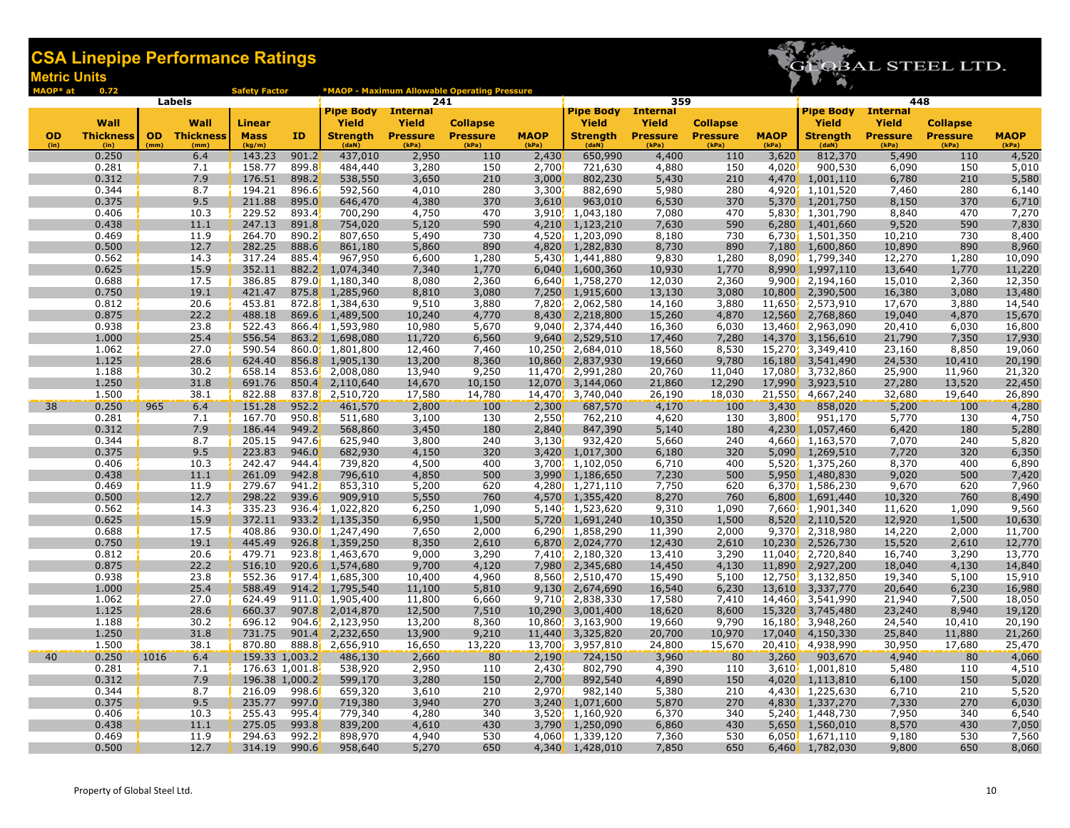

| MAOP* at  | 0.72             |      |                     | <b>Safety Factor</b> |        |                              |                  | *MAOP - Maximum Allowable Operating Pressure |             |                               |                        |                 |                  |                        |                        |                 |                  |
|-----------|------------------|------|---------------------|----------------------|--------|------------------------------|------------------|----------------------------------------------|-------------|-------------------------------|------------------------|-----------------|------------------|------------------------|------------------------|-----------------|------------------|
|           |                  |      | Labels              |                      |        | <b>Pipe Body</b> Internal    | 241              |                                              |             | <b>Pipe Body</b>              | 359<br><b>Internal</b> |                 |                  | <b>Pipe Body</b>       | 448<br><b>Internal</b> |                 |                  |
|           | Wall             |      | Wall                | Linear               |        | <b>Yield</b>                 | Yield            | <b>Collapse</b>                              |             | <b>Yield</b>                  | <b>Yield</b>           | <b>Collapse</b> |                  | Yield                  | Yield                  | <b>Collapse</b> |                  |
| <b>OD</b> | <b>Thickness</b> |      | <b>OD</b> Thickness | <b>Mass</b>          | ID     | <b>Strength</b>              | <b>Pressure</b>  | <b>Pressure</b>                              | <b>MAOP</b> | <b>Strength</b>               | <b>Pressure</b>        | <b>Pressure</b> | <b>MAOP</b>      | <b>Strength</b>        | <b>Pressure</b>        | <b>Pressure</b> | <b>MAOP</b>      |
| (in)      | (in)             | (mm) | (mm)                | (kg/m)               |        | (daN)                        | (kPa)            | (kPa)                                        | (kPa)       | (daN)                         | (kPa)                  | (kPa)           | (kPa)            | (daN)                  | (kPa)                  | (kPa)           | (kPa)            |
|           | 0.250            |      | 6.4                 | 143.23               | 901.2  | 437,010                      | 2,950            | 110                                          | 2,430       | 650,990                       | 4,400                  | 110             | 3,620            | 812,370                | 5,490                  | 110             | 4,520            |
|           | 0.281            |      | 7.1                 | 158.77               | 899.8  | 484,440                      | 3,280            | 150                                          | 2,700       | 721,630                       | 4,880                  | 150             | 4,020            | 900,530                | 6,090                  | 150             | 5,010            |
|           | 0.312            |      | 7.9                 | 176.51               | 898.2  | 538,550                      | 3,650            | 210                                          | 3,000       | 802,230                       | 5,430                  | 210             | 4,470            | 1,001,110              | 6,780                  | 210             | 5,580            |
|           | 0.344            |      | 8.7                 | 194.21               | 896.6  | 592,560                      | 4,010            | 280                                          | 3,300       | 882,690                       | 5,980                  | 280             | 4,920            | 1,101,520              | 7,460                  | 280             | 6,140            |
|           | 0.375            |      | 9.5                 | 211.88               | 895.0  | 646,470                      | 4,380            | 370                                          | 3,610       | 963,010                       | 6,530                  | 370             | 5,370            | 1,201,750              | 8,150                  | 370             | 6,710            |
|           | 0.406            |      | 10.3                | 229.52               | 893.4  | 700,290                      | 4,750            | 470                                          | 3,910       | $\overline{1,}043,180$        | 7,080                  | 470             | 5,830            | 1,301,790              | 8,840                  | 470             | 7,270            |
|           | 0.438            |      | 11.1                | 247.13               | 891.8  | 754,020                      | 5,120            | 590                                          | 4,210       | 1,123,210                     | 7,630                  | 590             | 6,280            | 1,401,660              | 9,520                  | 590             | 7,830            |
|           | 0.469            |      | 11.9                | 264.70               | 890.2  | 807,650                      | 5,490            | 730                                          |             | 4,520 1,203,090               | 8,180                  | 730             | 6,730            | 1,501,350              | 10,210                 | 730             | 8,400            |
|           | 0.500            |      | 12.7                | 282.25               | 888.6  | 861,180                      | 5,860            | 890                                          | 4,820       | 1,282,830                     | 8,730                  | 890             | 7,180            | 1,600,860              | 10,890                 | 890             | 8,960            |
|           | 0.562            |      | 14.3                | 317.24               | 885.4  | 967,950                      | 6,600            | 1,280                                        |             | 5,430, 1,441,880              | 9,830                  | 1,280           | 8,090            | 1,799,340              | 12,270                 | 1,280           | 10,090           |
|           | 0.625            |      | 15.9                | 352.11               | 882.2  | 1,074,340                    | 7,340            | 1,770                                        | 6,040       | 1,600,360                     | 10,930                 | 1,770           |                  | 8,990, 1,997,110       | 13,640                 | 1,770           | 11,220           |
|           | 0.688            |      | 17.5                | 386.85               |        | 879.0 1,180,340              | 8,080            | 2,360                                        |             | 6,640 1,758,270               | 12,030                 | 2,360           | 9,900            | 2,194,160              | 15,010                 | 2,360           | 12,350           |
|           | 0.750            |      | 19.1                | 421.47               |        | 875.8 1,285,960              | 8,810            | 3,080                                        | 7,250       | 1,915,600                     | 13,130                 | 3,080           | 10,800           | 2,390,500              | 16,380                 | 3,080           | 13,480           |
|           | 0.812            |      | 20.6                | 453.81               |        | 872.8 1,384,630              | 9,510            | 3,880                                        | 7,820       | 2,062,580                     | 14,160                 | 3,880           | 11,650           | 2,573,910              | 17,670                 | 3,880           | 14,540           |
|           | 0.875            |      | 22.2                | 488.18               | 869.6  | 1,489,500                    | 10,240           | 4,770                                        | 8,430       | 2,218,800                     | 15,260                 | 4,870           | 12,560           | 2,768,860              | 19,040                 | 4,870           | 15,670           |
|           | 0.938<br>1.000   |      | 23.8                | 522.43<br>556.54     |        | 866.4 1,593,980              | 10,980           | 5,670                                        |             | 9,040 2,374,440               | 16,360                 | 6,030           | 13,460           | 2,963,090              | 20,410                 | 6,030           | 16,800           |
|           | 1.062            |      | 25.4<br>27.0        | 590.54               |        | 863.2 1,698,080              | 11,720           | 6,560                                        | 9,640'      | 2,529,510                     | 17,460                 | 7,280           | 14,370           | 3,156,610              | 21,790                 | 7,350<br>8,850  | 17,930           |
|           | 1.125            |      | 28.6                | 624.40               | 856.8  | 860.0 1,801,800<br>1,905,130 | 12,460<br>13,200 | 7,460<br>8,360                               | 10,860      | 10,250 2,684,010<br>2,837,930 | 18,560<br>19,660       | 8,530<br>9,780  | 15,270<br>16,180 | 3,349,410<br>3,541,490 | 23,160                 | 10,410          | 19,060<br>20,190 |
|           | 1.188            |      | 30.2                | 658.14               |        | 853.6 2,008,080              | 13,940           | 9,250                                        |             | 11,470 2,991,280              | 20,760                 | 11,040          | 17,080           | 3,732,860              | 24,530<br>25,900       | 11,960          | 21,320           |
|           | 1.250            |      | 31.8                | 691.76               | 850.4  | 2,110,640                    | 14,670           | 10,150                                       | 12,070      | 3,144,060                     | 21,860                 | 12,290          | 17,990           | 3,923,510              | 27,280                 | 13,520          | 22,450           |
|           | 1.500            |      | 38.1                | 822.88               |        | 837.8 2,510,720              | 17,580           | 14,780                                       |             | 14,470 3,740,040              | 26,190                 | 18,030          | 21,550           | 4,667,240              | 32,680                 | 19,640          | 26,890           |
| 38        | 0.250            | 965  | 6.4                 | 151.28               | 952.2  | 461,570                      | 2,800            | <b>100</b>                                   | 2,300       | 687,570                       | 4,170                  | 100             | 3,430            | 858,020                | 5,200                  | 100             | 4,280            |
|           | 0.281            |      | 7.1                 | 167.70               | 950.8  | 511,680                      | 3,100            | 130                                          | 2,550       | 762,210                       | 4,620                  | 130             | 3,800            | 951,170                | 5,770                  | 130             | 4,750            |
|           | 0.312            |      | 7.9                 | 186.44               | 949.2  | 568,860                      | 3,450            | 180                                          | 2,840       | 847,390                       | 5,140                  | 180             | 4,230            | 1,057,460              | 6,420                  | 180             | 5,280            |
|           | 0.344            |      | 8.7                 | 205.15               | 947.6  | 625,940                      | 3,800            | 240                                          | 3,130       | 932,420                       | 5,660                  | 240             | 4,660            | 1,163,570              | 7,070                  | 240             | 5,820            |
|           | 0.375            |      | 9.5                 | 223.83               | 946.0  | 682,930                      | 4,150            | 320                                          | 3,420       | 1,017,300                     | 6,180                  | 320             | 5,090            | 1,269,510              | 7,720                  | 320             | 6,350            |
|           | 0.406            |      | 10.3                | 242.47               | 944.4  | 739,820                      | 4,500            | 400                                          | 3,700       | 1,102,050                     | 6,710                  | 400             | 5,520            | 1,375,260              | 8,370                  | 400             | 6,890            |
|           | 0.438            |      | 11.1                | 261.09               | 942.8  | 796,610                      | 4,850            | 500                                          | 3,990       | 1,186,650                     | 7,230                  | 500             | 5,950            | 1,480,830              | 9,020                  | 500             | 7,420            |
|           | 0.469            |      | 11.9                | 279.67               | 941.2  | 853,310                      | 5,200            | 620                                          |             | 4,280 1,271,110               | 7,750                  | 620             | 6,370            | 1,586,230              | 9,670                  | 620             | 7,960            |
|           | 0.500            |      | 12.7                | 298.22               | 939.6  | 909,910                      | 5,550            | 760                                          | 4,570       | 1,355,420                     | 8,270                  | 760             | 6,800            | 1,691,440              | 10,320                 | 760             | 8,490            |
|           | 0.562            |      | 14.3                | 335.23               | 936.4' | 1,022,820                    | 6,250            | 1,090                                        |             | 5,140, 1,523,620              | 9,310                  | 1,090           | 7,660            | 1,901,340              | 11,620                 | 1,090           | 9,560            |
|           | 0.625            |      | 15.9                | 372.11               | 933.2  | 1,135,350                    | 6,950            | 1,500                                        | 5,720       | 1,691,240                     | 10,350                 | 1,500           |                  | 8,520 2,110,520        | 12,920                 | 1,500           | 10,630           |
|           | 0.688            |      | 17.5                | 408.86               |        | 930.0 1,247,490              | 7,650            | 2,000                                        |             | 6,290 1,858,290               | 11,390                 | 2,000           | 9,370            | 2,318,980              | 14,220                 | 2,000           | 11,700           |
|           | 0.750            |      | 19.1                | 445.49               |        | 926.8 1,359,250              | 8,350            | 2,610                                        | 6,870       | 2,024,770                     | 12,430                 | 2,610           | 10,230           | 2,526,730              | 15,520                 | 2,610           | 12,770           |
|           | 0.812            |      | 20.6                | 479.71               |        | 923.8 1,463,670              | 9,000            | 3,290                                        |             | 7,410 2,180,320               | 13,410                 | 3,290           | 11,040           | 2,720,840              | 16,740                 | 3,290           | 13,770           |
|           | 0.875            |      | 22.2                | 516.10               | 920.67 | 1,574,680                    | 9,700            | 4,120                                        | 7,980       | 2,345,680                     | 14,450                 | 4,130           | 11,890           | 2,927,200              | 18,040                 | 4,130           | 14,840           |
|           | 0.938            |      | 23.8                | 552.36               |        | $917.4$ , 1,685,300          | 10,400           | 4,960                                        |             | 8,560 2,510,470               | 15,490                 | 5,100           | 12,750           | 3,132,850              | 19,340                 | 5,100           | 15,910           |
|           | 1.000            |      | 25.4                | 588.49               |        | 914.2 1,795,540              | 11,100           | 5,810                                        | 9,130       | 2,674,690                     | 16,540                 | 6,230           | 13,610           | 3,337,770              | 20,640                 | 6,230           | 16,980           |
|           | 1.062            |      | 27.0                | 624.49               |        | 911.0 1,905,400              | 11,800           | 6,660                                        |             | 9,710 2,838,330               | 17,580                 | 7,410           | 14,460           | 3,541,990              | 21,940                 | 7,500           | 18,050           |
|           | 1.125            |      | 28.6                | 660.37               |        | 907.8 2,014,870              | 12,500           | 7,510                                        | 10,290      | 3,001,400                     | 18,620                 | 8,600           | 15,320           | 3,745,480              | 23,240                 | 8,940           | 19,120           |
|           | 1.188            |      | 30.2                | 696.12               |        | $904.6$ , 2,123,950          | 13,200           | 8,360                                        |             | 10,860 3,163,900              | 19,660                 | 9,790           | 16,180           | 3,948,260              | 24,540                 | 10,410          | 20,190           |
|           | 1.250            |      | 31.8                | 731.75               | 901.4  | 2,232,650                    | 13,900           | 9,210                                        | 11,440      | 3,325,820                     | 20,700                 | 10,970          | 17,040           | 4,150,330              | 25,840                 | 11,880          | 21,260           |
|           | 1.500            |      | 38.1                | 870.80               |        | 888.8 2,656,910              | 16,650           | 13,220                                       |             | 13,700 3,957,810              | 24,800                 | 15,670          |                  | 20,410 4,938,990       | 30,950                 | 17,680          | 25,470           |
| 40        | 0.250            | 1016 | 6.4                 | 159.33 1,003.2       |        | 486,130                      | 2,660            | 80                                           | 2,190       | 724,150                       | 3,960                  | 80              | 3,260            | 903,670                | 4,940                  | 80              | 4,060            |
|           | 0.281            |      | 7.1                 | 176.63 1,001.8       |        | 538,920                      | 2,950            | 110                                          | 2,430       | 802,790                       | 4,390                  | 110             | 3,610            | 1,001,810              | 5,480                  | 110             | 4,510            |
|           | 0.312            |      | 7.9                 | 196.38 1,000.2       |        | 599,170                      | 3,280            | 150                                          | 2,700       | 892,540                       | 4,890                  | 150             | 4,020            | 1,113,810              | 6,100                  | 150             | 5,020            |
|           | 0.344            |      | 8.7                 | 216.09               | 998.6  | 659,320                      | 3,610            | 210                                          | 2,970       | 982,140                       | 5,380                  | 210             | 4.430            | 1,225,630              | 6,710                  | 210             | 5,520            |
|           | 0.375            |      | 9.5                 | 235.77               | 997.0  | 719,380                      | 3,940            | 270                                          | 3,240'      | 1,071,600                     | 5,870                  | 270             | 4,830            | 1,337,270              | 7,330                  | 270             | 6,030            |
|           | 0.406            |      | 10.3                | 255.43               | 995.4  | 779,340                      | 4,280            | 340                                          | 3,520       | 1,160,920                     | 6,370                  | 340             | 5.240%           | 1,448,730              | 7,950                  | 340             | 6,540            |
|           | 0.438            |      | 11.1                | 275.05               | 993.8  | 839,200                      | 4,610            | 430                                          | 3,790       | 1,250,090                     | 6,860                  | 430             | 5,650            | 1,560,010              | 8,570                  | 430             | 7,050            |
|           | 0.469            |      | 11.9                | 294.63               | 992.2  | 898,970                      | 4,940            | 530                                          |             | 4,060 1,339,120               | 7,360                  | 530             |                  | 6,050 1,671,110        | 9,180                  | 530             | 7,560            |
|           | 0.500            |      | 12.7                | 314.19               | 990.6  | 958,640                      | 5,270            | 650                                          | 4,340       | 1,428,010                     | 7,850                  | 650             |                  | 6,460 1,782,030        | 9,800                  | 650             | 8,060            |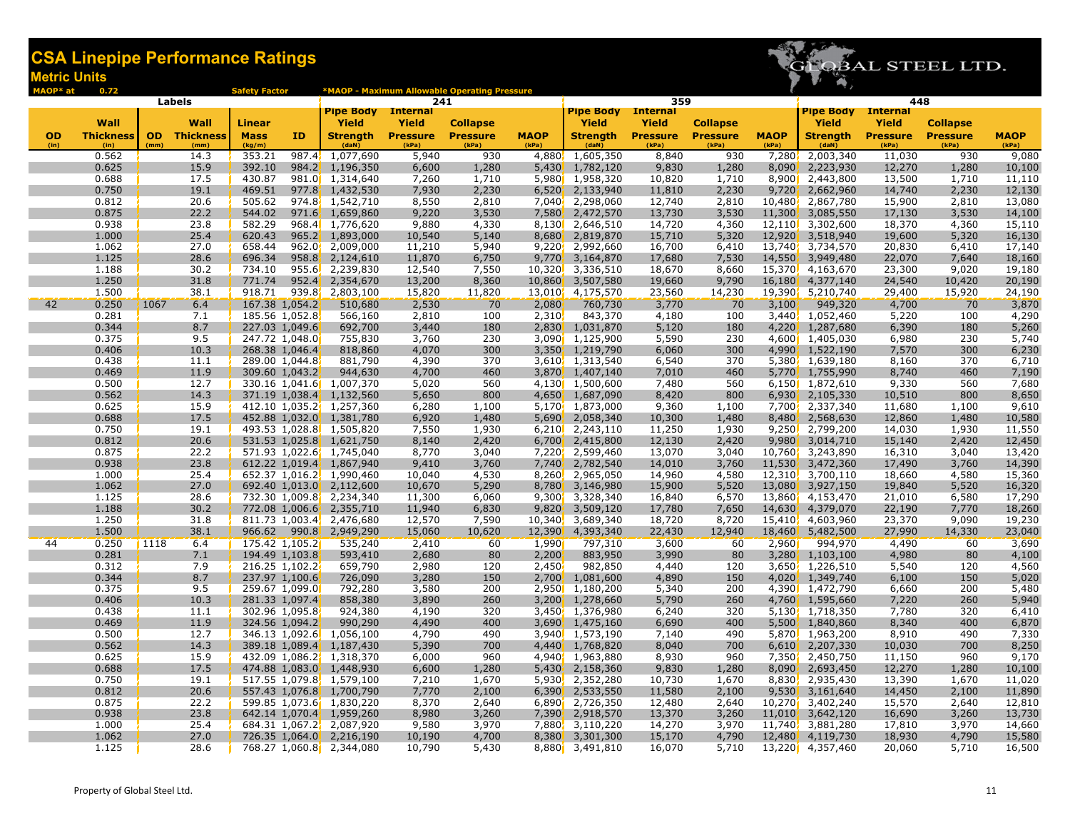

| MAOP* at  | 0.72             |      |                     | <b>Safety Factor</b> |                  |                                                      |                  | *MAOP - Maximum Allowable Operating Pressure |              |                                           |                  |                 |                  |                                |                  |                 |                  |
|-----------|------------------|------|---------------------|----------------------|------------------|------------------------------------------------------|------------------|----------------------------------------------|--------------|-------------------------------------------|------------------|-----------------|------------------|--------------------------------|------------------|-----------------|------------------|
|           |                  |      | Labels              |                      |                  | <b>Pipe Body</b>                                     | <b>Internal</b>  | 241                                          |              | <b>Pipe Body Internal</b>                 | 359              |                 |                  | <b>Pipe Body</b>               | <b>Internal</b>  | 448             |                  |
|           | Wall             |      | Wall                | <b>Linear</b>        |                  | Yield                                                | Yield            | <b>Collapse</b>                              |              | Yield                                     | Yield            | <b>Collapse</b> |                  | Yield                          | Yield            | <b>Collapse</b> |                  |
| <b>OD</b> | <b>Thickness</b> |      | <b>OD</b> Thickness | <b>Mass</b>          | ID               | <b>Strength</b>                                      | <b>Pressure</b>  | <b>Pressure</b>                              | <b>MAOP</b>  | <b>Strength</b>                           | <b>Pressure</b>  | <b>Pressure</b> | <b>MAOP</b>      | <b>Strength</b>                | <b>Pressure</b>  | <b>Pressure</b> | <b>MAOP</b>      |
| (in)      | (in)             | (mm) | (mm)                | (kg/m)               |                  | (daN)                                                | (kPa)            | (kPa)                                        | (kPa)        | (daN)                                     | (kPa)            | (kPa)           | (kPa)            | (daN)                          | (kPa)            | (kPa)           | (kPa)            |
|           | 0.562            |      | 14.3                | 353.21               | 987.4            | 1,077,690                                            | 5,940            | 930                                          |              | 4,880, 1,605,350                          | 8,840            | 930             | 7,280            | 2,003,340                      | 11,030           | 930             | 9,080            |
|           | 0.625            |      | 15.9                | 392.10               |                  | 984.2, 1,196,350                                     | 6,600            | 1,280                                        |              | 5,430 1,782,120                           | 9,830            | 1,280           | 8,090            | 2,223,930                      | 12,270           | 1,280           | 10,100           |
|           | 0.688            |      | 17.5                | 430.87               |                  | 981.0 1,314,640                                      | 7,260            | 1,710                                        |              | 5,980 1,958,320                           | 10,820           | 1,710           | 8,900            | 2,443,800                      | 13,500           | 1,710           | 11,110           |
|           | 0.750            |      | 19.1                | 469.51               |                  | $977.8$ , 1,432,530                                  | 7,930            | 2,230                                        |              | $6,520$ 2,133,940                         | 11,810           | 2,230           | 9,720            | 2,662,960                      | 14,740           | 2,230           | 12,130           |
|           | 0.812            |      | 20.6                | 505.62               |                  | 974.8 1,542,710                                      | 8,550            | 2,810                                        |              | 7,040 2,298,060                           | 12,740           | 2,810           | 10,480           | 2,867,780                      | 15,900           | 2,810           | 13,080           |
|           | 0.875            |      | 22.2                | 544.02               |                  | 971.6 1,659,860                                      | 9,220            | 3,530                                        |              | 7,580 2,472,570                           | 13,730           | 3,530           | 11,300           | 3,085,550                      | 17,130           | 3,530           | 14,100           |
|           | 0.938            |      | 23.8                | 582.29               |                  | 968.4 1,776,620                                      | 9,880            | 4,330                                        |              | 8,130 2,646,510                           | 14,720           | 4,360           |                  | 12,110 3,302,600               | 18,370           | 4,360           | 15,110           |
|           | 1.000            |      | 25.4                | 620.43               |                  | 965.2 1,893,000                                      | 10,540           | 5,140                                        |              | 8,680 2,819,870                           | 15,710           | 5,320           | 12,920           | 3,518,940                      | 19,600           | 5,320           | 16,130           |
|           | 1.062            |      | 27.0                | 658.44               |                  | 962.0 2,009,000                                      | 11,210           | 5,940                                        |              | $9,220$ , 2,992,660                       | 16,700           | 6,410           | 13,740           | 3,734,570                      | 20,830           | 6,410           | 17,140           |
|           | 1.125<br>1.188   |      | 28.6<br>30.2        | 696.34<br>734.10     |                  | $958.8$ , 2,124,610<br>955.6 2,239,830               | 11,870<br>12,540 | 6,750<br>7,550                               |              | $9,770$ , $3,164,870$<br>10,320 3,336,510 | 17,680<br>18,670 | 7,530<br>8,660  | 14,550<br>15,370 | 3,949,480<br>4,163,670         | 22,070           | 7,640<br>9,020  | 18,160<br>19,180 |
|           | 1.250            |      | 31.8                | 771.74               | 952.4            | 2,354,670                                            | 13,200           | 8,360                                        | 10,860       | 3,507,580                                 | 19,660           | 9,790           | 16,180           | 4,377,140                      | 23,300<br>24,540 | 10,420          | 20,190           |
|           | 1.500            |      | 38.1                | 918.71               |                  | 939.8 2,803,100                                      | 15,820           | 11,820                                       |              | 13,010 4,175,570                          | 23,560           | 14,230          | 19,390           | 5,210,740                      | 29,400           | 15,920          | 24,190           |
| 42        | 0.250            | 1067 | 6.4                 |                      | 167.38 1,054.2   | 510,680                                              | 2,530            | 70                                           | 2,080        | 760,730                                   | 3,770            | 70              | 3,100            | 949,320                        | 4,700            | 70              | 3,870            |
|           | 0.281            |      | 7.1                 |                      | 185.56 1,052.8   | 566,160                                              | 2,810            | 100                                          | 2,310        | 843,370                                   | 4,180            | 100             | 3,440            | 1,052,460                      | 5,220            | 100             | 4,290            |
|           | 0.344            |      | 8.7                 |                      | 227.03 1,049.6   | 692,700                                              | 3,440            | 180                                          | <b>2,830</b> | 1,031,870                                 | 5,120            | 180             | 4,220            | 1,287,680                      | 6,390            | 180             | 5,260            |
|           | 0.375            |      | 9.5                 |                      | 247.72 1,048.0   | 755,830                                              | 3,760            | 230                                          |              | 3,090 1,125,900                           | 5,590            | 230             | 4,600            | 1,405,030                      | 6,980            | 230             | 5,740            |
|           | 0.406            |      | 10.3                |                      | 268.38 1,046.4   | 818,860                                              | 4,070            | 300                                          |              | 3,350 1,219,790                           | 6,060            | 300             | 4,990            | 1,522,190                      | 7,570            | 300             | 6,230            |
|           | 0.438            |      | 11.1                |                      | 289.00 1,044.8   | 881,790                                              | 4,390            | 370                                          |              | 3,610, 1,313,540                          | 6,540            | 370             | 5,380            | 1,639,180                      | 8,160            | 370             | 6,710            |
|           | 0.469            |      | 11.9                |                      | 309.60 1,043.2   | 944,630                                              | 4,700            | 460                                          |              | 3,870 1,407,140                           | 7,010            | 460             | 5,770            | 1,755,990                      | 8,740            | 460             | 7,190            |
|           | 0.500            |      | 12.7                |                      |                  | 330.16 1,041.6 1,007,370                             | 5,020            | 560                                          |              | 4,130 1,500,600                           | 7,480            | 560             |                  | 6,150 1,872,610                | 9,330            | 560             | 7,680            |
|           | 0.562            |      | 14.3                |                      |                  | 371.19 1,038.4 1,132,560                             | 5,650            | 800                                          |              | 4,650 1,687,090                           | 8,420            | 800             | 6,930'           | 2,105,330                      | 10,510           | 800             | 8,650            |
|           | 0.625            |      | 15.9                |                      |                  | 412.10 1,035.2, 1,257,360                            | 6,280            | 1,100                                        |              | 5,170 1,873,000                           | 9,360            | 1,100           | 7,700            | 2,337,340                      | 11,680           | 1,100           | 9,610            |
|           | 0.688            |      | 17.5                |                      |                  | 452.88 1,032.0 1,381,780                             | 6,920            | 1,480                                        |              | 5,690 2,058,340                           | 10,300           | 1,480           | 8,480            | 2,568,630                      | 12,860           | 1,480           | 10,580           |
|           | 0.750            |      | 19.1                |                      |                  | 493.53 1,028.8 1,505,820                             | 7,550            | 1,930                                        |              | $6,210$ , $2,243,110$                     | 11,250           | 1,930           | 9,250            | 2,799,200                      | 14,030           | 1,930           | 11,550           |
|           | 0.812            |      | 20.6                |                      |                  | 531.53 1,025.8 1,621,750                             | 8,140            | 2,420                                        |              | 6,700 2,415,800                           | 12,130           | 2,420           | 9,980            | 3,014,710                      | 15,140           | 2,420           | 12,450           |
|           | 0.875            |      | 22.2                |                      |                  | 571.93 1,022.6 1,745,040                             | 8,770            | 3,040                                        |              | 7,220 2,599,460                           | 13,070           | 3,040           | 10,760           | 3,243,890                      | 16,310           | 3,040           | 13,420           |
|           | 0.938            |      | 23.8<br>25.4        |                      |                  | 612.22 1,019.4, 1,867,940                            | 9,410            | 3,760                                        |              | 7,740 2,782,540                           | 14,010           | 3,760           | 11,530           | 3,472,360                      | 17,490           | 3,760           | 14,390           |
|           | 1.000<br>1.062   |      | 27.0                |                      |                  | 652.37 1,016.2 1,990,460<br>692.40 1,013.0 2,112,600 | 10,040<br>10,670 | 4,530<br>5,290                               |              | 8,260, 2,965,050<br>8,780 3,146,980       | 14,960<br>15,900 | 4,580<br>5,520  | 13,080           | 12,310, 3,700,110<br>3,927,150 | 18,660<br>19,840 | 4,580<br>5,520  | 15,360<br>16,320 |
|           | 1.125            |      | 28.6                |                      |                  | 732.30 1,009.8 2,234,340                             | 11,300           | 6,060                                        |              | $9,300$ , $3,328,340$                     | 16,840           | 6,570           | 13,860           | 4,153,470                      | 21,010           | 6,580           | 17,290           |
|           | 1.188            |      | 30.2                |                      |                  | 772.08 1,006.6 2,355,710                             | 11,940           | 6,830                                        |              | 9,820 3,509,120                           | 17,780           | 7,650           | 14,630           | 4,379,070                      | 22,190           | 7,770           | 18,260           |
|           | 1.250            |      | 31.8                |                      |                  | 811.73 1,003.4, 2,476,680                            | 12,570           | 7,590                                        |              | 10,340 3,689,340                          | 18,720           | 8,720           | 15,410           | 4,603,960                      | 23,370           | 9,090           | 19,230           |
|           | 1.500            |      | 38.1                |                      | $966.62$ $990.8$ | 2,949,290                                            | 15,060           | 10,620                                       | 12,390       | 4,393,340                                 | 22,430           | 12,940          | 18,460           | 5,482,500                      | 27,990           | 14,330          | 23,040           |
| 44        | 0.250            | 1118 | 6.4                 |                      | 175.42 1,105.2   | 535,240                                              | 2,410            | 60                                           | 1,990        | 797,310                                   | 3,600            | 60              | 2,960            | 994,970                        | 4,490            | 60              | 3,690            |
|           | 0.281            |      | 7.1                 |                      | 194.49 1,103.8   | 593,410                                              | 2,680            | 80                                           | 2,200        | 883,950                                   | 3,990            | 80              | 3,280            | 1,103,100                      | 4,980            | 80              | 4,100            |
|           | 0.312            |      | 7.9                 |                      | 216.25 1,102.2   | 659,790                                              | 2,980            | 120                                          | 2,450        | 982,850                                   | 4,440            | 120             | 3,650            | 1,226,510                      | 5,540            | 120             | 4,560            |
|           | 0.344            |      | 8.7                 |                      | 237.97 1,100.6   | 726,090                                              | 3,280            | 150                                          | 2,700        | 1,081,600                                 | 4,890            | 150             | 4,020            | 1,349,740                      | 6,100            | 150             | 5,020            |
|           | 0.375            |      | 9.5                 |                      | 259.67 1,099.0   | 792,280                                              | 3,580            | 200                                          |              | 2,950 1,180,200                           | 5,340            | 200             | 4,390            | 1,472,790                      | 6,660            | 200             | 5,480            |
|           | 0.406            |      | 10.3                |                      | 281.33 1,097.4   | 858,380                                              | 3,890            | 260                                          |              | 3,200 1,278,660                           | 5,790            | 260             | 4,760            | 1,595,660                      | 7,220            | 260             | 5,940            |
|           | 0.438            |      | 11.1                |                      | 302.96 1,095.8   | 924,380                                              | 4,190            | 320                                          |              | 3,450 1,376,980                           | 6,240            | 320             | 5,130            | 1,718,350                      | 7,780            | 320             | 6,410            |
|           | 0.469            |      | 11.9                |                      | 324.56 1,094.2   | 990,290                                              | 4,490            | 400                                          |              | 3,690 1,475,160                           | 6,690            | 400             | 5,500            | 1,840,860                      | 8,340            | 400             | 6,870            |
|           | 0.500            |      | 12.7                |                      |                  | 346.13 1,092.6 1,056,100                             | 4,790            | 490                                          |              | 3,940, 1,573,190                          | 7,140            | 490             | 5,870            | 1,963,200                      | 8,910            | 490             | 7,330            |
|           | 0.562            |      | 14.3                |                      | 389.18 1,089.4   | 1,187,430                                            | 5,390            | 700                                          |              | 4,440 1,768,820                           | 8,040            | 700             | 6,610            | 2,207,330                      | 10,030           | 700             | 8,250            |
|           | 0.625            |      | 15.9                |                      |                  | 432.09 1,086.2 1,318,370                             | 6,000            | 960                                          |              | 4,940 1,963,880                           | 8,930            | 960             | 7,350            | 2,450,750                      | 11,150           | 960             | 9,170            |
|           | 0.688            |      | 17.5                |                      |                  | 474.88 1,083.0 1,448,930                             | 6,600            | 1,280                                        |              | 5,430 2,158,360                           | 9,830            | 1,280           | 8,090            | 2,693,450                      | 12,270           | 1,280           | 10,100           |
|           | 0.750<br>0.812   |      | 19.1<br>20.6        |                      |                  | 517.55 1,079.8 1,579,100                             | 7,210<br>7,770   | 1,670                                        |              | 5,930 2,352,280                           | 10,730<br>11,580 | 1,670<br>2,100  | 8,830            | 2,935,430<br>3,161,640         | 13,390           | 1,670<br>2,100  | 11,020<br>11,890 |
|           | 0.875            |      | 22.2                |                      |                  | 557.43 1,076.8 1,700,790<br>599.85 1,073.6 1,830,220 | 8,370            | 2,100<br>2,640                               |              | $6,390$ 2,533,550<br>6,890 2,726,350      | 12,480           | 2,640           | 9,530<br>10,270  | 3,402,240                      | 14,450<br>15,570 | 2,640           | 12,810           |
|           | 0.938            |      | 23.8                |                      |                  | 642.14 1,070.4 1,959,260                             | 8,980            | 3,260                                        | 7,390        | 2,918,570                                 | 13,370           | 3,260           | 11,010           | 3,642,120                      | 16,690           | 3,260           | 13,730           |
|           | 1.000            |      | 25.4                |                      |                  | 684.31 1,067.2, 2,087,920                            | 9,580            | 3,970                                        |              | 7,880 3,110,220                           | 14,270           | 3,970           | 11,740           | 3,881,280                      | 17,810           | 3,970           | 14,660           |
|           | 1.062            |      | 27.0                |                      |                  | 726.35 1,064.0 2,216,190                             | 10,190           | 4,700                                        |              | 8,380, 3,301,300                          | 15,170           | 4,790           | 12,480           | 4,119,730                      | 18,930           | 4,790           | 15,580           |
|           | 1.125            |      | 28.6                |                      |                  | 768.27 1,060.8 2,344,080                             | 10,790           | 5,430                                        |              | 8,880 3,491,810                           | 16,070           | 5,710           |                  | 13,220 4,357,460               | 20,060           | 5,710           | 16,500           |
|           |                  |      |                     |                      |                  |                                                      |                  |                                              |              |                                           |                  |                 |                  |                                |                  |                 |                  |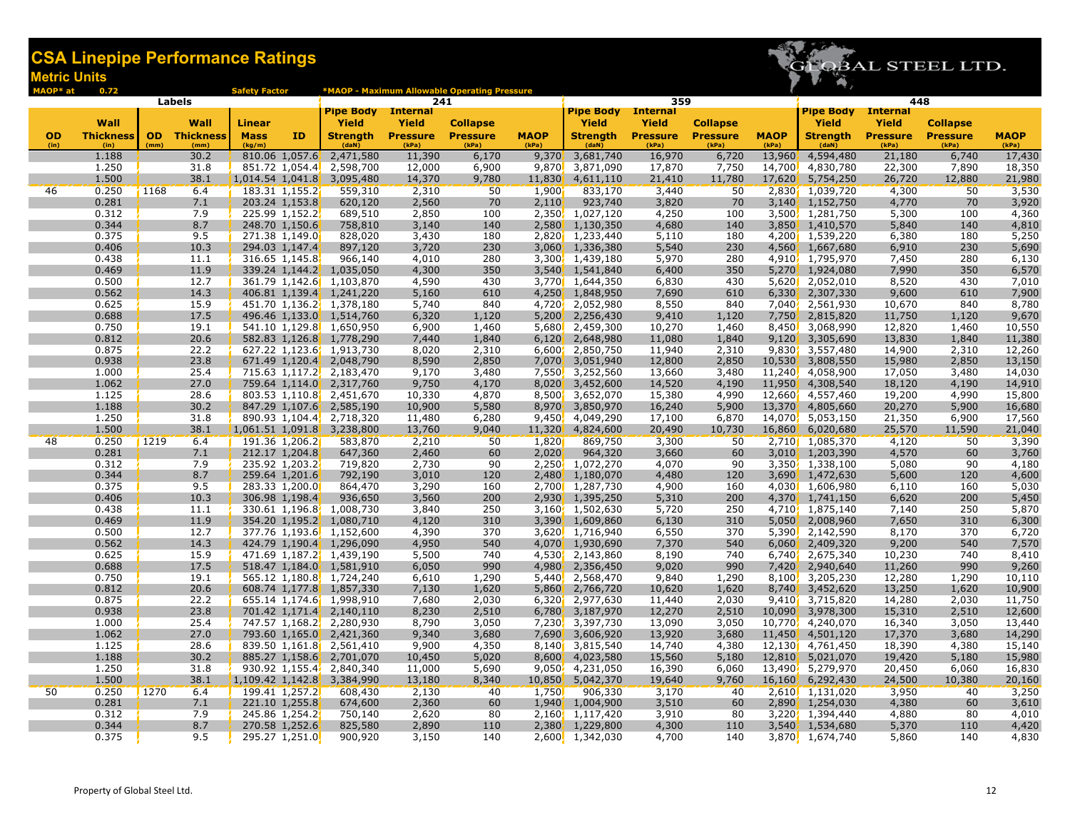#### etric Units CSA Linepipe Performance Ratings



Internal Yield

Collapse

Pipe Body Yield

 $D^*$  at 0.72 **Labels** Safety Factor \*MAOP - Maximum Allowable Operating Pressure OD Wall Thickness| OD Wall Thickness Linear Mass ID Pipe Body Yield Strength Internal Labels 241 359 448 Yield Pressure Collapse Pressure MAOP Pipe Body Internal **Yield** 

| <b>OD</b><br>(in) | <b>Thickness</b><br>(in) | <b>OD</b><br>(mm) | <b>Thickness</b><br>(mm) | Mass<br>(kg/m) | ID                            | <b>Strength</b><br>(daN)                             | <b>Pressure</b><br>(kPa) | <b>Pressure</b><br>(kPa) | <b>MAOP</b><br>(kPa) | <b>Strength</b><br>(daN)              | <b>Pressure</b><br>(kPa) | <b>Pressure</b><br>(kPa) | <b>MAOP</b><br>(kPa) | <b>Strength</b><br>(daN) | <b>Pressure</b><br>(kPa) | <b>Pressure</b><br>(kPa) | <b>MAOP</b><br>(kPa) |
|-------------------|--------------------------|-------------------|--------------------------|----------------|-------------------------------|------------------------------------------------------|--------------------------|--------------------------|----------------------|---------------------------------------|--------------------------|--------------------------|----------------------|--------------------------|--------------------------|--------------------------|----------------------|
|                   | 1.188                    |                   | 30.2                     |                | 810.06 1,057.6                | 2,471,580                                            | 11,390                   | 6,170                    | 9,370                | 3,681,740                             | 16,970                   | 6,720                    | 13,960               | 4,594,480                | 21,180                   | 6,740                    | 17,430               |
|                   | 1.250                    |                   | 31.8                     |                |                               | 851.72 1,054.4 2,598,700                             | 12,000                   | 6,900                    |                      | 9,870 3,871,090                       | 17,870                   | 7,750                    | 14,700               | 4,830,780                | 22,300                   | 7,890                    | 18,350               |
|                   | 1.500                    |                   | 38.1                     |                | 1,014.54 1,041.8              | 3,095,480                                            | 14,370                   | 9,780                    | 11,830               | 4,611,110                             | 21,410                   | 11,780                   | 17,620               | 5,754,250                | 26,720                   | 12,880                   | 21,980               |
| 46                | 0.250                    | 1168              | 6.4                      |                | 183.31 1,155.2 <mark>1</mark> | 559,310                                              | 2,310                    | 50                       | 1,900                | 833,170                               | 3,440                    | 50                       |                      | 2,830 1,039,720          | 4,300                    | 50                       | 3,530                |
|                   | 0.281                    |                   | 7.1                      |                | 203.24 1,153.8                | 620,120                                              | 2,560                    | 70                       | 2,110                | 923,740                               | 3,820                    | 70                       | 3,140                | 1,152,750                | 4,770                    | 70                       | 3,920                |
|                   | 0.312                    |                   | 7.9                      |                | 225.99 1,152.2                | 689,510                                              | 2,850                    | 100                      |                      | 2,350 1,027,120                       | 4,250                    | 100                      |                      | 3,500, 1,281,750         | 5,300                    | 100                      | 4,360                |
|                   | 0.344                    |                   | 8.7                      |                | 248.70 1,150.6                | 758,810                                              | 3,140                    | 140                      |                      | 2,580 1,130,350                       | 4,680                    | 140                      | 3,850                | 1,410,570                | 5,840                    | 140                      | 4,810                |
|                   | 0.375                    |                   | 9.5                      |                | 271.38 1,149.0                | 828,020                                              | 3,430                    | 180                      |                      | 2,820 1,233,440                       | 5,110                    | 180                      |                      | 4,200 1,539,220          | 6,380                    | 180                      | 5,250                |
|                   | 0.406                    |                   | 10.3                     |                | 294.03 1,147.4                | 897,120                                              | 3,720                    | 230                      |                      | 3,060 1,336,380                       | 5,540                    | 230                      | 4,560                | 1,667,680                | 6,910                    | 230                      | 5,690                |
|                   | 0.438                    |                   | 11.1                     |                | 316.65 1,145.8                | 966,140                                              | 4,010                    | 280                      |                      | 3.300 1.439.180                       | 5,970                    | 280                      |                      | 4,910, 1,795,970         | 7,450                    | 280                      | 6,130                |
|                   | 0.469                    |                   | 11.9                     |                | 339.24 1,144.2                | 1,035,050                                            | 4,300                    | 350                      |                      | 3,540, 1,541,840                      | 6,400                    | 350                      | 5,270                | 1,924,080                | 7,990                    | 350                      | 6,570                |
|                   | 0.500                    |                   | 12.7                     |                |                               | 361.79 1,142.6 1,103,870                             | 4,590                    | 430                      |                      | 3,770 1,644,350                       | 6,830                    | 430                      |                      | 5,620 2,052,010          | 8,520                    | 430                      | 7,010                |
|                   | 0.562                    |                   | 14.3                     |                |                               | 406.81 1,139.4 1,241,220                             | 5,160                    | 610                      | 4,250                | 1,848,950                             | 7,690                    | 610                      | 6,330                | 2,307,330                | 9,600                    | 610                      | 7,900                |
|                   | 0.625                    |                   | 15.9                     |                |                               | 451.70 1,136.2, 1,378,180                            | 5,740                    | 840                      |                      | 4,720 2,052,980                       | 8,550                    | 840                      | 7,040                | 2,561,930                | 10,670                   | 840                      | 8,780                |
|                   | 0.688                    |                   | 17.5                     |                |                               | 496.46 1,133.0 1,514,760                             | 6,320                    | 1,120                    |                      | $5,200$ , 2,256,430                   | 9,410                    | 1,120                    | 7,750                | 2,815,820                | 11,750                   | 1,120                    | 9,670                |
|                   | 0.750                    |                   | 19.1                     |                |                               | 541.10 1,129.8 1,650,950                             | 6,900                    | 1,460                    |                      | 5,680 2,459,300                       | 10,270                   | 1,460                    | 8,450                | 3,068,990                | 12,820                   | 1,460                    | 10,550               |
|                   | 0.812                    |                   | 20.6                     |                |                               | 582.83 1,126.8 1,778,290                             | 7,440                    | 1,840                    | 6,120                | 2,648,980                             | 11,080                   | 1,840                    | 9,120                | 3,305,690                | 13,830                   | 1,840                    | 11,380               |
|                   | 0.875                    |                   | 22.2                     |                |                               | 627.22 1,123.6 1,913,730                             | 8,020                    | 2,310                    |                      | 6,600 2,850,750                       | 11,940                   | 2,310                    | 9,830                | 3,557,480                | 14,900                   | 2,310                    | 12,260               |
|                   | 0.938                    |                   | 23.8                     |                |                               | 671.49 1,120.4 2,048,790                             | 8,590                    | 2,850                    | 7,070                | 3,051,940                             | 12,800                   | 2,850                    | 10,530               | 3,808,550                | 15,980                   | 2,850                    | 13,150               |
|                   | 1.000                    |                   | 25.4                     |                |                               | 715.63 1,117.2 2,183,470                             | 9,170                    | 3,480                    |                      | 7,550, 3,252,560                      | 13,660                   | 3,480                    | 11,240               | 4,058,900                | 17,050                   | 3,480                    | 14,030               |
|                   | 1.062                    |                   | 27.0                     |                |                               | 759.64 1,114.0 2,317,760                             | 9,750                    | 4,170                    | 8,020                | 3,452,600                             | 14,520                   | 4,190                    | 11,950               | 4,308,540                | 18,120                   | 4,190                    | 14,910               |
|                   | 1.125                    |                   | 28.6                     |                |                               | 803.53 1,110.8 2,451,670                             | 10,330                   | 4,870                    |                      | 8,500 3,652,070                       | 15,380                   | 4,990                    |                      | 12,660 4,557,460         | 19,200                   | 4,990                    | 15,800               |
|                   | 1.188                    |                   | 30.2                     |                |                               | 847.29 1,107.6 2,585,190                             | 10,900                   | 5,580                    |                      | 8,970 3,850,970                       | 16,240                   | 5,900                    | 13,370               | 4,805,660                | 20,270                   | 5,900                    | 16,680               |
|                   | 1.250                    |                   | 31.8                     |                | 890.93 1,104.4                | 2,718,320                                            | 11,480                   | 6,280                    |                      | 9,450, 4,049,290                      | 17,100                   | 6,870                    | 14,070               | 5,053,150                | 21,350                   | 6,900                    | 17,560               |
|                   | 1.500                    |                   | 38.1                     |                | $1,061.51$ $1,091.8$          | 3,238,800                                            | 13,760                   | 9,040                    |                      | 11,320 4,824,600                      | 20,490                   | 10,730                   | 16,860               | 6,020,680                | 25,570                   | 11,590                   | 21,040               |
| 48                | 0.250                    | 1219              | 6.4                      |                | 191.36 1,206.2                | 583,870                                              | 2,210                    | 50                       | 1,820                | 869,750                               | 3,300                    | 50                       |                      | 2,710 1,085,370          | 4,120                    | 50                       | 3,390                |
|                   | 0.281                    |                   | 7.1                      |                | 212.17 1,204.8                | 647,360                                              | 2,460                    | 60                       | 2,020                | 964,320                               | 3,660                    | 60                       | 3,010                | 1,203,390                | 4,570                    | 60                       | 3,760                |
|                   | 0.312                    |                   | 7.9                      |                | 235.92 1,203.2                | 719,820                                              | 2,730                    | 90                       |                      | 2,250, 1,072,270                      | 4,070                    | 90                       |                      | 3,350, 1,338,100         | 5,080                    | 90                       | 4,180                |
|                   | 0.344                    |                   | 8.7                      |                | 259.64 1,201.6                | 792,190                                              | 3,010                    | 120                      | 2.480                | 1,180,070                             | 4,480                    | 120                      | 3,690                | 1,472,630                | 5,600                    | 120                      | 4,600                |
|                   | 0.375                    |                   | 9.5                      |                | 283.33 1,200.0                | 864,470                                              | 3,290                    | 160                      |                      | 2,700 1,287,730                       | 4,900                    | 160                      | 4,030                | 1,606,980                | 6,110                    | 160                      | 5,030                |
|                   | 0.406                    |                   | 10.3                     |                | 306.98 1,198.4                | 936,650                                              | 3,560                    | 200                      |                      | 2,930 1,395,250                       | 5,310                    | 200                      | 4,370                | 1,741,150                | 6,620                    | 200                      | 5,450                |
|                   | 0.438                    |                   | 11.1                     |                |                               | 330.61 1,196.8 1,008,730                             | 3,840                    | 250                      |                      | 3,160, 1,502,630                      | 5,720                    | 250                      |                      | 4,710 1,875,140          | 7,140                    | 250                      | 5,870                |
|                   | 0.469                    |                   | 11.9                     |                |                               | 354.20 1,195.2 1,080,710                             | 4,120                    | 310                      |                      | 3,390 1,609,860                       | 6,130                    | 310                      | 5,050                | 2,008,960                | 7,650                    | 310                      | 6,300                |
|                   | 0.500                    |                   | 12.7                     |                |                               | 377.76 1,193.6 1,152,600                             | 4,390                    | 370                      |                      | 3,620, 1,716,940                      | 6,550                    | 370                      | 5,390                | 2,142,590                | 8,170                    | 370                      | 6,720                |
|                   | 0.562                    |                   | 14.3                     |                |                               | 424.79 1,190.4 1,296,090                             | 4,950                    | 540                      | 4,070                | 1,930,690                             | 7,370                    | 540                      | 6,060                | 2,409,320                | 9,200                    | 540                      | 7,570                |
|                   | 0.625                    |                   | 15.9                     |                |                               | 471.69 1,187.2 1,439,190                             | 5,500                    | 740                      |                      | 4,530 2,143,860                       | 8,190                    | 740                      |                      | $6,740$ , 2,675,340      | 10,230                   | 740                      | 8,410                |
|                   | 0.688<br>0.750           |                   | 17.5                     |                |                               | 518.47 1,184.0 1,581,910                             | 6,050                    | 990                      | 4,980                | 2,356,450                             | 9,020                    | 990                      | 7,420                | 2,940,640                | 11,260                   | 990                      | 9,260                |
|                   | 0.812                    |                   | 19.1<br>20.6             |                |                               | 565.12 1,180.8 1,724,240                             | 6,610                    | 1,290                    |                      | 5,440 2,568,470                       | 9,840                    | 1,290                    | 8,100                | 3,205,230                | 12,280                   | 1,290                    | 10,110               |
|                   | 0.875                    |                   | 22.2                     |                |                               | 608.74 1,177.8 1,857,330<br>655.14 1,174.6 1,998,910 | 7,130<br>7,680           | 1,620<br>2,030           |                      | 5,860 2,766,720<br>$6,320'$ 2,977,630 | 10,620<br>11,440         | 1,620<br>2,030           | 8,740<br>9,410       | 3,452,620<br>3,715,820   | 13,250<br>14,280         | 1,620<br>2,030           | 10,900<br>11,750     |
|                   | 0.938                    |                   | 23.8                     |                |                               | 701.42 1,171.4 2,140,110                             | 8,230                    | 2,510                    |                      | 6,780 3,187,970                       | 12,270                   | 2,510                    | 10,090               | 3,978,300                | 15,310                   | 2,510                    | 12,600               |
|                   | 1.000                    |                   | 25.4                     |                |                               | 747.57 1,168.2, 2,280,930                            | 8,790                    | 3,050                    |                      | 7,230, 3,397,730                      | 13,090                   | 3,050                    |                      | 10,770, 4,240,070        | 16,340                   | 3,050                    | 13,440               |
|                   | 1.062                    |                   | 27.0                     |                |                               | 793.60 1,165.0 2,421,360                             | 9,340                    | 3,680                    | 7,690                | 3,606,920                             | 13,920                   | 3,680                    | 11,450               | 4,501,120                | 17,370                   | 3,680                    | 14,290               |
|                   | 1.125                    |                   | 28.6                     |                |                               | 839.50 1,161.8 2,561,410                             | 9,900                    | 4,350                    |                      | 8,140 3,815,540                       | 14,740                   | 4,380                    | 12,130               | 4,761,450                | 18,390                   | 4,380                    | 15,140               |
|                   | 1.188                    |                   | 30.2                     |                |                               | 885.27 1,158.6 2,701,070                             | 10,450                   | 5,020                    |                      | 8,600 4,023,580                       | 15,560                   | 5,180                    | 12,810               | 5,021,070                | 19,420                   | 5,180                    | 15,980               |
|                   | 1.250                    |                   | 31.8                     |                |                               | 930.92 1,155.4 2,840,340                             | 11,000                   | 5,690                    |                      | $9,050$ , 4,231,050                   | 16,390                   | 6,060                    | 13,490 <sup>'</sup>  | 5,279,970                | 20,450                   | 6,060                    | 16,830               |
|                   | 1.500                    |                   | 38.1                     |                | $1,109.42$ 1,142.8            | 3,384,990                                            | 13,180                   | 8,340                    |                      | 10,850 5,042,370                      | 19,640                   | 9,760                    |                      | 16,160, 6,292,430        | 24,500                   | 10,380                   | 20,160               |
| 50                | 0.250                    | 1270              | 6.4                      |                | 199.41 1,257.2                | 608,430                                              | 2,130                    | 40                       | 1,750                | 906,330                               | 3,170                    | 40                       |                      | 2,610 1,131,020          | 3,950                    | 40                       | 3,250                |
|                   | 0.281                    |                   | 7.1                      |                | 221.10 1,255.8                | 674,600                                              | 2,360                    | 60                       |                      | 1,940 1,004,900                       | 3,510                    | 60                       | 2,890                | 1,254,030                | 4,380                    | 60                       | 3,610                |
|                   | 0.312                    |                   | 7.9                      |                | 245.86 1,254.2                | 750,140                                              | 2,620                    | 80                       |                      | 2,160 1,117,420                       | 3,910                    | 80                       | 3,220                | 1,394,440                | 4,880                    | 80                       | 4,010                |
|                   | 0.344                    |                   | 8.7                      |                | 270.58 1,252.6                | 825,580                                              | 2,890                    | 110                      |                      | 2,380 1,229,800                       | 4,300                    | 110                      | 3,540                | 1,534,680                | 5,370                    | 110                      | 4,420                |
|                   | 0.375                    |                   | 9.5                      |                | 295.27 1,251.0                | 900,920                                              | 3,150                    | 140                      |                      | 2,600 1,342,030                       | 4,700                    | 140                      |                      | 3,870, 1,674,740         | 5,860                    | 140                      | 4,830                |
|                   |                          |                   |                          |                |                               |                                                      |                          |                          |                      |                                       |                          |                          |                      |                          |                          |                          |                      |

**Yield** 

**Collapse**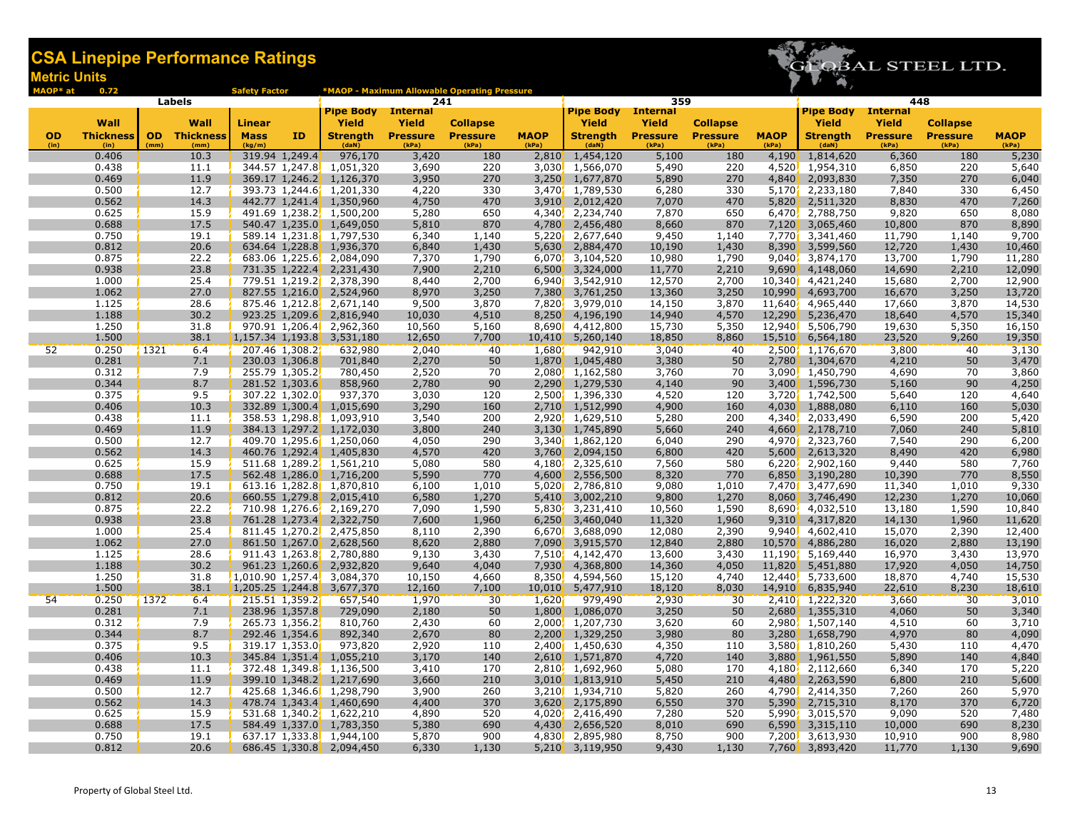

| MAOP* at  | 0.72             |                     | <b>Safety Factor</b> |                |                               |                          | <b>*MAOP - Maximum Allowable Operating Pressure</b> |                  |                                     |                          |                                    |                  |                                     |                          |                                    |                 |  |
|-----------|------------------|---------------------|----------------------|----------------|-------------------------------|--------------------------|-----------------------------------------------------|------------------|-------------------------------------|--------------------------|------------------------------------|------------------|-------------------------------------|--------------------------|------------------------------------|-----------------|--|
| Labels    |                  |                     |                      |                | <b>Pipe Body</b>              | 241                      |                                                     | <b>Pipe Body</b> | 359<br><b>Internal</b>              |                          |                                    | <b>Pipe Body</b> | 448<br><b>Internal</b>              |                          |                                    |                 |  |
|           | Wall             | Wall                | Linear               |                |                               | <b>Internal</b><br>Yield |                                                     |                  | Yield                               | Yield                    |                                    |                  | Yield                               | Yield                    |                                    |                 |  |
| <b>OD</b> | <b>Thickness</b> | <b>OD</b> Thickness | <b>Mass</b>          | ID             | Yield<br><b>Strength</b>      |                          | <b>Collapse</b><br><b>Pressure</b>                  | <b>MAOP</b>      | <b>Strength</b>                     |                          | <b>Collapse</b><br><b>Pressure</b> | <b>MAOP</b>      | <b>Strength</b>                     |                          | <b>Collapse</b><br><b>Pressure</b> | <b>MAOP</b>     |  |
| (in)      | (in)             | (mm)<br>(mm)        | (kg/m)               |                | (daN)                         | <b>Pressure</b><br>(kPa) | (kPa)                                               | (kPa)            | (daN)                               | <b>Pressure</b><br>(kPa) | (kPa)                              | (kPa)            | (daN)                               | <b>Pressure</b><br>(kPa) | (kPa)                              | (kPa)           |  |
|           | 0.406            | 10.3                |                      | 319.94 1,249.4 | 976,170                       | 3,420                    | 180                                                 | 2,810            | 1,454,120                           | 5,100                    | 180                                | 4,190            | 1,814,620                           | 6,360                    | 180                                | 5,230           |  |
|           | 0.438            | 11.1                |                      |                | 344.57 1,247.8 1,051,320      | 3,690                    | 220                                                 | 3,030            | 1,566,070                           | 5,490                    | 220                                | 4,520            | 1,954,310                           | 6,850                    | 220                                | 5,640           |  |
|           | 0.469            | 11.9                |                      | 369.17 1,246.2 | 1,126,370                     | 3,950                    | 270                                                 | 3,250            | 1,677,870                           | 5,890                    | 270                                | 4,840            | 2,093,830                           | 7,350                    | 270                                | 6,040           |  |
|           | 0.500            | 12.7                |                      |                | 393.73 1,244.6 1,201,330      | 4,220                    | 330                                                 | 3,470'           | 1,789,530                           | 6,280                    | 330                                | 5,170            | 2,233,180                           | 7,840                    | 330                                | 6,450           |  |
|           | 0.562            | 14.3                |                      |                | 442.77 1,241.4 1,350,960      | 4,750                    | 470                                                 | 3,910            | 2,012,420                           | 7,070                    | 470                                | 5,820            | 2,511,320                           | 8,830                    | 470                                | 7,260           |  |
|           | 0.625            | 15.9                |                      |                | 491.69 1,238.2, 1,500,200     | 5,280                    | 650                                                 | 4,340            | 2,234,740                           | 7,870                    | 650                                | 6,470            | 2,788,750                           | 9,820                    | 650                                | 8,080           |  |
|           | 0.688            | 17.5                |                      |                | 540.47 1,235.0 1,649,050      | 5,810                    | 870                                                 | 4,780            | 2,456,480                           | 8,660                    | 870                                | 7,120            | 3,065,460                           | 10,800                   | 870                                | 8,890           |  |
|           | 0.750            | 19.1                |                      |                | 589.14 1,231.8 1,797,530      | 6,340                    | 1,140                                               |                  | 5,220 2,677,640                     | 9,450                    | 1,140                              | 7,770            | 3,341,460                           | 11,790                   | 1,140                              | 9,700           |  |
|           | 0.812            | 20.6                |                      |                | 634.64 1,228.8 1,936,370      | 6,840                    | 1,430                                               | 5,630            | 2,884,470                           | 10,190                   | 1,430                              | 8,390            | 3,599,560                           | 12,720                   | 1,430                              | 10,460          |  |
|           | 0.875            | 22.2                |                      |                | 683.06 1,225.6, 2,084,090     | 7,370                    | 1,790                                               |                  | $6,070$ , $3,104,520$               | 10,980                   | 1,790                              | 9,040            | 3,874,170                           | 13,700                   | 1,790                              | 11,280          |  |
|           | 0.938            | 23.8                |                      |                | 731.35 1,222.4 2,231,430      | 7,900                    | 2,210                                               |                  | $6,500$ , $3,324,000$               | 11,770                   | 2,210                              | 9,690            | 4,148,060                           | 14,690                   | 2,210                              | 12,090          |  |
|           | 1.000            | 25.4                |                      |                | 779.51 1,219.2 2,378,390      | 8,440                    | 2,700                                               |                  | $6,940$ 3,542,910                   | 12,570                   | 2,700                              | 10,340           | 4,421,240                           | 15,680                   | 2,700                              | 12,900          |  |
|           | 1.062            | 27.0                |                      |                | 827.55 1,216.0 2,524,960      | 8,970                    | 3,250                                               |                  | 7,380 3,761,250                     | 13,360                   | 3,250                              | 10,990           | 4,693,700                           | 16,670                   | 3,250                              | 13,720          |  |
|           | 1.125            | 28.6                |                      |                | 875.46 1,212.8 2,671,140      | 9,500                    | 3,870                                               |                  | 7,820 3,979,010                     | 14,150                   | 3,870                              | 11,640           | 4,965,440                           | 17,660                   | 3,870                              | 14,530          |  |
|           | 1.188            | 30.2                |                      |                | 923.25 1,209.6 2,816,940      | 10,030                   | 4,510                                               |                  | 8,250, 4,196,190                    | 14,940<br>15,730         | 4,570                              | 12,290           | 5,236,470                           | 18,640                   | 4,570                              | 15,340          |  |
|           | 1.250<br>1.500   | 31.8<br>38.1        |                      |                | 970.91 1,206.4 2,962,360      | 10,560<br>12,650         | 5,160<br>7,700                                      |                  | 8,690 4,412,800<br>10,410 5,260,140 | 18,850                   | 5,350                              | 12,940           | 5,506,790                           | 19,630<br>23,520         | 5,350<br>9,260                     | 16,150          |  |
| 52        | 0.250            | 1321<br>6.4         |                      | 207.46 1,308.2 | 1,157.34 1,193.8 3,531,180    | 2,040                    | 40                                                  | 1,680            | 942,910                             | 3,040                    | 8,860                              |                  | 15,510 6,564,180<br>2,500 1,176,670 | 3,800                    |                                    | 19,350<br>3,130 |  |
|           | 0.281            | 7.1                 |                      | 230.03 1,306.8 | 632,980<br>701,840            | 2,270                    | 50                                                  | 1,870            | 1,045,480                           | 3,380                    | 40<br>50                           | 2,780            | 1,304,670                           | 4,210                    | 40<br>50                           | 3,470           |  |
|           | 0.312            | 7.9                 |                      | 255.79 1,305.2 | 780,450                       | 2,520                    | 70                                                  |                  | 2,080, 1,162,580                    | 3,760                    | 70                                 | 3,090            | 1,450,790                           | 4,690                    | 70                                 | 3,860           |  |
|           | 0.344            | 8.7                 |                      | 281.52 1,303.6 | 858,960                       | 2,780                    | 90                                                  |                  | 2,290 1,279,530                     | 4,140                    | 90                                 | 3,400            | 1,596,730                           | 5,160                    | 90                                 | 4,250           |  |
|           | 0.375            | 9.5                 |                      | 307.22 1,302.0 | 937,370                       | 3,030                    | 120                                                 |                  | 2,500 1,396,330                     | 4,520                    | 120                                | 3,720            | 1,742,500                           | 5,640                    | 120                                | 4,640           |  |
|           | 0.406            | 10.3                |                      | 332.89 1,300.4 | 1,015,690                     | 3,290                    | 160                                                 | 2,710            | 1,512,990                           | 4,900                    | 160                                | 4,030            | 1,888,080                           | 6,110                    | 160                                | 5,030           |  |
|           | 0.438            | 11.1                |                      |                | 358.53 1,298.8 1,093,910      | 3,540                    | 200                                                 |                  | 2,920, 1,629,510                    | 5,280                    | 200                                | 4,340            | 2,033,490                           | 6,590                    | 200                                | 5,420           |  |
|           | 0.469            | 11.9                |                      |                | 384.13 1,297.2 1,172,030      | 3,800                    | 240                                                 | 3,130            | 1,745,890                           | 5,660                    | 240                                | 4,660            | 2,178,710                           | 7,060                    | 240                                | 5,810           |  |
|           | 0.500            | 12.7                |                      |                | 409.70 1,295.6 1,250,060      | 4,050                    | 290                                                 |                  | 3,340 1,862,120                     | 6,040                    | 290                                | 4,970            | 2,323,760                           | 7,540                    | 290                                | 6,200           |  |
|           | 0.562            | 14.3                |                      |                | 460.76 1,292.4 1,405,830      | 4,570                    | 420                                                 | 3,760            | 2,094,150                           | 6,800                    | 420                                | 5,600            | 2,613,320                           | 8,490                    | 420                                | 6,980           |  |
|           | 0.625            | 15.9                |                      |                | 511.68 1,289.2, 1,561,210     | 5,080                    | 580                                                 |                  | 4,180, 2,325,610                    | 7,560                    | 580                                | 6,220            | 2,902,160                           | 9,440                    | 580                                | 7,760           |  |
|           | 0.688            | 17.5                |                      |                | 562.48 1,286.0 1,716,200      | 5,590                    | 770                                                 |                  | 4,600, 2,556,500                    | 8,320                    | 770                                | 6,850            | 3,190,280                           | 10,390                   | 770                                | 8,550           |  |
|           | 0.750            | 19.1                |                      |                | 613.16 1,282.8 1,870,810      | 6,100                    | 1,010                                               |                  | 5,020 2,786,810                     | 9,080                    | 1,010                              | 7,470            | 3,477,690                           | 11,340                   | 1,010                              | 9,330           |  |
|           | 0.812            | 20.6                |                      |                | 660.55 1,279.8 2,015,410      | 6,580                    | 1,270                                               |                  | $5,410$ , $3,002,210$               | 9,800                    | 1,270                              | 8,060            | 3,746,490                           | 12,230                   | 1,270                              | 10,060          |  |
|           | 0.875            | 22.2                |                      |                | 710.98 1,276.6 2,169,270      | 7,090                    | 1,590                                               |                  | 5,830, 3,231,410                    | 10,560                   | 1,590                              | 8,690            | 4,032,510                           | 13,180                   | 1,590                              | 10,840          |  |
|           | 0.938            | 23.8                |                      |                | 761.28 1,273.4 2,322,750      | 7,600                    | 1,960                                               |                  | $6,250$ , $3,460,040$               | 11,320                   | 1,960                              | 9,310            | 4,317,820                           | 14,130                   | 1,960                              | 11,620          |  |
|           | 1.000            | 25.4                |                      |                | 811.45 1,270.2 2,475,850      | 8,110                    | 2,390                                               |                  | 6,670 3,688,090                     | 12,080                   | 2,390                              | 9,940            | 4,602,410                           | 15,070                   | 2,390                              | 12,400          |  |
|           | 1.062            | 27.0                |                      |                | 861.50 1,267.0 2,628,560      | 8,620                    | 2,880                                               |                  | 7,090 3,915,570                     | 12,840                   | 2,880                              | 10,570           | 4,886,280                           | 16,020                   | 2,880                              | 13,190          |  |
|           | 1.125            | 28.6                |                      |                | 911.43 1,263.8 2,780,880      | 9,130                    | 3,430                                               |                  | 7,510 4,142,470                     | 13,600                   | 3,430                              | 11,190'          | 5,169,440                           | 16,970                   | 3,430                              | 13,970          |  |
|           | 1.188            | 30.2                |                      |                | 961.23 1,260.6, 2,932,820     | 9,640                    | 4,040                                               |                  | 7,930, 4,368,800                    | 14,360                   | 4,050                              | 11,820           | 5,451,880                           | 17,920                   | 4,050                              | 14,750          |  |
|           | 1.250            | 31.8                |                      |                | $1,010.90$ 1,257.4, 3,084,370 | 10,150                   | 4,660                                               |                  | 8,350, 4,594,560                    | 15,120                   | 4,740                              | 12,440           | 5,733,600                           | 18,870                   | 4,740                              | 15,530          |  |
|           | 1.500            | 38.1                | 1,205.25 1,244.8     |                | 3,677,370                     | 12,160                   | 7,100                                               |                  | 10,010 5,477,910                    | 18,120                   | 8,030                              | 14,910           | 6,835,940                           | 22,610                   | 8,230                              | 18,610          |  |
| 54        | 0.250            | 1372<br>6.4         |                      | 215.51 1,359.2 | 657,540                       | 1,970                    | 30                                                  | 1,620            | 979,490                             | 2,930                    | 30                                 |                  | 2,410 1,222,320                     | 3,660                    | 30                                 | 3,010           |  |
|           | 0.281            | 7.1                 |                      | 238.96 1,357.8 | 729,090                       | 2,180                    | 50                                                  | 1,800            | 1,086,070                           | 3,250                    | 50                                 | 2,680            | 1,355,310                           | 4,060                    | 50                                 | 3,340           |  |
|           | 0.312            | 7.9                 |                      | 265.73 1,356.2 | 810,760                       | 2,430                    | 60                                                  |                  | 2.000 1.207.730                     | 3,620                    | 60                                 | 2.980'           | 1,507,140                           | 4,510                    | 60                                 | 3,710           |  |
|           | 0.344            | 8.7                 |                      | 292.46 1,354.6 | 892,340                       | 2,670                    | 80                                                  | 2,200            | 1,329,250                           | 3,980                    | 80                                 | 3,280            | 1,658,790                           | 4,970                    | 80                                 | 4,090           |  |
|           | 0.375            | 9.5                 |                      | 319.17 1,353.0 | 973,820                       | 2,920                    | 110                                                 |                  | 2,400 1,450,630                     | 4,350                    | 110                                | 3,580            | 1,810,260                           | 5,430                    | 110                                | 4,470           |  |
|           | 0.406            | 10.3                |                      | 345.84 1,351.4 | 1,055,210                     | 3,170                    | 140                                                 | 2,610            | 1,571,870                           | 4,720                    | 140                                | 3,880            | 1,961,550                           | 5,890                    | 140                                | 4,840           |  |
|           | 0.438            | 11.1                |                      |                | 372.48 1,349.8 1,136,500      | 3,410                    | 170                                                 |                  | 2,810, 1,692,960                    | 5,080                    | 170                                | 4,180            | 2,112,660                           | 6,340                    | 170                                | 5,220           |  |
|           | 0.469            | 11.9                |                      |                | 399.10 1,348.2 1,217,690      | 3,660                    | 210                                                 |                  | 3,010, 1,813,910                    | 5,450                    | 210                                | 4,480            | 2,263,590                           | 6,800                    | 210                                | 5,600           |  |
|           | 0.500            | 12.7                |                      |                | 425.68 1,346.6 1,298,790      | 3,900                    | 260                                                 |                  | 3,210 1,934,710                     | 5,820                    | 260                                | 4,790            | 2,414,350                           | 7,260                    | 260                                | 5,970           |  |
|           | 0.562            | 14.3                |                      |                | 478.74 1,343.4 1,460,690      | 4,400                    | 370                                                 |                  | 3,620 2,175,890                     | 6,550                    | 370                                | 5,390            | 2,715,310                           | 8,170                    | 370                                | 6,720           |  |
|           | 0.625            | 15.9                |                      |                | 531.68 1,340.2, 1,622,210     | 4,890                    | 520                                                 |                  | 4,020 2,416,490                     | 7,280                    | 520                                | 5,990            | 3,015,570                           | 9,090                    | 520                                | 7,480           |  |
|           | 0.688<br>0.750   | 17.5                |                      |                | 584.49 1,337.0 1,783,350      | 5,380<br>5,870           | 690<br>900                                          |                  | 4,430, 2,656,520                    | 8,010                    | 690<br>900                         | 6,590            | 3,315,110<br>7,200 3,613,930        | 10,000                   | 690<br>900                         | 8,230           |  |
|           | 0.812            | 19.1<br>20.6        |                      |                | 637.17 1,333.8 1,944,100      | 6,330                    | 1,130                                               |                  | 4,830 2,895,980                     | 8,750<br>9,430           | 1,130                              |                  |                                     | 10,910<br>11,770         | 1,130                              | 8,980           |  |
|           |                  |                     |                      |                | 686.45 1,330.8 2,094,450      |                          |                                                     |                  | 5,210 3,119,950                     |                          |                                    | 7,760            | 3,893,420                           |                          |                                    | 9,690           |  |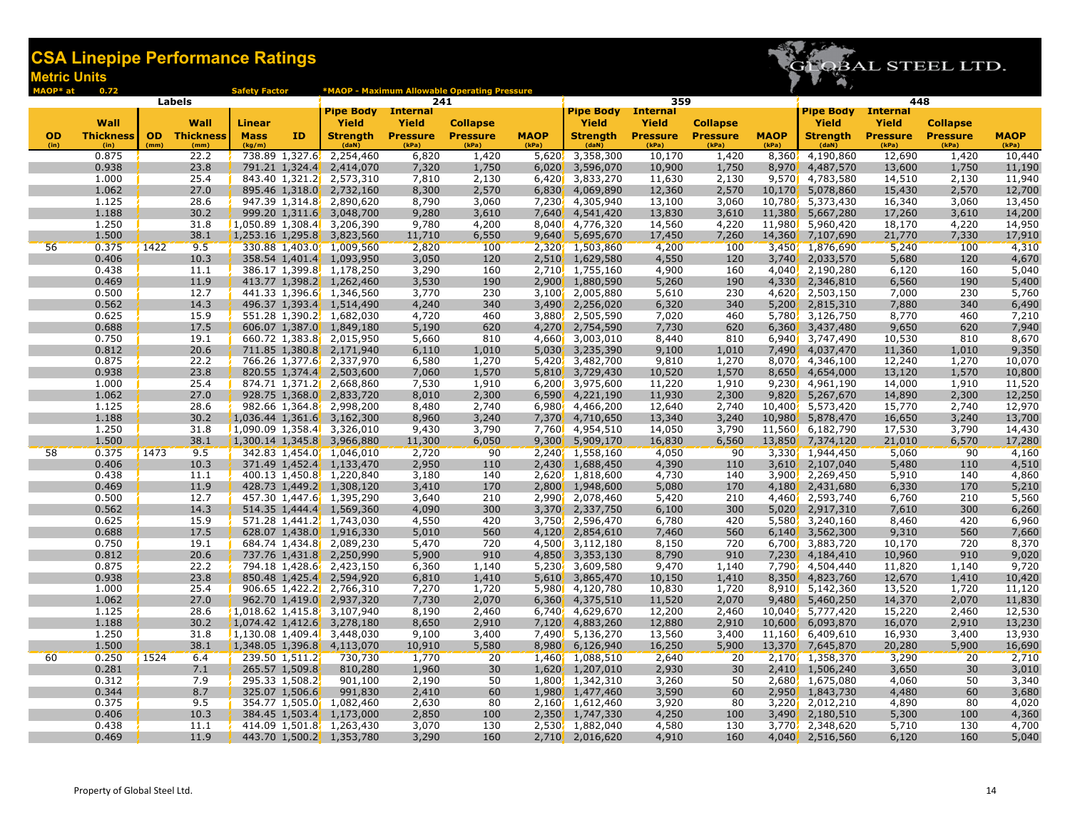

| MAOP* at  | 0.72             |      |                     | <b>Safety Factor</b> |                |                                                       |                        | *MAOP - Maximum Allowable Operating Pressure |                      |                               |                        |                                    |                |                                            |                  |                 |                |  |
|-----------|------------------|------|---------------------|----------------------|----------------|-------------------------------------------------------|------------------------|----------------------------------------------|----------------------|-------------------------------|------------------------|------------------------------------|----------------|--------------------------------------------|------------------|-----------------|----------------|--|
|           |                  |      | Labels              |                      |                | <b>Pipe Body</b>                                      | 241<br><b>Internal</b> |                                              |                      | <b>Pipe Body</b>              | 359<br><b>Internal</b> |                                    |                | 448<br><b>Pipe Body</b><br><b>Internal</b> |                  |                 |                |  |
|           | Wall             |      | Wall                | Linear               |                | Yield                                                 | <b>Yield</b>           | <b>Collapse</b>                              |                      | Yield                         | Yield                  |                                    |                | <b>Yield</b>                               | Yield            | <b>Collapse</b> |                |  |
| <b>OD</b> | <b>Thickness</b> |      | <b>OD</b> Thickness | <b>Mass</b>          | ΙD             | <b>Strength</b>                                       | <b>Pressure</b>        | <b>Pressure</b>                              | <b>MAOP</b>          | <b>Strength</b>               | <b>Pressure</b>        | <b>Collapse</b><br><b>Pressure</b> | <b>MAOP</b>    | <b>Strength</b>                            | <b>Pressure</b>  | <b>Pressure</b> | <b>MAOP</b>    |  |
| (in)      | (in)             | (mm) | (mm)                | (kg/m)               |                | (daN)                                                 | (kPa)                  | (kPa)                                        | (kPa)                | (dan)                         | (kPa)                  | (kPa)                              | (kPa)          | (daN)                                      | (kPa)            | (kPa)           | (kPa)          |  |
|           | 0.875            |      | 22.2                |                      |                | 738.89 1,327.6 2,254,460                              | 6,820                  | 1,420                                        | 5,620                | 3,358,300                     | 10,170                 | 1,420                              | 8,360          | 4,190,860                                  | 12,690           | 1,420           | 10,440         |  |
|           | 0.938            |      | 23.8                |                      | 791.21 1,324.4 | 2,414,070                                             | 7,320                  | 1,750                                        | 6,020                | 3,596,070                     | 10,900                 | 1,750                              | 8,970          | 4,487,570                                  | 13,600           | 1,750           | 11,190         |  |
|           | 1.000            |      | 25.4                |                      |                | 843.40 1,321.2 2,573,310                              | 7,810                  | 2,130                                        |                      | 6,420 3,833,270               | 11,630                 | 2,130                              | 9,570          | 4,783,580                                  | 14,510           | 2,130           | 11,940         |  |
|           | 1.062            |      | 27.0                |                      | 895.46 1,318.0 | 2,732,160                                             | 8,300                  | 2,570                                        | 6,830                | 4,069,890                     | 12,360                 | 2,570                              | 10,170         | 5,078,860                                  | 15,430           | 2,570           | 12,700         |  |
|           | 1.125            |      | 28.6                |                      |                | 947.39 1,314.8, 2,890,620                             | 8,790                  | 3,060                                        | 7,230                | 4,305,940                     | 13,100                 | 3,060                              | 10,780         | 5,373,430                                  | 16,340           | 3,060           | 13,450         |  |
|           | 1.188            |      | 30.2                |                      |                | 999.20 1,311.6 3,048,700                              | 9,280                  | 3,610                                        |                      | 7,640, 4,541,420              | 13,830                 | 3,610                              | 11,380         | 5,667,280                                  | 17,260           | 3,610           | 14,200         |  |
|           | 1.250            |      | 31.8                |                      |                | $1,050.89$ 1,308.4 3,206,390                          | 9,780                  | 4,200                                        |                      | 8,040 4,776,320               | 14,560                 | 4,220                              | 11,980         | 5,960,420                                  | 18,170           | 4,220           | 14,950         |  |
|           | 1.500            |      | 38.1                |                      |                | 1,253.16 1,295.8 3,823,560                            | 11,710                 | 6,550                                        |                      | 9,640 5,695,670               | 17,450                 | 7,260                              | 14,360         | 7,107,690                                  | 21,770           | 7,330           | 17,910         |  |
| 56        | 0.375            | 1422 | 9.5                 |                      |                | 330.88 1,403.0 1,009,560                              | 2,820                  | 100                                          |                      | 2,320 1,503,860               | 4,200                  | 100                                |                | 3,450 1,876,690                            | 5,240            | 100             | 4,310          |  |
|           | 0.406            |      | 10.3                |                      |                | 358.54 1,401.4, 1,093,950                             | 3,050                  | 120                                          | 2,510                | 1,629,580                     | 4,550                  | 120                                | 3,740          | 2,033,570                                  | 5,680            | 120             | 4,670          |  |
|           | 0.438            |      | 11.1                |                      |                | 386.17 1,399.8 1,178,250                              | 3,290                  | 160                                          |                      | 2,710, 1,755,160              | 4,900                  | 160                                | 4,040          | 2,190,280                                  | 6,120            | 160             | 5,040          |  |
|           | 0.469            |      | 11.9                |                      |                | 413.77 1,398.2 1,262,460                              | 3,530                  | 190                                          |                      | 2,900 1,880,590               | 5,260                  | 190                                | 4,330          | 2,346,810                                  | 6,560            | 190             | 5,400          |  |
|           | 0.500            |      | 12.7                |                      |                | 441.33 1,396.6 1,346,560                              | 3,770                  | 230<br>340                                   |                      | 3,100 2,005,880               | 5,610                  | 230<br>340                         | 4,620'         | 2,503,150                                  | 7,000            | 230<br>340      | 5,760          |  |
|           | 0.562<br>0.625   |      | 14.3<br>15.9        |                      |                | 496.37 1,393.4 1,514,490<br>551.28 1,390.2, 1,682,030 | 4,240<br>4,720         | 460                                          | 3,490                | 2,256,020<br>3,880 2,505,590  | 6,320<br>7,020         | 460                                | 5,200<br>5,780 | 2,815,310<br>3,126,750                     | 7,880<br>8,770   | 460             | 6,490<br>7,210 |  |
|           | 0.688            |      | 17.5                |                      |                | 606.07 1,387.0 1,849,180                              | 5,190                  | 620                                          | 4,270                | 2,754,590                     | 7,730                  | 620                                | 6,360          | 3,437,480                                  | 9,650            | 620             | 7,940          |  |
|           | 0.750            |      | 19.1                |                      |                | 660.72 1,383.8 2,015,950                              | 5,660                  | 810                                          | 4,660                | 3,003,010                     | 8,440                  | 810                                | 6.9401         | 3,747,490                                  | 10,530           | 810             | 8,670          |  |
|           | 0.812            |      | 20.6                |                      |                | 711.85 1,380.8 2,171,940                              | 6,110                  | 1,010                                        | 5,030                | 3,235,390                     | 9,100                  | 1,010                              | 7,490          | 4,037,470                                  | 11,360           | 1,010           | 9,350          |  |
|           | 0.875            |      | 22.2                |                      |                | 766.26 1,377.6, 2,337,970                             | 6,580                  | 1,270                                        |                      | 5,420, 3,482,700              | 9,810                  | 1,270                              | 8,070          | 4,346,100                                  | 12,240           | 1,270           | 10,070         |  |
|           | 0.938            |      | 23.8                |                      |                | 820.55 1,374.4 2,503,600                              | 7,060                  | 1,570                                        |                      | 5,810, 3,729,430              | 10,520                 | 1,570                              | 8,650          | 4,654,000                                  | 13,120           | 1,570           | 10,800         |  |
|           | 1.000            |      | 25.4                |                      |                | 874.71 1,371.2 2,668,860                              | 7,530                  | 1,910                                        |                      | 6,200 3,975,600               | 11,220                 | 1,910                              | 9,230          | 4,961,190                                  | 14,000           | 1,910           | 11,520         |  |
|           | 1.062            |      | 27.0                |                      |                | 928.75 1,368.0 2,833,720                              | 8,010                  | 2,300                                        |                      | $6,590'$ 4,221,190            | 11,930                 | 2,300                              | 9,820          | 5,267,670                                  | 14,890           | 2,300           | 12,250         |  |
|           | 1.125            |      | 28.6                |                      |                | 982.66 1,364.8 2,998,200                              | 8,480                  | 2,740                                        |                      | 6,980, 4,466,200              | 12,640                 | 2,740                              | 10,400         | 5,573,420                                  | 15,770           | 2,740           | 12,970         |  |
|           | 1.188            |      | 30.2                |                      |                | 1,036.44 1,361.6, 3,162,300                           | 8,960                  | 3,240                                        | 7,370                | 4,710,650                     | 13,340                 | 3,240                              | 10,980         | 5,878,470                                  | 16,650           | 3,240           | 13,700         |  |
|           | 1.250            |      | 31.8                |                      |                | $1,090.09$ 1,358.4, 3,326,010                         | 9,430                  | 3,790                                        |                      | 7,760 4,954,510               | 14,050                 | 3,790                              | 11,560         | 6,182,790                                  | 17,530           | 3,790           | 14,430         |  |
|           | 1.500            |      | 38.1                |                      |                | 1,300.14 1,345.8 3,966,880                            | 11,300                 | 6,050                                        | 9,300                | 5,909,170                     | 16,830                 | 6,560                              | 13,850         | 7,374,120                                  | 21,010           | 6,570           | 17,280         |  |
| 58        | 0.375            | 1473 | 9.5                 |                      |                | 342.83 1,454.0 1,046,010                              | 2,720                  | 90                                           |                      | 2,240 1,558,160               | 4,050                  | 90                                 | 3,330          | 1,944,450                                  | 5,060            | 90              | 4,160          |  |
|           | 0.406            |      | 10.3                |                      |                | 371.49 1,452.4 1,133,470                              | 2,950                  | 110                                          | 2,430                | 1,688,450                     | 4,390                  | 110                                | 3,610          | 2,107,040                                  | 5,480            | 110             | 4,510          |  |
|           | 0.438            |      | 11.1                |                      |                | 400.13 1,450.8 1,220,840                              | 3,180                  | 140                                          |                      | 2,620, 1,818,600              | 4,730                  | 140                                | 3,900          | 2,269,450                                  | 5,910            | 140             | 4,860          |  |
|           | 0.469            |      | 11.9                |                      |                | 428.73 1,449.2 1,308,120                              | 3,410                  | 170                                          | 2,800                | 1,948,600                     | 5,080                  | 170                                | 4,180          | 2,431,680                                  | 6,330            | 170             | 5,210          |  |
|           | 0.500            |      | 12.7                |                      |                | 457.30 1,447.6 1,395,290                              | 3,640                  | 210                                          |                      | 2,990 2,078,460               | 5,420                  | 210                                | 4,460          | 2,593,740                                  | 6,760            | 210             | 5,560          |  |
|           | 0.562            |      | 14.3                |                      |                | 514.35 1,444.4 1,569,360                              | 4,090                  | 300                                          | 3,370                | 2,337,750                     | 6,100                  | 300                                | 5,020          | 2,917,310                                  | 7,610            | 300             | 6,260          |  |
|           | 0.625            |      | 15.9                |                      |                | 571.28 1,441.2, 1,743,030                             | 4,550                  | 420                                          |                      | 3,750, 2,596,470              | 6,780                  | 420                                | 5,580          | 3,240,160                                  | 8,460            | 420             | 6,960          |  |
|           | 0.688            |      | 17.5                |                      |                | 628.07 1,438.0 1,916,330                              | 5,010                  | 560                                          | 4,120                | 2,854,610                     | 7,460                  | 560                                | 6,140          | 3,562,300                                  | 9,310            | 560             | 7,660          |  |
|           | 0.750<br>0.812   |      | 19.1                |                      |                | 684.74 1,434.8 2,089,230                              | 5,470                  | 720<br>910                                   |                      | 4,500 3,112,180               | 8,150<br>8,790         | 720<br>910                         | 6,700          | 3,883,720                                  | 10,170           | 720<br>910      | 8,370          |  |
|           | 0.875            |      | 20.6<br>22.2        |                      |                | 737.76 1,431.8 2,250,990<br>794.18 1,428.6 2,423,150  | 5,900<br>6,360         | 1,140                                        | 4,850                | 3,353,130<br>5,230, 3,609,580 | 9,470                  | 1,140                              | 7,230<br>7,790 | 4,184,410<br>4,504,440                     | 10,960<br>11,820 | 1,140           | 9,020<br>9,720 |  |
|           | 0.938            |      | 23.8                |                      | 850.48 1,425.4 | 2,594,920                                             | 6,810                  | 1,410                                        | 5,610                | 3,865,470                     | 10,150                 | 1,410                              | 8,350          | 4,823,760                                  | 12,670           | 1,410           | 10,420         |  |
|           | 1.000            |      | 25.4                |                      |                | 906.65 1,422.2 2,766,310                              | 7,270                  | 1,720                                        |                      | 5,980 4,120,780               | 10,830                 | 1,720                              | 8,910          | 5,142,360                                  | 13,520           | 1,720           | 11,120         |  |
|           | 1.062            |      | 27.0                |                      |                | 962.70 1,419.0 2,937,320                              | 7,730                  | 2,070                                        |                      | 6,360 4,375,510               | 11,520                 | 2,070                              | 9,480          | 5,460,250                                  | 14,370           | 2,070           | 11,830         |  |
|           | 1.125            |      | 28.6                |                      |                | $1,018.62$ 1,415.8 3,107,940                          | 8,190                  | 2,460                                        | 6,740                | 4,629,670                     | 12,200                 | 2,460                              | 10.040         | 5,777,420                                  | 15,220           | 2,460           | 12,530         |  |
|           | 1.188            |      | 30.2                | 1,074.42 1,412.6     |                | 3,278,180                                             | 8,650                  | 2,910                                        | 7,120                | 4,883,260                     | 12,880                 | 2,910                              | 10,600         | 6,093,870                                  | 16,070           | 2,910           | 13,230         |  |
|           | 1.250            |      | 31.8                |                      |                | $1,130.08$ 1,409.4, 3,448,030                         | 9,100                  | 3,400                                        | 7,490 <mark>.</mark> | 5,136,270                     | 13,560                 | 3,400                              | 11,160         | 6,409,610                                  | 16,930           | 3,400           | 13,930         |  |
|           | 1.500            |      | 38.1                |                      |                | 1,348.05 1,396.8 4,113,070                            | 10,910                 | 5,580                                        |                      | 8,980 6,126,940               | 16,250                 | 5,900                              | 13,370         | 7,645,870                                  | 20,280           | 5,900           | 16,690         |  |
| 60        | 0.250            | 1524 | 6.4                 |                      | 239.50 1,511.2 | 730,730                                               | 1,770                  | 20                                           |                      | 1,460 1,088,510               | 2,640                  | $\overline{20}$                    |                | 2,170 1,358,370                            | 3,290            | 20              | 2,710          |  |
|           | 0.281            |      | 7.1                 |                      | 265.57 1,509.8 | 810,280                                               | 1,960                  | 30                                           | 1,620                | 1,207,010                     | 2,930                  | 30                                 | 2,410          | 1,506,240                                  | 3,650            | 30              | 3,010          |  |
|           | 0.312            |      | 7.9                 |                      | 295.33 1,508.2 | 901,100                                               | 2,190                  | 50                                           |                      | 1,800, 1,342,310              | 3,260                  | 50                                 |                | 2,680, 1,675,080                           | 4,060            | 50              | 3,340          |  |
|           | 0.344            |      | 8.7                 |                      | 325.07 1,506.6 | 991,830                                               | 2,410                  | 60                                           |                      | 1,980 1,477,460               | 3,590                  | 60                                 | 2,950          | 1,843,730                                  | 4,480            | 60              | 3,680          |  |
|           | 0.375            |      | 9.5                 |                      | 354.77 1,505.0 | 1,082,460                                             | 2,630                  | 80                                           |                      | 2,160 1,612,460               | 3,920                  | 80                                 | 3,220          | 2,012,210                                  | 4,890            | 80              | 4,020          |  |
|           | 0.406            |      | 10.3                |                      | 384.45 1,503.4 | 1,173,000                                             | 2,850                  | 100                                          | 2,350                | 1,747,330                     | 4,250                  | 100                                | 3,490          | 2,180,510                                  | 5,300            | 100             | 4,360          |  |
|           | 0.438            |      | 11.1                |                      |                | 414.09 1,501.8, 1,263,430                             | 3,070                  | 130                                          |                      | 2,530, 1,882,040              | 4,580                  | 130                                | 3,770          | 2,348,620                                  | 5,710            | 130             | 4,700          |  |
|           | 0.469            |      | 11.9                |                      |                | 443.70 1,500.2 1,353,780                              | 3,290                  | 160                                          |                      | 2,710, 2,016,620              | 4,910                  | 160                                | 4,040          | 2,516,560                                  | 6,120            | 160             | 5,040          |  |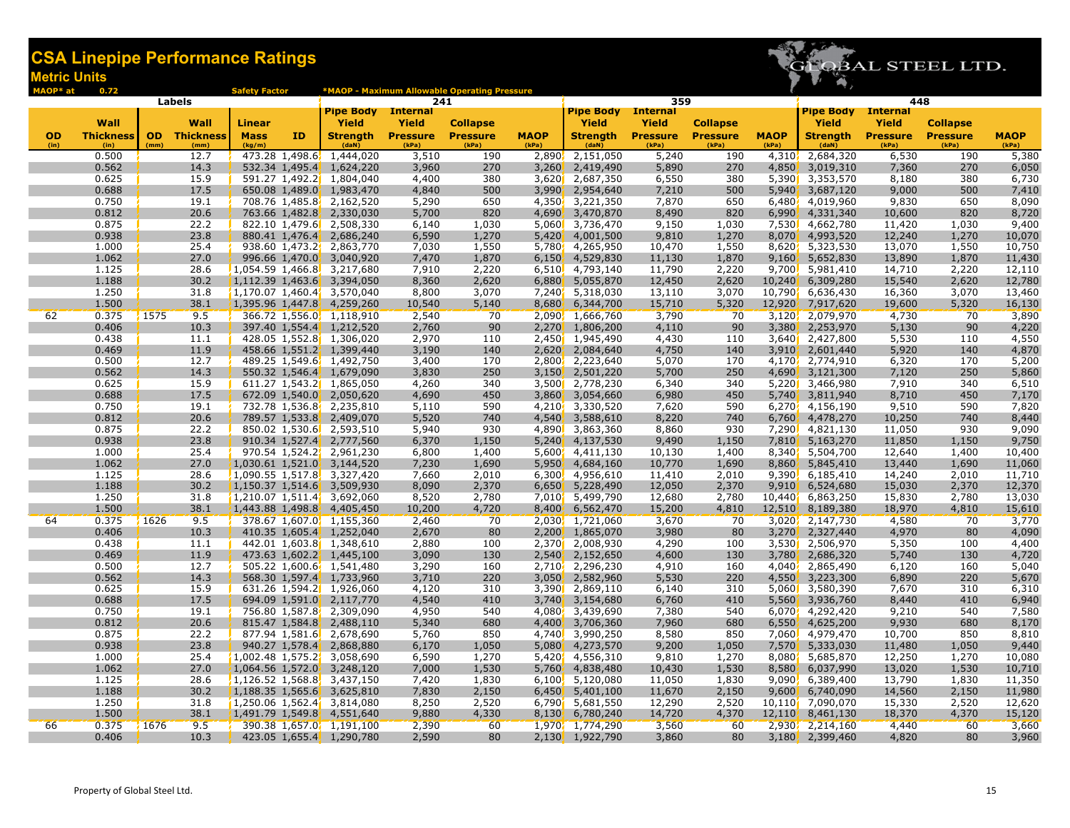

| MAOP* at          | 0.72                     |                   |                          | <b>Safety Factor</b>  |    |                                                           |                          | *MAOP - Maximum Allowable Operating Pressure |                      |                               |                          |                          |                             |                          |                          |                          |                      |  |
|-------------------|--------------------------|-------------------|--------------------------|-----------------------|----|-----------------------------------------------------------|--------------------------|----------------------------------------------|----------------------|-------------------------------|--------------------------|--------------------------|-----------------------------|--------------------------|--------------------------|--------------------------|----------------------|--|
|                   | Labels                   |                   |                          |                       |    |                                                           | 241                      |                                              |                      |                               | 359                      |                          |                             |                          | 448<br><b>Internal</b>   |                          |                      |  |
|                   |                          |                   |                          |                       |    | <b>Pipe Body</b> Internal                                 |                          |                                              |                      | <b>Pipe Body</b>              | <b>Internal</b>          |                          |                             | <b>Pipe Body</b>         |                          |                          |                      |  |
|                   | Wall                     |                   | Wall                     | <b>Linear</b>         |    | Yield                                                     | <b>Yield</b>             | <b>Collapse</b>                              |                      | Yield                         | <b>Yield</b>             | <b>Collapse</b>          |                             | Yield                    | Yield                    | <b>Collapse</b>          |                      |  |
| <b>OD</b><br>(in) | <b>Thickness</b><br>(in) | <b>OD</b><br>(mm) | <b>Thickness</b><br>(mm) | <b>Mass</b><br>(kg/m) | ΙD | <b>Strength</b><br>(daN)                                  | <b>Pressure</b><br>(kPa) | <b>Pressure</b><br>(kPa)                     | <b>MAOP</b><br>(kPa) | <b>Strength</b><br>(daN)      | <b>Pressure</b><br>(kPa) | <b>Pressure</b><br>(kPa) | <b>MAOP</b><br>(kPa)        | <b>Strength</b><br>(daN) | <b>Pressure</b><br>(kPa) | <b>Pressure</b><br>(kPa) | <b>MAOP</b><br>(kPa) |  |
|                   | 0.500                    |                   | 12.7                     |                       |    | 473.28 1,498.6 1,444,020                                  | 3,510                    | 190                                          | 2,890                | 2,151,050                     | 5,240                    | 190                      |                             | 4,310, 2,684,320         | 6,530                    | 190                      | 5,380                |  |
|                   | 0.562                    |                   | 14.3                     |                       |    | 532.34 1,495.4 1,624,220                                  | 3,960                    | 270                                          | 3,260                | 2,419,490                     | 5,890                    | 270                      | 4,850                       | 3,019,310                | 7,360                    | 270                      | 6,050                |  |
|                   | 0.625                    |                   | 15.9                     |                       |    | 591.27 1,492.2 1,804,040                                  | 4,400                    | 380                                          |                      | 3,620 2,687,350               | 6,550                    | 380                      | 5,390                       | 3,353,570                | 8,180                    | 380                      | 6,730                |  |
|                   | 0.688                    |                   | 17.5                     |                       |    | 650.08 1,489.0 1,983,470                                  | 4,840                    | 500                                          | 3,990                | 2,954,640                     | 7,210                    | 500                      | 5,940                       | 3,687,120                | 9,000                    | 500                      | 7,410                |  |
|                   | 0.750                    |                   | 19.1                     |                       |    | 708.76 1,485.8 2,162,520                                  | 5,290                    | 650                                          | 4,350                | 3,221,350                     | 7,870                    | 650                      | 6,480                       | 4,019,960                | 9,830                    | 650                      | 8,090                |  |
|                   | 0.812                    |                   | 20.6                     |                       |    | 763.66 1,482.8 2,330,030                                  | 5,700                    | 820                                          | 4,690                | 3,470,870                     | 8,490                    | 820                      | 6,990                       | 4,331,340                | 10,600                   | 820                      | 8,720                |  |
|                   | 0.875                    |                   | 22.2                     |                       |    | 822.10 1,479.6 2,508,330                                  | 6,140                    | 1,030                                        |                      | 5,060 3,736,470               | 9,150                    | 1,030                    | 7,530                       | 4,662,780                | 11,420                   | 1,030                    | 9,400                |  |
|                   | 0.938                    |                   | 23.8                     |                       |    | 880.41 1,476.4 2,686,240                                  | 6,590                    | 1,270                                        | 5,420                | 4,001,500                     | 9,810                    | 1,270                    | 8,070                       | 4,993,520                | 12,240                   | 1,270                    | 10,070               |  |
|                   | 1.000                    |                   | 25.4                     |                       |    | 938.60 1,473.2 2,863,770                                  | 7,030                    | 1,550                                        | 5,780                | 4,265,950                     | 10,470                   | 1,550                    | 8,620                       | 5,323,530                | 13,070                   | 1,550                    | 10,750               |  |
|                   | 1.062                    |                   | 27.0                     |                       |    | 996.66 1,470.0 3,040,920                                  | 7,470                    | 1,870                                        | 6,150                | 4,529,830                     | 11,130                   | 1,870                    | 9,160                       | 5,652,830                | 13,890                   | 1,870                    | 11,430               |  |
|                   | 1.125                    |                   | 28.6                     |                       |    | $1,054.59$ 1,466.8, 3,217,680                             | 7,910                    | 2,220                                        |                      | $6,510$ , $4,793,140$         | 11,790                   | 2,220                    | 9,700                       | 5,981,410                | 14,710                   | 2,220                    | 12,110               |  |
|                   | 1.188                    |                   | 30.2                     |                       |    | $1,112.39$ 1,463.6 3,394,050                              | 8,360                    | 2,620                                        | 6,880                | 5,055,870                     | 12,450                   | 2,620                    | 10,240                      | 6,309,280                | 15,540                   | 2,620                    | 12,780               |  |
|                   | 1.250                    |                   | 31.8                     |                       |    | $1,170.07$ 1,460.4, 3,570,040                             | 8,800                    | 3,070                                        |                      | 7,240 5,318,030               | 13,110                   | 3,070                    |                             | 10,790 6,636,430         | 16,360                   | 3,070                    | 13,460               |  |
|                   | 1.500                    |                   | 38.1                     |                       |    | 1,395.96 1,447.8 4,259,260                                | 10,540                   | 5,140                                        | 8,680                | 6,344,700                     | 15,710                   | 5,320                    | 12,920                      | 7,917,620                | 19,600                   | 5,320                    | 16,130               |  |
| 62                | 0.375                    | 1575              | 9.5                      |                       |    | 366.72 1,556.0, 1,118,910                                 | 2,540                    | 70                                           |                      | 2,090, 1,666,760              | 3,790                    | 70                       |                             | 3,120, 2,079,970         | 4,730                    | 70                       | 3,890                |  |
|                   | 0.406                    |                   | 10.3                     |                       |    | 397.40 1,554.4 1,212,520                                  | 2,760                    | 90                                           | 2,270                | 1,806,200                     | 4,110                    | 90                       | 3,380                       | 2,253,970                | 5,130                    | 90                       | 4,220                |  |
|                   | 0.438                    |                   | 11.1                     |                       |    | 428.05 1,552.8 1,306,020                                  | 2,970                    | 110                                          |                      | 2,450 1,945,490               | 4,430                    | 110                      |                             | 3,640 2,427,800          | 5,530                    | 110                      | 4,550                |  |
|                   | 0.469                    |                   | 11.9<br>12.7             |                       |    | 458.66 1,551.2 1,399,440                                  | 3,190                    | 140<br>170                                   | 2,620                | 2,084,640                     | 4,750                    | 140                      | 3,910'                      | 2,601,440                | 5,920                    | 140                      | 4,870                |  |
|                   | 0.500<br>0.562           |                   | 14.3                     |                       |    | 489.25 1,549.6 1,492,750<br>550.32 1,546.4 1,679,090      | 3,400<br>3,830           | 250                                          | 3,150                | 2,800, 2,223,640<br>2,501,220 | 5,070<br>5,700           | 170<br>250               | 4,170<br>4,690              | 2,774,910<br>3,121,300   | 6,320<br>7,120           | 170<br>250               | 5,200<br>5,860       |  |
|                   | 0.625                    |                   | 15.9                     |                       |    | 611.27 1,543.2 1,865,050                                  | 4,260                    | 340                                          |                      | 3,500 2,778,230               | 6,340                    | 340                      | 5,220                       | 3,466,980                | 7,910                    | 340                      | 6,510                |  |
|                   | 0.688                    |                   | 17.5                     |                       |    | 672.09 1,540.0 2,050,620                                  | 4,690                    | 450                                          | 3,860                | 3,054,660                     | 6,980                    | 450                      | 5,740                       | 3,811,940                | 8,710                    | 450                      | 7,170                |  |
|                   | 0.750                    |                   | 19.1                     |                       |    | 732.78 1,536.8 2,235,810                                  | 5,110                    | 590                                          |                      | 4,210, 3,330,520              | 7,620                    | 590                      | 6,270                       | 4,156,190                | 9,510                    | 590                      | 7,820                |  |
|                   | 0.812                    |                   | 20.6                     |                       |    | 789.57 1,533.8 2,409,070                                  | 5,520                    | 740                                          | 4,540                | 3,588,610                     | 8,220                    | 740                      | 6,760                       | 4,478,270                | 10,250                   | 740                      | 8,440                |  |
|                   | 0.875                    |                   | 22.2                     |                       |    | 850.02 1,530.6 2,593,510                                  | 5,940                    | 930                                          |                      | 4,890 3,863,360               | 8,860                    | 930                      | 7,290                       | 4,821,130                | 11,050                   | 930                      | 9,090                |  |
|                   | 0.938                    |                   | 23.8                     |                       |    | 910.34 1,527.4 2,777,560                                  | 6,370                    | 1,150                                        | 5,240                | 4,137,530                     | 9,490                    | 1,150                    | 7,810                       | 5,163,270                | 11,850                   | 1,150                    | 9,750                |  |
|                   | 1.000                    |                   | 25.4                     |                       |    | 970.54 1,524.2 2,961,230                                  | 6,800                    | 1,400                                        |                      | 5,600 4,411,130               | 10,130                   | 1,400                    | 8.340                       | 5,504,700                | 12,640                   | 1,400                    | 10,400               |  |
|                   | 1.062                    |                   | 27.0                     |                       |    | 1,030.61 1,521.0, 3,144,520                               | 7,230                    | 1,690                                        | 5,950                | 4,684,160                     | 10,770                   | 1,690                    | 8,860                       | 5,845,410                | 13,440                   | 1,690                    | 11,060               |  |
|                   | 1.125                    |                   | 28.6                     |                       |    | $1,090.55$ 1,517.8, 3,327,420                             | 7,660                    | 2,010                                        | 6,300                | 4,956,610                     | 11,410                   | 2,010                    | 9,390                       | 6,185,410                | 14,240                   | 2,010                    | 11,710               |  |
|                   | 1.188                    |                   | 30.2                     |                       |    | 1,150.37 1,514.6 3,509,930                                | 8,090                    | 2,370                                        | 6,650                | 5,228,490                     | 12,050                   | 2,370                    | 9,910                       | 6,524,680                | 15,030                   | 2,370                    | 12,370               |  |
|                   | 1.250                    |                   | 31.8                     |                       |    | $1,210.07$ 1,511.4, 3,692,060                             | 8,520                    | 2,780                                        |                      | 7,010 5,499,790               | 12,680                   | 2,780                    | 10,440'                     | 6,863,250                | 15,830                   | 2,780                    | 13,030               |  |
|                   | 1.500                    |                   | 38.1                     |                       |    | 1,443.88 1,498.8 4,405,450                                | 10,200                   | 4,720                                        | 8,400                | 6,562,470                     | 15,200                   | 4,810                    |                             | 12,510, 8,189,380        | 18,970                   | 4,810                    | 15,610               |  |
| 64                | 0.375                    | 1626              | 9.5                      |                       |    | 378.67 1,607.0, 1,155,360                                 | 2,460                    | 70                                           |                      | 2,030, 1,721,060              | 3,670                    | 70                       |                             | $3,020$ , $2,147,730$    | 4,580                    | 70                       | 3,770                |  |
|                   | 0.406                    |                   | 10.3                     |                       |    | 410.35 1,605.4 1,252,040                                  | 2,670                    | 80                                           | 2,200                | 1,865,070                     | 3,980                    | 80                       | 3,270                       | 2,327,440                | 4,970                    | 80                       | 4,090                |  |
|                   | 0.438                    |                   | 11.1                     |                       |    | 442.01 1,603.8 1,348,610                                  | 2,880                    | 100                                          |                      | 2,370 2,008,930               | 4,290                    | 100                      | 3,530                       | 2,506,970                | 5,350                    | 100                      | 4,400                |  |
|                   | 0.469                    |                   | 11.9                     |                       |    | 473.63 1,602.2 1,445,100                                  | 3,090                    | 130                                          | 2,540                | 2,152,650                     | 4,600                    | 130                      | 3,780                       | 2,686,320                | 5,740                    | 130                      | 4,720                |  |
|                   | 0.500                    |                   | 12.7                     |                       |    | 505.22 1,600.6, 1,541,480                                 | 3,290                    | 160                                          |                      | 2,710, 2,296,230              | 4,910                    | 160                      | 4,040                       | 2,865,490                | 6,120                    | 160                      | 5,040                |  |
|                   | 0.562                    |                   | 14.3                     |                       |    | 568.30 1,597.4 1,733,960                                  | 3,710                    | 220                                          | 3,050                | 2,582,960                     | 5,530                    | 220                      | 4,550                       | 3,223,300                | 6,890                    | 220                      | 5,670                |  |
|                   | 0.625                    |                   | 15.9                     |                       |    | 631.26 1,594.2 1,926,060                                  | 4,120                    | 310                                          |                      | 3,390 2,869,110               | 6,140                    | 310                      | 5,060                       | 3,580,390                | 7,670                    | 310                      | 6,310                |  |
|                   | 0.688                    |                   | 17.5                     |                       |    | 694.09 1,591.0 2,117,770                                  | 4,540                    | 410                                          | 3,740                | 3,154,680                     | 6,760                    | 410                      | 5,560                       | 3,936,760                | 8,440                    | 410                      | 6,940                |  |
|                   | 0.750                    |                   | 19.1                     |                       |    | 756.80 1,587.8 2,309,090                                  | 4,950                    | 540                                          |                      | 4,080 3,439,690               | 7,380                    | 540                      | 6,070                       | 4,292,420                | 9,210                    | 540                      | 7,580                |  |
|                   | 0.812                    |                   | 20.6                     |                       |    | 815.47 1,584.8 2,488,110                                  | 5,340                    | 680                                          | 4,400                | 3,706,360                     | 7,960                    | 680                      | 6,550                       | 4,625,200                | 9,930                    | 680                      | 8,170                |  |
|                   | 0.875                    |                   | 22.2                     |                       |    | 877.94 1,581.6 2,678,690                                  | 5,760                    | 850                                          |                      | 4,740, 3,990,250              | 8,580                    | 850                      | 7,060                       | 4,979,470                | 10,700                   | 850                      | 8,810                |  |
|                   | 0.938<br>1.000           |                   | 23.8<br>25.4             |                       |    | 940.27 1,578.4 2,868,880<br>$1,002.48$ 1,575.2, 3,058,690 | 6,170<br>6,590           | 1,050<br>1,270                               | 5,080                | 4,273,570<br>5,420 4,556,310  | 9,200<br>9,810           | 1,050<br>1,270           | 7,570 <sup>°</sup><br>8,080 | 5,333,030<br>5,685,870   | 11,480<br>12,250         | 1,050<br>1,270           | 9,440<br>10,080      |  |
|                   | 1.062                    |                   | 27.0                     |                       |    | 1,064.56 1,572.0 3,248,120                                | 7,000                    | 1,530                                        | 5,760                | 4,838,480                     | 10,430                   | 1,530                    | 8,580                       | 6,037,990                | 13,020                   | 1,530                    | 10,710               |  |
|                   | 1.125                    |                   | 28.6                     |                       |    | $1,126.52$ 1,568.8, 3,437,150                             | 7,420                    | 1,830                                        |                      | $6,100$ , $5,120,080$         | 11,050                   | 1,830                    |                             | 9,090 6,389,400          | 13,790                   | 1,830                    | 11,350               |  |
|                   | 1.188                    |                   | 30.2                     |                       |    | $1,188.35$ 1,565.6, 3,625,810                             | 7,830                    | 2,150                                        | 6,450                | 5,401,100                     | 11,670                   | 2,150                    | 9,600                       | 6,740,090                | 14,560                   | 2,150                    | 11,980               |  |
|                   | 1.250                    |                   | 31.8                     |                       |    | $1,250.06$ 1,562.4 3,814,080                              | 8,250                    | 2,520                                        |                      | 6,790 5,681,550               | 12,290                   | 2,520                    | 10,110                      | 7,090,070                | 15,330                   | 2,520                    | 12,620               |  |
|                   | 1.500                    |                   | 38.1                     |                       |    | 1,491.79 1,549.8 4,551,640                                | 9,880                    | 4,330                                        | 8,130                | 6,780,240                     | 14,720                   | 4,370                    |                             | 12,110 8,461,130         | 18,370                   | 4,370                    | 15,120               |  |
| 66                | 0.375                    | 1676              | 9.5                      |                       |    | 390.38 1,657.0, 1,191,100                                 | 2,390                    | 60                                           |                      | 1,970, 1,774,290              | 3,560                    | 60                       |                             | 2,930, 2,214,160         | 4,440                    | 60                       | 3,660                |  |
|                   | 0.406                    |                   | 10.3                     |                       |    | 423.05 1,655.4 1,290,780                                  | 2,590                    | 80                                           |                      | 2,130, 1,922,790              | 3,860                    | 80                       |                             | 3,180, 2,399,460         | 4,820                    | 80                       | 3,960                |  |
|                   |                          |                   |                          |                       |    |                                                           |                          |                                              |                      |                               |                          |                          |                             |                          |                          |                          |                      |  |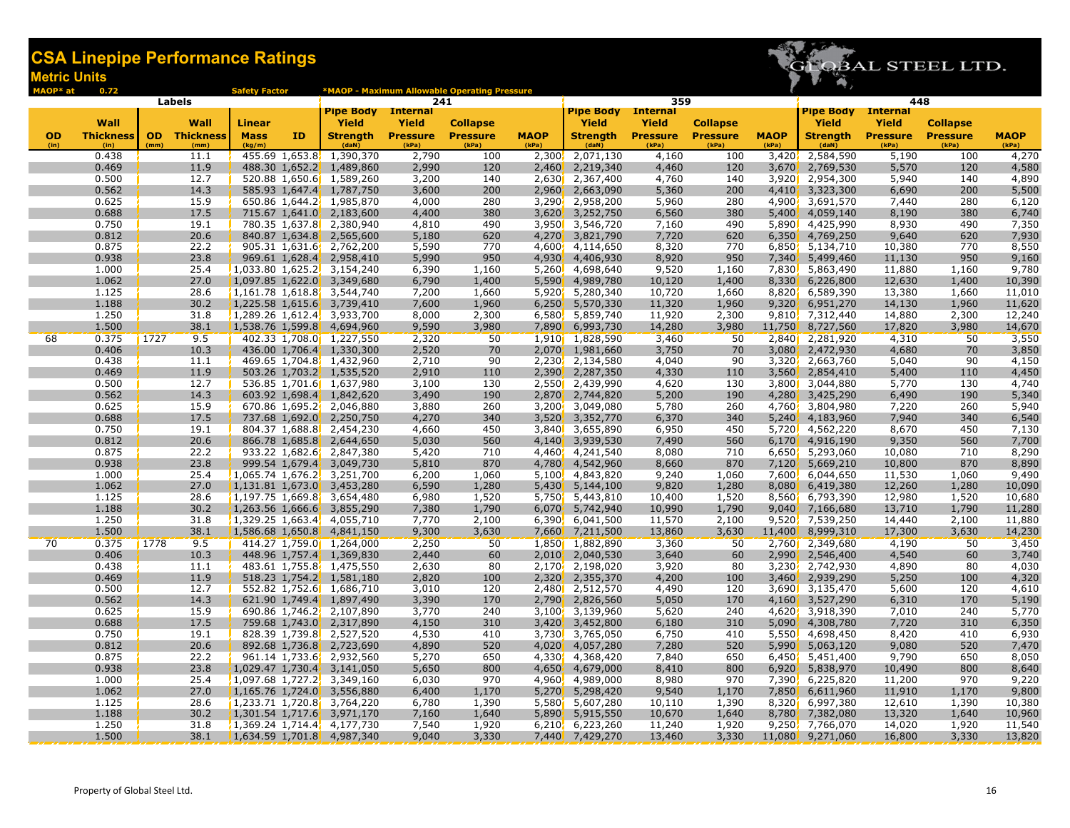

| MAOP* at          | 0.72                     |      |                             | <b>Safety Factor</b>  |    |                                                              |                                 | *MAOP - Maximum Allowable Operating Pressure |                      |                                    |                                 |                          |                      |                                  |                          |                                    |                  |  |  |  |  |  |
|-------------------|--------------------------|------|-----------------------------|-----------------------|----|--------------------------------------------------------------|---------------------------------|----------------------------------------------|----------------------|------------------------------------|---------------------------------|--------------------------|----------------------|----------------------------------|--------------------------|------------------------------------|------------------|--|--|--|--|--|
|                   | Labels                   |      |                             |                       |    |                                                              | 241                             |                                              |                      |                                    | 359                             |                          |                      | 448<br><b>Pipe Body</b> Internal |                          |                                    |                  |  |  |  |  |  |
|                   |                          |      |                             |                       |    | <b>Pipe Body</b> Internal                                    |                                 |                                              |                      | <b>Pipe Body</b>                   | <b>Internal</b>                 |                          |                      |                                  |                          |                                    |                  |  |  |  |  |  |
|                   | Wall                     |      | Wall                        | Linear                |    | Yield                                                        | <b>Yield</b><br><b>Pressure</b> | <b>Collapse</b><br><b>Pressure</b>           |                      | Yield                              | <b>Yield</b><br><b>Pressure</b> | <b>Collapse</b>          |                      | Yield                            | <b>Yield</b>             | <b>Collapse</b><br><b>Pressure</b> | <b>MAOP</b>      |  |  |  |  |  |
| <b>OD</b><br>(in) | <b>Thickness</b><br>(in) | (mm) | <b>OD</b> Thickness<br>(mm) | <b>Mass</b><br>(kg/m) | ID | <b>Strength</b><br>(daN)                                     | (kPa)                           | (kPa)                                        | <b>MAOP</b><br>(kPa) | <b>Strength</b><br>(daN)           | (kPa)                           | <b>Pressure</b><br>(kPa) | <b>MAOP</b><br>(kPa) | <b>Strength</b><br>(daN)         | <b>Pressure</b><br>(kPa) | (kPa)                              | (kPa)            |  |  |  |  |  |
|                   | 0.438                    |      | 11.1                        |                       |    | 455.69 1,653.8 1,390,370                                     | 2,790                           | 100                                          | 2,300                | 2,071,130                          | 4,160                           | 100                      | 3,420                | 2,584,590                        | 5,190                    | 100                                | 4,270            |  |  |  |  |  |
|                   | 0.469                    |      | 11.9                        |                       |    | 488.30 1,652.2 1,489,860                                     | 2,990                           | 120                                          | 2,460                | 2,219,340                          | 4,460                           | 120                      | 3,670                | 2,769,530                        | 5,570                    | 120                                | 4,580            |  |  |  |  |  |
|                   | 0.500                    |      | 12.7                        |                       |    | 520.88 1,650.6 1,589,260                                     | 3,200                           | 140                                          |                      | 2,630 2,367,400                    | 4,760                           | 140                      | 3,920                | 2,954,300                        | 5,940                    | 140                                | 4,890            |  |  |  |  |  |
|                   | 0.562                    |      | 14.3                        |                       |    | 585.93 1,647.4 1,787,750                                     | 3,600                           | 200                                          | 2,960                | 2,663,090                          | 5,360                           | 200                      | 4,410                | 3,323,300                        | 6,690                    | 200                                | 5,500            |  |  |  |  |  |
|                   | 0.625                    |      | 15.9                        |                       |    | 650.86 1,644.2, 1,985,870                                    | 4,000                           | 280                                          | 3,290                | 2,958,200                          | 5,960                           | 280                      | 4,900                | 3,691,570                        | 7,440                    | 280                                | 6,120            |  |  |  |  |  |
|                   | 0.688                    |      | 17.5                        |                       |    | 715.67 1,641.0 2,183,600                                     | 4,400                           | 380                                          | 3,620                | 3,252,750                          | 6,560                           | 380                      | 5,400                | 4,059,140                        | 8,190                    | 380                                | 6,740            |  |  |  |  |  |
|                   | 0.750                    |      | 19.1                        |                       |    | 780.35 1,637.8 2,380,940                                     | 4,810                           | 490                                          |                      | 3,950 3,546,720                    | 7,160                           | 490                      | 5,890                | 4,425,990                        | 8,930                    | 490                                | 7,350            |  |  |  |  |  |
|                   | 0.812                    |      | 20.6                        |                       |    | 840.87 1,634.8 2,565,600                                     | 5,180                           | 620                                          | 4,270                | 3,821,790                          | 7,720                           | 620                      | 6,350                | 4,769,250                        | 9,640                    | 620                                | 7,930            |  |  |  |  |  |
|                   | 0.875<br>0.938           |      | 22.2                        |                       |    | 905.31 1,631.6 2,762,200                                     | 5,590                           | 770                                          | 4,600                | 4,114,650                          | 8,320                           | 770<br>950               | 6,850                | 5,134,710                        | 10,380                   | 770                                | 8,550            |  |  |  |  |  |
|                   |                          |      | 23.8                        |                       |    | 969.61 1,628.4 2,958,410                                     | 5,990                           | 950                                          | 4,930                | 4,406,930                          | 8,920<br>9,520                  |                          | 7,340                | 5,499,460<br>5,863,490           | 11,130                   | 950                                | 9,160            |  |  |  |  |  |
|                   | 1.000<br>1.062           |      | 25.4<br>27.0                |                       |    | $1,033.80$ 1,625.2, 3,154,240<br>1,097.85 1,622.0 3,349,680  | 6,390<br>6,790                  | 1,160<br>1,400                               | 5,590                | 5,260 4,698,640<br>4,989,780       | 10,120                          | 1,160<br>1,400           | 7,830<br>8,330       | 6,226,800                        | 11,880<br>12,630         | 1,160<br>1,400                     | 9,780<br>10,390  |  |  |  |  |  |
|                   | 1.125                    |      | 28.6                        |                       |    | $1,161.78$ 1,618.8 3,544,740                                 | 7,200                           | 1,660                                        |                      | 5,920 5,280,340                    | 10,720                          | 1,660                    |                      | 8,820 6,589,390                  | 13,380                   | 1,660                              | 11,010           |  |  |  |  |  |
|                   | 1.188                    |      | 30.2                        |                       |    | 1,225.58 1,615.6 3,739,410                                   | 7,600                           | 1,960                                        | 6,250                | 5,570,330                          | 11,320                          | 1,960                    | 9,320                | 6,951,270                        | 14,130                   | 1,960                              | 11,620           |  |  |  |  |  |
|                   | 1.250                    |      | 31.8                        |                       |    | $1,289.26$ 1,612.4, 3,933,700                                | 8,000                           | 2,300                                        |                      | 6,580 5,859,740                    | 11,920                          | 2,300                    |                      | 9,810, 7,312,440                 | 14,880                   | 2,300                              | 12,240           |  |  |  |  |  |
|                   | 1.500                    |      | 38.1                        |                       |    | 1,538.76 1,599.8 4,694,960                                   | 9,590                           | 3,980                                        | 7,890                | 6,993,730                          | 14,280                          | 3,980                    | <u>11,750  </u>      | 8,727,560                        | 17,820                   | 3,980                              | 14,670           |  |  |  |  |  |
| 68                | 0.375                    | 1727 | 9.5                         |                       |    | 402.33 1,708.0 1,227,550                                     | 2,320                           | 50                                           |                      | 1,910 1,828,590                    | 3,460                           | 50                       |                      | 2,840 2,281,920                  | 4,310                    | 50                                 | 3,550            |  |  |  |  |  |
|                   | 0.406                    |      | 10.3                        |                       |    | 436.00 1,706.4 1,330,300                                     | 2,520                           | 70                                           | 2,070                | 1,981,660                          | 3,750                           | 70                       | 3,080                | 2,472,930                        | 4,680                    | 70                                 | 3,850            |  |  |  |  |  |
|                   | 0.438                    |      | 11.1                        |                       |    | 469.65 1,704.8 1,432,960                                     | 2,710                           | 90                                           |                      | 2,230 2,134,580                    | 4,040                           | 90                       | 3,320                | 2,663,760                        | 5,040                    | 90                                 | 4,150            |  |  |  |  |  |
|                   | 0.469                    |      | 11.9                        |                       |    | 503.26 1,703.2 1,535,520                                     | 2,910                           | 110                                          | 2,390                | 2,287,350                          | 4,330                           | 110                      | 3.560                | 2,854,410                        | 5,400                    | 110                                | 4,450            |  |  |  |  |  |
|                   | 0.500                    |      | 12.7                        |                       |    | 536.85 1,701.6 1,637,980                                     | 3,100                           | 130                                          |                      | 2,550 2,439,990                    | 4,620                           | 130                      | 3,800                | 3,044,880                        | 5,770                    | 130                                | 4,740            |  |  |  |  |  |
|                   | 0.562                    |      | 14.3                        |                       |    | 603.92 1,698.4 1,842,620                                     | 3,490                           | 190                                          | 2,870                | 2,744,820                          | 5,200                           | 190                      | 4,280                | 3,425,290                        | 6,490                    | 190                                | 5,340            |  |  |  |  |  |
|                   | 0.625                    |      | 15.9                        |                       |    | 670.86 1,695.2, 2,046,880                                    | 3,880                           | 260                                          |                      | 3,200, 3,049,080                   | 5,780                           | 260                      | 4,760                | 3,804,980                        | 7,220                    | 260                                | 5,940            |  |  |  |  |  |
|                   | 0.688                    |      | 17.5                        |                       |    | 737.68 1,692.0 2,250,750                                     | 4,270                           | 340                                          | 3,520                | 3,352,770                          | 6,370                           | 340                      |                      | $5,240$ , 4,183,960              | 7,940                    | 340                                | 6,540            |  |  |  |  |  |
|                   | 0.750                    |      | 19.1                        |                       |    | 804.37 1,688.8 2,454,230                                     | 4,660                           | 450                                          |                      | 3,840 3,655,890                    | 6,950                           | 450                      |                      | 5,720 4,562,220                  | 8,670                    | 450                                | 7,130            |  |  |  |  |  |
|                   | 0.812                    |      | 20.6                        |                       |    | 866.78 1,685.8 2,644,650                                     | 5,030                           | 560                                          | 4,140                | 3,939,530                          | 7,490                           | 560                      | 6,170                | 4,916,190                        | 9,350                    | 560                                | 7,700            |  |  |  |  |  |
|                   | 0.875                    |      | 22.2                        |                       |    | 933.22 1,682.6 2,847,380                                     | 5,420                           | 710                                          |                      | 4,460 4,241,540                    | 8,080                           | 710                      | 6,650                | 5,293,060                        | 10,080                   | 710                                | 8,290            |  |  |  |  |  |
|                   | 0.938                    |      | 23.8                        |                       |    | 999.54 1,679.4 3,049,730                                     | 5,810                           | 870                                          | 4,780                | 4,542,960                          | 8,660                           | 870                      | 7,120                | 5,669,210                        | 10,800                   | 870                                | 8,890            |  |  |  |  |  |
|                   | 1.000                    |      | 25.4                        |                       |    | $1,065.74$ 1,676.2, 3,251,700                                | 6,200                           | 1,060                                        | 5,100                | 4,843,820                          | 9,240                           | 1,060                    | 7,600                | 6,044,650                        | 11,530                   | 1,060                              | 9,490            |  |  |  |  |  |
|                   | 1.062                    |      | 27.0                        |                       |    | 1,131.81 1,673.0 3,453,280                                   | 6,590                           | 1,280                                        | 5,430                | 5,144,100                          | 9,820                           | 1,280                    | 8,080                | 6,419,380                        | 12,260                   | 1,280                              | 10,090           |  |  |  |  |  |
|                   | 1.125<br>1.188           |      | 28.6                        |                       |    | $1,197.75$ 1,669.8 3,654,480                                 | 6,980                           | 1,520                                        |                      | 5,750 5,443,810                    | 10,400                          | 1,520                    | 8,560                | 6,793,390                        | 12,980                   | 1,520                              | 10,680           |  |  |  |  |  |
|                   | 1.250                    |      | 30.2<br>31.8                |                       |    | 1,263.56 1,666.6, 3,855,290<br>$1,329.25$ 1,663.4, 4,055,710 | 7,380<br>7,770                  | 1,790<br>2,100                               | 6,070                | 5,742,940<br>$6,390$ , $6,041,500$ | 10,990<br>11,570                | 1,790<br>2,100           | 9,040<br>9,520       | 7,166,680<br>7,539,250           | 13,710<br>14,440         | 1,790<br>2,100                     | 11,280<br>11,880 |  |  |  |  |  |
|                   | 1.500                    |      | 38.1                        |                       |    | 1,586.68 1,650.8 4,841,150                                   | 9,300                           | 3,630                                        | <b>7,660</b>         | 7,211,500                          | 13,860                          | 3,630                    | 11,400               | 8,999,310                        | 17,300                   | 3,630                              | 14,230           |  |  |  |  |  |
| 70                | 0.375                    | 1778 | 9.5                         |                       |    | 414.27 1,759.0 1,264,000                                     | 2,250                           | 50                                           |                      | 1,850 1,882,890                    | 3,360                           | 50                       | 2,760                | 2,349,680                        | 4,190                    | 50                                 | 3,450            |  |  |  |  |  |
|                   | 0.406                    |      | 10.3                        |                       |    | 448.96 1,757.4 1,369,830                                     | 2,440                           | 60                                           | 2,010'               | 2,040,530                          | 3,640                           | 60                       | 2,990                | 2,546,400                        | 4,540                    | 60                                 | 3,740            |  |  |  |  |  |
|                   | 0.438                    |      | 11.1                        |                       |    | 483.61 1,755.8 1,475,550                                     | 2,630                           | 80                                           |                      | 2,170, 2,198,020                   | 3,920                           | 80                       | 3.230 <sup>7</sup>   | 2,742,930                        | 4,890                    | 80                                 | 4,030            |  |  |  |  |  |
|                   | 0.469                    |      | 11.9                        |                       |    | 518.23 1,754.2 1,581,180                                     | 2,820                           | 100                                          | 2,320                | 2,355,370                          | 4,200                           | 100                      | 3,460                | 2,939,290                        | 5,250                    | 100                                | 4,320            |  |  |  |  |  |
|                   | 0.500                    |      | 12.7                        |                       |    | 552.82 1,752.6 1,686,710                                     | 3,010                           | 120                                          |                      | 2,480 2,512,570                    | 4,490                           | 120                      | 3,690                | 3,135,470                        | 5,600                    | 120                                | 4,610            |  |  |  |  |  |
|                   | 0.562                    |      | 14.3                        |                       |    | 621.90 1,749.4 1,897,490                                     | 3,390                           | 170                                          | 2,790                | 2,826,560                          | 5,050                           | 170                      |                      | 4,160 3,527,290                  | 6,310                    | 170                                | 5,190            |  |  |  |  |  |
|                   | 0.625                    |      | 15.9                        |                       |    | 690.86 1,746.2, 2,107,890                                    | 3,770                           | 240                                          |                      | 3,100 3,139,960                    | 5,620                           | 240                      | 4,620                | 3,918,390                        | 7,010                    | 240                                | 5,770            |  |  |  |  |  |
|                   | 0.688                    |      | 17.5                        |                       |    | 759.68 1,743.0 2,317,890                                     | 4,150                           | 310                                          | 3,420                | 3,452,800                          | 6,180                           | 310                      | 5,090                | 4,308,780                        | 7,720                    | 310                                | 6,350            |  |  |  |  |  |
|                   | 0.750                    |      | 19.1                        |                       |    | 828.39 1,739.8 2,527,520                                     | 4,530                           | 410                                          |                      | 3,730, 3,765,050                   | 6,750                           | 410                      | 5,550                | 4,698,450                        | 8,420                    | 410                                | 6,930            |  |  |  |  |  |
|                   | 0.812                    |      | 20.6                        |                       |    | 892.68 1,736.8 2,723,690                                     | 4,890                           | 520                                          | 4,020                | 4,057,280                          | 7,280                           | 520                      | 5,990                | 5,063,120                        | 9,080                    | 520                                | 7,470            |  |  |  |  |  |
|                   | 0.875                    |      | 22.2                        |                       |    | 961.14 1,733.6 2,932,560                                     | 5,270                           | 650                                          |                      | 4,330 4,368,420                    | 7,840                           | 650                      | 6,450                | 5,451,400                        | 9,790                    | 650                                | 8,050            |  |  |  |  |  |
|                   | 0.938                    |      | 23.8                        |                       |    | 1,029.47 1,730.4 3,141,050                                   | 5,650                           | 800                                          | 4,650                | 4,679,000                          | 8,410                           | 800                      | 6,920                | 5,838,970                        | 10,490                   | 800                                | 8,640            |  |  |  |  |  |
|                   | 1.000                    |      | 25.4                        |                       |    | $1,097.68$ 1,727.2, 3,349,160                                | 6,030                           | 970                                          | 4,960                | 4,989,000                          | 8,980                           | 970                      | 7.390                | 6,225,820                        | 11,200                   | 970                                | 9,220            |  |  |  |  |  |
|                   | 1.062                    |      | 27.0                        |                       |    | 1,165.76 1,724.0 3,556,880                                   | 6,400                           | 1,170                                        | 5,270                | 5,298,420                          | 9,540                           | 1,170                    | <b>7,850</b>         | 6,611,960                        | 11,910                   | 1,170                              | 9,800            |  |  |  |  |  |
|                   | 1.125                    |      | 28.6                        |                       |    | 1,233.71 1,720.8 3,764,220                                   | 6,780                           | 1,390                                        |                      | 5,580 5,607,280                    | 10,110                          | 1,390                    | 8,320                | 6,997,380                        | 12,610                   | 1,390                              | 10,380           |  |  |  |  |  |
|                   | 1.188                    |      | 30.2                        |                       |    | 1,301.54 1,717.6 3,971,170                                   | 7,160                           | 1,640                                        | 5,890                | 5,915,550                          | 10,670                          | 1,640                    | 8,780                | 7,382,080                        | 13,320                   | 1,640                              | 10,960           |  |  |  |  |  |
|                   | 1.250                    |      | 31.8                        |                       |    | $1,369.24$ 1,714.4, 4,177,730                                | 7,540                           | 1,920                                        |                      | $6,210$ , $6,223,260$              | 11,240                          | 1,920                    | 9,250                | 7,766,070                        | 14,020                   | 1,920                              | 11,540           |  |  |  |  |  |
|                   | 1.500                    |      | 38.1                        |                       |    | 1,634.59 1,701.8 4,987,340                                   | 9,040                           | 3,330                                        |                      | 7,440, 7,429,270                   | 13,460                          | 3,330                    |                      | 11,080, 9,271,060                | 16,800                   | 3,330                              | 13,820           |  |  |  |  |  |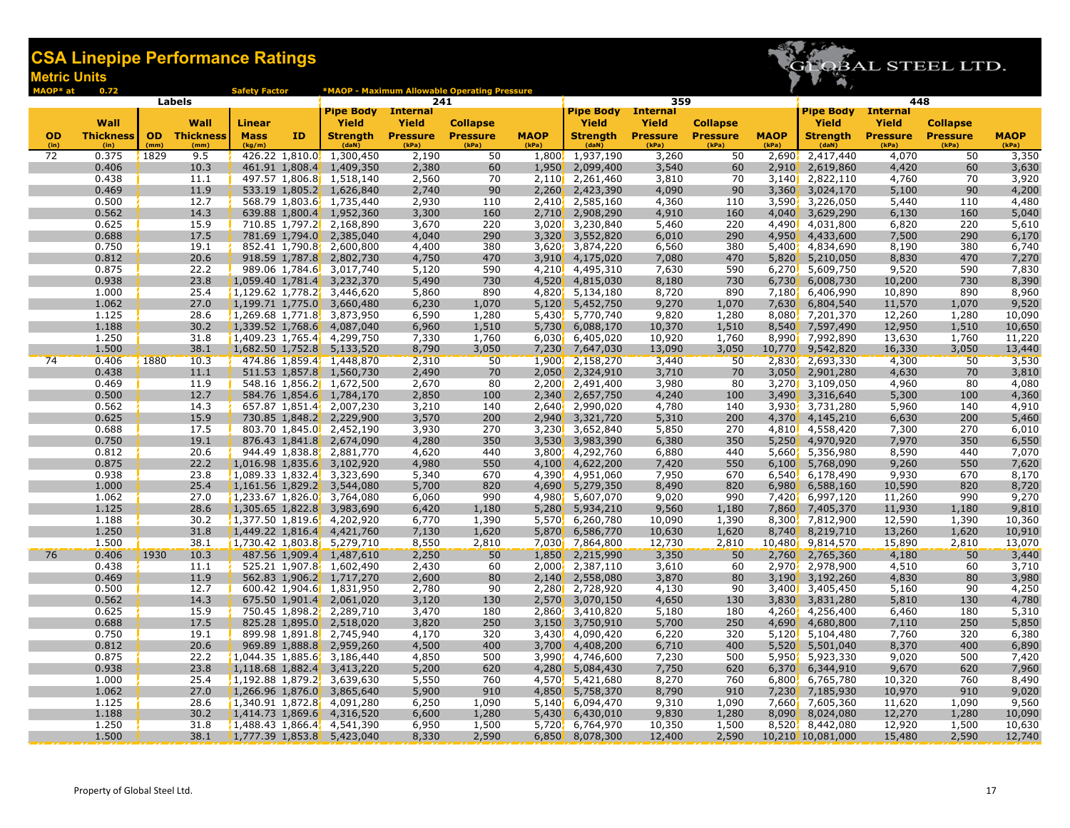

| MAOP* at          | 0.72                     |      |                             | <b>Safety Factor</b>  |    |                                                            |                          | *MAOP - Maximum Allowable Operating Pressure |                      |                               |                          |                          |                      |                               | 448                      |                          |                |  |
|-------------------|--------------------------|------|-----------------------------|-----------------------|----|------------------------------------------------------------|--------------------------|----------------------------------------------|----------------------|-------------------------------|--------------------------|--------------------------|----------------------|-------------------------------|--------------------------|--------------------------|----------------|--|
|                   | Labels                   |      |                             |                       |    |                                                            | 241                      |                                              |                      |                               | 359                      |                          |                      |                               |                          |                          |                |  |
|                   |                          |      |                             |                       |    | <b>Pipe Body</b> Internal                                  |                          |                                              |                      | <b>Pipe Body</b>              | <b>Internal</b>          |                          |                      | <b>Pipe Body</b> Internal     |                          |                          |                |  |
|                   | Wall                     |      | Wall                        | Linear                |    | Yield                                                      | <b>Yield</b>             | <b>Collapse</b>                              |                      | Yield                         | <b>Yield</b>             | <b>Collapse</b>          |                      | Yield                         | <b>Yield</b>             | <b>Collapse</b>          | <b>MAOP</b>    |  |
| <b>OD</b><br>(in) | <b>Thickness</b><br>(in) | (mm) | <b>OD</b> Thickness<br>(mm) | <b>Mass</b><br>(kg/m) | ID | <b>Strength</b><br>(daN)                                   | <b>Pressure</b><br>(kPa) | <b>Pressure</b><br>(kPa)                     | <b>MAOP</b><br>(kPa) | <b>Strength</b><br>(daN)      | <b>Pressure</b><br>(kPa) | <b>Pressure</b><br>(kPa) | <b>MAOP</b><br>(kPa) | <b>Strength</b><br>(daN)      | <b>Pressure</b><br>(kPa) | <b>Pressure</b><br>(kPa) | (kPa)          |  |
| 72                | 0.375                    | 1829 | 9.5                         |                       |    | 426.22 1,810.0, 1,300,450                                  | 2,190                    | 50                                           |                      | 1,800, 1,937,190              | 3,260                    | 50                       | 2,690                | 2,417,440                     | 4,070                    | 50                       | 3,350          |  |
|                   | 0.406                    |      | 10.3                        |                       |    | 461.91 1,808.4 1,409,350                                   | 2,380                    | 60                                           | 1,950                | 2,099,400                     | 3,540                    | 60                       | 2,910                | 2,619,860                     | 4,420                    | 60                       | 3,630          |  |
|                   | 0.438                    |      | 11.1                        |                       |    | 497.57 1,806.8 1,518,140                                   | 2,560                    | 70                                           |                      | 2,110 2,261,460               | 3,810                    | 70                       |                      | 3,140 2,822,110               | 4,760                    | 70                       | 3,920          |  |
|                   | 0.469                    |      | 11.9                        |                       |    | 533.19 1,805.2 1,626,840                                   | 2,740                    | 90                                           | 2,260                | 2,423,390                     | 4,090                    | 90                       | 3,360                | 3,024,170                     | 5,100                    | 90                       | 4,200          |  |
|                   | 0.500                    |      | 12.7                        |                       |    | 568.79 1,803.6 1,735,440                                   | 2,930                    | 110                                          | 2,410                | 2,585,160                     | 4,360                    | 110                      | 3,590                | 3,226,050                     | 5,440                    | 110                      | 4,480          |  |
|                   | 0.562                    |      | 14.3                        |                       |    | 639.88 1,800.4 1,952,360                                   | 3,300                    | 160                                          | 2,710                | 2,908,290                     | 4,910                    | 160                      | 4,040                | 3,629,290                     | 6,130                    | 160                      | 5,040          |  |
|                   | 0.625                    |      | 15.9                        |                       |    | 710.85 1,797.2 2,168,890                                   | 3,670                    | 220                                          | 3,020                | 3,230,840                     | 5,460                    | 220                      | 4,490                | 4,031,800                     | 6,820                    | 220                      | 5,610          |  |
|                   | 0.688                    |      | 17.5                        |                       |    | 781.69 1,794.0 2,385,040                                   | 4,040                    | 290                                          | 3,320'               | 3,552,820                     | 6,010                    | 290                      | 4,950                | 4,433,600                     | 7,500                    | 290                      | 6,170          |  |
|                   | 0.750                    |      | 19.1                        |                       |    | 852.41 1,790.8 2,600,800                                   | 4,400                    | 380                                          | 3,620                | 3,874,220                     | 6,560                    | 380                      | 5,400                | 4,834,690                     | 8,190                    | 380                      | 6,740          |  |
|                   | 0.812                    |      | 20.6                        |                       |    | 918.59 1,787.8 2,802,730                                   | 4,750                    | 470                                          | 3,910'               | 4,175,020                     | 7,080                    | 470                      | 5,820                | 5,210,050                     | 8,830                    | 470                      | 7,270          |  |
|                   | 0.875                    |      | 22.2                        |                       |    | 989.06 1,784.6 3,017,740                                   | 5,120                    | 590                                          |                      | 4,210, 4,495,310              | 7,630                    | 590                      | 6,270                | 5,609,750                     | 9,520                    | 590                      | 7,830          |  |
|                   | 0.938                    |      | 23.8                        |                       |    | 1,059.40 1,781.4 3,232,370                                 | 5,490                    | 730                                          | 4,520                | 4,815,030                     | 8,180                    | 730                      | 6,730                | 6,008,730                     | 10,200                   | 730                      | 8,390          |  |
|                   | 1.000                    |      | 25.4                        |                       |    | $1,129.62$ 1,778.2 3,446,620                               | 5,860                    | 890                                          |                      | 4,820 5,134,180               | 8,720                    | 890                      | 7,180                | 6,406,990                     | 10,890                   | 890                      | 8,960          |  |
|                   | 1.062                    |      | 27.0                        |                       |    | $1,199.71$ 1,775.0 3,660,480                               | 6,230                    | 1,070                                        | 5,120                | 5,452,750                     | 9,270                    | 1,070                    | 7,630                | 6,804,540                     | 11,570                   | 1,070                    | 9,520          |  |
|                   | 1.125                    |      | 28.6                        |                       |    | $1,269.68$ 1,771.8, 3,873,950                              | 6,590                    | 1,280                                        | 5,430                | 5,770,740                     | 9,820                    | 1,280                    | 8,080                | 7,201,370                     | 12,260                   | 1,280                    | 10,090         |  |
|                   | 1.188<br>1.250           |      | 30.2<br>31.8                |                       |    | 1,339.52 1,768.6 4,087,040                                 | 6,960<br>7,330           | 1,510                                        | 5,730                | 6,088,170                     | 10,370<br>10,920         | 1,510                    | 8,540<br>8,990       | 7,597,490<br>7,992,890        | 12,950                   | 1,510<br>1,760           | 10,650         |  |
|                   | 1.500                    |      | 38.1                        |                       |    | $1,409.23$ 1,765.4 $4$ 4,299,750                           |                          | 1,760                                        | 6,030                | 6,405,020                     | 13,090                   | 1,760<br>3,050           |                      |                               | 13,630                   | 3,050                    | 11,220         |  |
|                   |                          | 1880 |                             |                       |    | 1,682.50 1,752.8 5,133,520                                 | 8,790                    | 3,050                                        | 7,230                | 7,647,030                     |                          |                          | 10,770               | 9,542,820                     | 16,330                   |                          | 13,440         |  |
| 74                | 0.406<br>0.438           |      | 10.3<br>11.1                |                       |    | 474.86 1,859.4, 1,448,870<br>511.53 1,857.8 1,560,730      | 2,310<br>2,490           | 50<br>70                                     |                      | 1,900, 2,158,270<br>2,324,910 | 3,440<br>3,710           | 50<br>70                 |                      | 2,830, 2,693,330<br>2,901,280 | 4,300                    | 50                       | 3,530          |  |
|                   | 0.469                    |      | 11.9                        |                       |    | 548.16 1,856.2 1,672,500                                   | 2,670                    | 80                                           | 2,050                | 2,200 2,491,400               | 3,980                    | 80                       | 3,050                | 3,270 3,109,050               | 4,630<br>4,960           | 70<br>80                 | 3,810<br>4,080 |  |
|                   | 0.500                    |      | 12.7                        |                       |    | 584.76 1,854.6 1,784,170                                   | 2,850                    | 100                                          | 2,340'               | 2,657,750                     | 4,240                    | 100                      |                      | 3,490 3,316,640               | 5,300                    | 100                      | 4,360          |  |
|                   | 0.562                    |      | 14.3                        |                       |    | 657.87 1,851.4, 2,007,230                                  | 3,210                    | 140                                          |                      | 2,640 2,990,020               | 4,780                    | 140                      | 3,930                | 3,731,280                     | 5,960                    | 140                      | 4,910          |  |
|                   | 0.625                    |      | 15.9                        |                       |    | 730.85 1,848.2 2,229,900                                   | 3,570                    | 200                                          | 2,940                | 3,321,720                     | 5,310                    | 200                      | 4,370                | 4,145,210                     | 6,630                    | 200                      | 5,460          |  |
|                   | 0.688                    |      | 17.5                        |                       |    | 803.70 1,845.0 2,452,190                                   | 3,930                    | 270                                          |                      | 3,230 3,652,840               | 5,850                    | 270                      |                      | 4,810, 4,558,420              | 7,300                    | 270                      | 6,010          |  |
|                   | 0.750                    |      | 19.1                        |                       |    | 876.43 1,841.8 2,674,090                                   | 4,280                    | 350                                          | 3,530                | 3,983,390                     | 6,380                    | 350                      | 5,250                | 4,970,920                     | 7,970                    | 350                      | 6,550          |  |
|                   | 0.812                    |      | 20.6                        |                       |    | 944.49 1,838.8 2,881,770                                   | 4,620                    | 440                                          | 3,800                | 4,292,760                     | 6,880                    | 440                      | 5,660                | 5,356,980                     | 8,590                    | 440                      | 7,070          |  |
|                   | 0.875                    |      | 22.2                        |                       |    | 1,016.98 1,835.6 3,102,920                                 | 4,980                    | 550                                          | 4,100                | 4,622,200                     | 7,420                    | 550                      | 6,100                | 5,768,090                     | 9,260                    | 550                      | 7,620          |  |
|                   | 0.938                    |      | 23.8                        |                       |    | $1,089.33$ 1,832.4, 3,323,690                              | 5,340                    | 670                                          | 4,390                | 4,951,060                     | 7,950                    | 670                      | 6,540                | 6,178,490                     | 9,930                    | 670                      | 8,170          |  |
|                   | 1.000                    |      | 25.4                        |                       |    | 1,161.56 1,829.2 3,544,080                                 | 5,700                    | 820                                          | 4,690                | 5,279,350                     | 8,490                    | 820                      | 6,980                | 6,588,160                     | 10,590                   | 820                      | 8,720          |  |
|                   | 1.062                    |      | 27.0                        |                       |    | $1,233.67$ 1,826.0 3,764,080                               | 6,060                    | 990                                          |                      | 4,980 5,607,070               | 9,020                    | 990                      | 7,420                | 6,997,120                     | 11,260                   | 990                      | 9,270          |  |
|                   | 1.125                    |      | 28.6                        |                       |    | 1,305.65 1,822.8 3,983,690                                 | 6,420                    | 1,180                                        | 5,280                | 5,934,210                     | 9,560                    | 1,180                    | 7,860                | 7,405,370                     | 11,930                   | 1,180                    | 9,810          |  |
|                   | 1.188                    |      | 30.2                        |                       |    | $1,377.50$ 1,819.6, 4,202,920                              | 6,770                    | 1,390                                        |                      | 5,570, 6,260,780              | 10,090                   | 1,390                    | 8,300                | 7,812,900                     | 12,590                   | 1,390                    | 10,360         |  |
|                   | 1.250                    |      | 31.8                        |                       |    | 1,449.22 1,816.4, 4,421,760                                | 7,130                    | 1,620                                        | 5,870                | 6,586,770                     | 10,630                   | 1,620                    | 8,740                | 8,219,710                     | 13,260                   | 1,620                    | 10,910         |  |
|                   | 1.500                    |      | 38.1                        |                       |    | $1,730.42$ 1,803.8 5,279,710                               | 8,550                    | 2,810                                        |                      | 7,030 7,864,800               | 12,730                   | 2,810                    | 10,480               | 9,814,570                     | 15,890                   | 2,810                    | 13,070         |  |
| 76                | 0.406                    | 1930 | 10.3                        |                       |    | 487.56 1,909.4 1,487,610                                   | 2,250                    | 50                                           | 1,850                | 2,215,990                     | 3,350                    | 50                       | 2,760                | 2,765,360                     | 4,180                    | 50                       | 3,440          |  |
|                   | 0.438                    |      | 11.1                        |                       |    | 525.21 1,907.8, 1,602,490                                  | 2,430                    | 60                                           | 2.000 <sub>1</sub>   | 2,387,110                     | 3,610                    | 60                       | 2,970                | 2,978,900                     | 4,510                    | 60                       | 3,710          |  |
|                   | 0.469                    |      | 11.9                        |                       |    | 562.83 1,906.2 1,717,270                                   | 2,600                    | 80                                           | 2,140                | 2,558,080                     | 3,870                    | 80                       | 3,190                | 3,192,260                     | 4,830                    | 80                       | 3,980          |  |
|                   | 0.500                    |      | 12.7                        |                       |    | 600.42 1,904.6 1,831,950                                   | 2,780                    | 90                                           |                      | 2,280 2,728,920               | 4,130                    | 90                       | 3,400                | 3,405,450                     | 5,160                    | 90                       | 4,250          |  |
|                   | 0.562                    |      | 14.3                        |                       |    | 675.50 1,901.4 2,061,020                                   | 3,120                    | 130                                          | 2,570'               | 3,070,150                     | 4,650                    | 130                      | 3,830                | 3,831,280                     | 5,810                    | 130                      | 4,780          |  |
|                   | 0.625                    |      | 15.9                        |                       |    | 750.45 1,898.2, 2,289,710                                  | 3,470                    | 180                                          | 2,860                | 3,410,820                     | 5,180                    | 180                      | 4,260                | 4,256,400                     | 6,460                    | 180                      | 5,310          |  |
|                   | 0.688                    |      | 17.5                        |                       |    | 825.28 1,895.0 2,518,020                                   | 3,820                    | 250                                          | 3,150                | 3,750,910                     | 5,700                    | 250                      | 4,690                | 4,680,800                     | 7,110                    | 250                      | 5,850          |  |
|                   | 0.750                    |      | 19.1                        |                       |    | 899.98 1,891.8 2,745,940                                   | 4,170                    | 320                                          |                      | 3,430 4,090,420               | 6,220                    | 320                      | 5,120                | 5,104,480                     | 7,760                    | 320                      | 6,380          |  |
|                   | 0.812                    |      | 20.6                        |                       |    | 969.89 1,888.8 2,959,260                                   | 4,500                    | 400                                          | 3,700                | 4,408,200                     | 6,710                    | 400                      | 5.520                | 5,501,040                     | 8,370                    | 400                      | 6,890          |  |
|                   | 0.875                    |      | 22.2                        |                       |    | $1,044.35$ 1,885.6 3,186,440                               | 4,850                    | 500                                          | 3,990'               | 4,746,600                     | 7,230                    | 500                      | 5,950                | 5,923,330                     | 9,020                    | 500                      | 7,420          |  |
|                   | 0.938<br>1.000           |      | 23.8<br>25.4                |                       |    | 1,118.68 1,882.4 3,413,220                                 | 5,200                    | 620                                          | 4,280                | 5,084,430                     | 7,750<br>8,270           | 620                      | 6,370                | 6,344,910                     | 9,670                    | 620<br>760               | 7,960          |  |
|                   | 1.062                    |      | 27.0                        |                       |    | $1,192.88$ 1,879.2, 3,639,630                              | 5,550<br>5,900           | 760<br>910                                   |                      | 4,570, 5,421,680<br>5,758,370 | 8,790                    | 760<br>910               |                      | 6,800 6,765,780               | 10,320<br>10,970         | 910                      | 8,490<br>9,020 |  |
|                   | 1.125                    |      | 28.6                        |                       |    | $1,266.96$ 1,876.0 3,865,640<br>1,340.91 1,872.8 4,091,280 | 6,250                    | 1,090                                        | 4,850<br>5,140       | 6,094,470                     | 9,310                    | 1,090                    | 7,230<br>7,660       | 7,185,930<br>7,605,360        | 11,620                   | 1,090                    | 9,560          |  |
|                   | 1.188                    |      | 30.2                        |                       |    | 1,414.73 1,869.6 4,316,520                                 | 6,600                    | 1,280                                        | 5,430                | 6,430,010                     | 9,830                    | 1,280                    | 8,090                | 8,024,080                     | 12,270                   | 1,280                    | 10,090         |  |
|                   | 1.250                    |      | 31.8                        |                       |    | $1,488.43$ 1,866.4, 4,541,390                              | 6,950                    | 1,500                                        | 5,720                | 6,764,970                     | 10,350                   | 1,500                    |                      | 8,520, 8,442,080              | 12,920                   | 1,500                    | 10,630         |  |
|                   | 1.500                    |      | 38.1                        |                       |    | 1,777.39 1,853.8 5,423,040                                 | 8,330                    | 2,590                                        |                      | 6,850 8,078,300               | 12,400                   | 2,590                    |                      | 10,210, 10,081,000            | 15,480                   | 2,590                    | 12,740         |  |
|                   |                          |      |                             |                       |    |                                                            |                          |                                              |                      |                               |                          |                          |                      |                               |                          |                          |                |  |